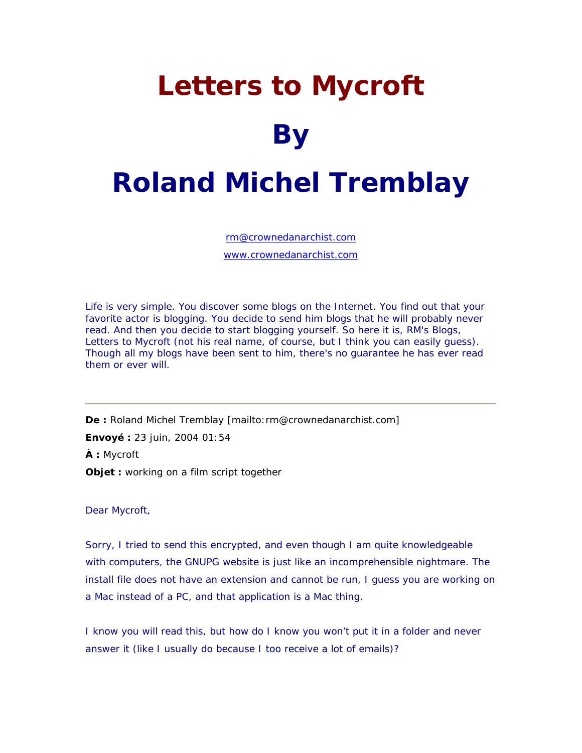# **Letters to Mycroft By Roland Michel Tremblay**

[rm@crownedanarchist.com](mailto:rm@crownedanarchist.com)

[www.crownedanarchist.com](http://www.crownedanarchist.com/)

Life is very simple. You discover some blogs on the Internet. You find out that your favorite actor is blogging. You decide to send him blogs that he will probably never read. And then you decide to start blogging yourself. So here it is, RM's Blogs, Letters to Mycroft (not his real name, of course, but I think you can easily guess). Though all my blogs have been sent to him, there's no guarantee he has ever read them or ever will.

**De :** Roland Michel Tremblay [mailto:rm@crownedanarchist.com] **Envoyé :** 23 juin, 2004 01:54 **À :** Mycroft **Objet :** working on a film script together

Dear Mycroft,

Sorry, I tried to send this encrypted, and even though I am quite knowledgeable with computers, the GNUPG website is just like an incomprehensible nightmare. The install file does not have an extension and cannot be run, I guess you are working on a Mac instead of a PC, and that application is a Mac thing.

I know you will read this, but how do I know you won't put it in a folder and never answer it (like I usually do because I too receive a lot of emails)?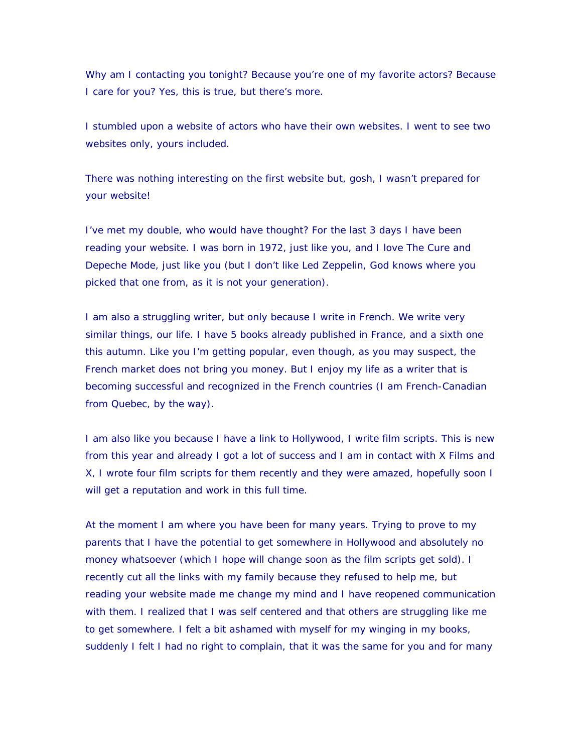Why am I contacting you tonight? Because you're one of my favorite actors? Because I care for you? Yes, this is true, but there's more.

I stumbled upon a website of actors who have their own websites. I went to see two websites only, yours included.

There was nothing interesting on the first website but, gosh, I wasn't prepared for your website!

I've met my double, who would have thought? For the last 3 days I have been reading your website. I was born in 1972, just like you, and I love The Cure and Depeche Mode, just like you (but I don't like Led Zeppelin, God knows where you picked that one from, as it is not your generation).

I am also a struggling writer, but only because I write in French. We write very similar things, our life. I have 5 books already published in France, and a sixth one this autumn. Like you I'm getting popular, even though, as you may suspect, the French market does not bring you money. But I enjoy my life as a writer that is becoming successful and recognized in the French countries (I am French-Canadian from Quebec, by the way).

I am also like you because I have a link to Hollywood, I write film scripts. This is new from this year and already I got a lot of success and I am in contact with X Films and X, I wrote four film scripts for them recently and they were amazed, hopefully soon I will get a reputation and work in this full time.

At the moment I am where you have been for many years. Trying to prove to my parents that I have the potential to get somewhere in Hollywood and absolutely no money whatsoever (which I hope will change soon as the film scripts get sold). I recently cut all the links with my family because they refused to help me, but reading your website made me change my mind and I have reopened communication with them. I realized that I was self centered and that others are struggling like me to get somewhere. I felt a bit ashamed with myself for my winging in my books, suddenly I felt I had no right to complain, that it was the same for you and for many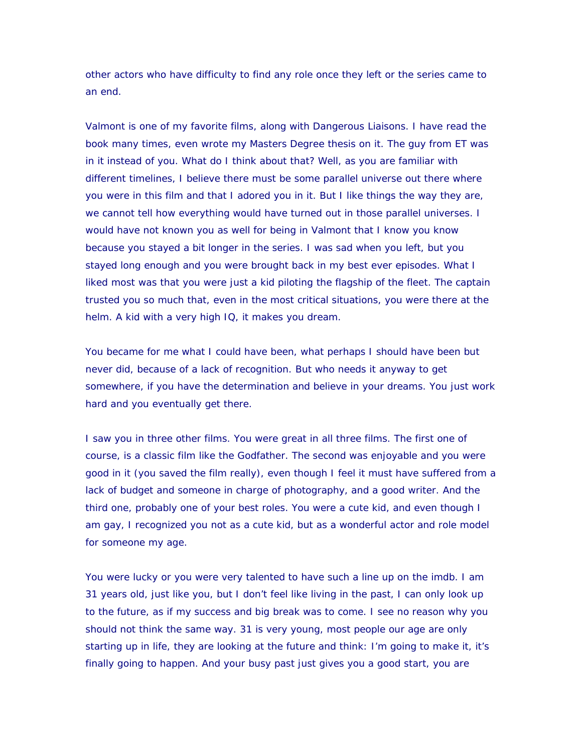other actors who have difficulty to find any role once they left or the series came to an end.

Valmont is one of my favorite films, along with Dangerous Liaisons. I have read the book many times, even wrote my Masters Degree thesis on it. The guy from ET was in it instead of you. What do I think about that? Well, as you are familiar with different timelines, I believe there must be some parallel universe out there where you were in this film and that I adored you in it. But I like things the way they are, we cannot tell how everything would have turned out in those parallel universes. I would have not known you as well for being in Valmont that I know you know because you stayed a bit longer in the series. I was sad when you left, but you stayed long enough and you were brought back in my best ever episodes. What I liked most was that you were just a kid piloting the flagship of the fleet. The captain trusted you so much that, even in the most critical situations, you were there at the helm. A kid with a very high IQ, it makes you dream.

You became for me what I could have been, what perhaps I should have been but never did, because of a lack of recognition. But who needs it anyway to get somewhere, if you have the determination and believe in your dreams. You just work hard and you eventually get there.

I saw you in three other films. You were great in all three films. The first one of course, is a classic film like the Godfather. The second was enjoyable and you were good in it (you saved the film really), even though I feel it must have suffered from a lack of budget and someone in charge of photography, and a good writer. And the third one, probably one of your best roles. You were a cute kid, and even though I am gay, I recognized you not as a cute kid, but as a wonderful actor and role model for someone my age.

You were lucky or you were very talented to have such a line up on the imdb. I am 31 years old, just like you, but I don't feel like living in the past, I can only look up to the future, as if my success and big break was to come. I see no reason why you should not think the same way. 31 is very young, most people our age are only starting up in life, they are looking at the future and think: I'm going to make it, it's finally going to happen. And your busy past just gives you a good start, you are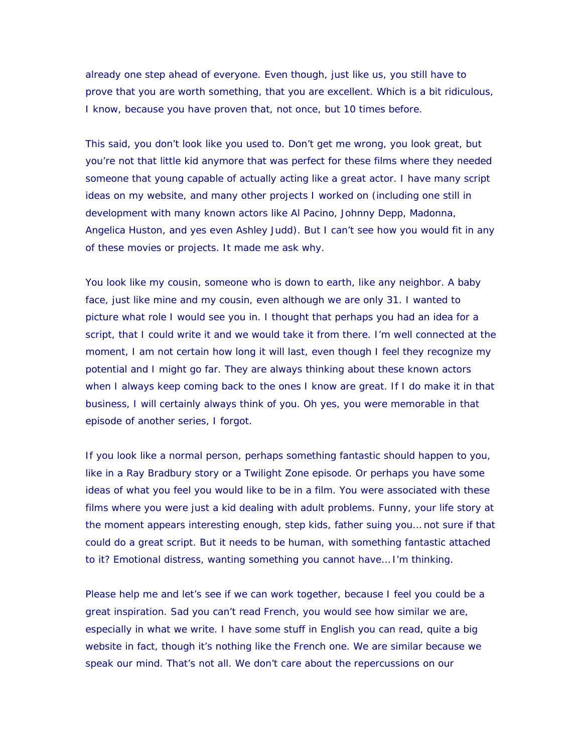already one step ahead of everyone. Even though, just like us, you still have to prove that you are worth something, that you are excellent. Which is a bit ridiculous, I know, because you have proven that, not once, but 10 times before.

This said, you don't look like you used to. Don't get me wrong, you look great, but you're not that little kid anymore that was perfect for these films where they needed someone that young capable of actually acting like a great actor. I have many script ideas on my website, and many other projects I worked on (including one still in development with many known actors like Al Pacino, Johnny Depp, Madonna, Angelica Huston, and yes even Ashley Judd). But I can't see how you would fit in any of these movies or projects. It made me ask why.

You look like my cousin, someone who is down to earth, like any neighbor. A baby face, just like mine and my cousin, even although we are only 31. I wanted to picture what role I would see you in. I thought that perhaps you had an idea for a script, that I could write it and we would take it from there. I'm well connected at the moment, I am not certain how long it will last, even though I feel they recognize my potential and I might go far. They are always thinking about these known actors when I always keep coming back to the ones I know are great. If I do make it in that business, I will certainly always think of you. Oh yes, you were memorable in that episode of another series, I forgot.

If you look like a normal person, perhaps something fantastic should happen to you, like in a Ray Bradbury story or a Twilight Zone episode. Or perhaps you have some ideas of what you feel you would like to be in a film. You were associated with these films where you were just a kid dealing with adult problems. Funny, your life story at the moment appears interesting enough, step kids, father suing you… not sure if that could do a great script. But it needs to be human, with something fantastic attached to it? Emotional distress, wanting something you cannot have… I'm thinking.

Please help me and let's see if we can work together, because I feel you could be a great inspiration. Sad you can't read French, you would see how similar we are, especially in what we write. I have some stuff in English you can read, quite a big website in fact, though it's nothing like the French one. We are similar because we speak our mind. That's not all. We don't care about the repercussions on our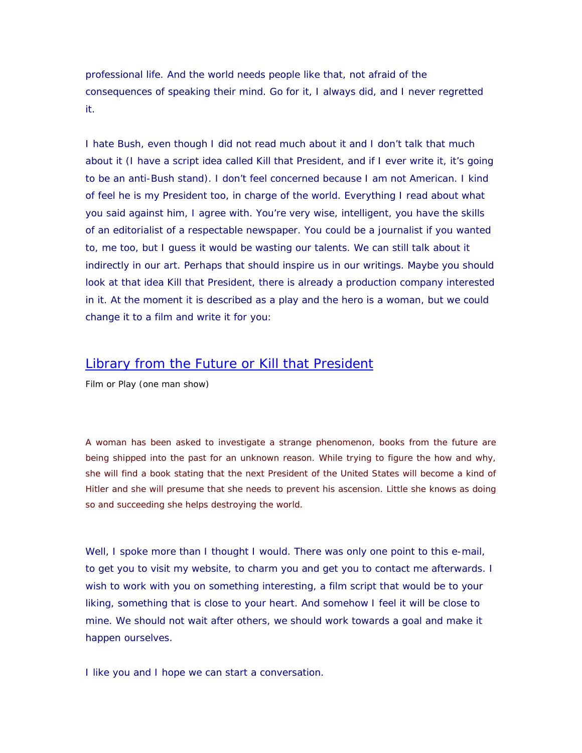professional life. And the world needs people like that, not afraid of the consequences of speaking their mind. Go for it, I always did, and I never regretted it.

I hate Bush, even though I did not read much about it and I don't talk that much about it (I have a script idea called Kill that President, and if I ever write it, it's going to be an anti-Bush stand). I don't feel concerned because I am not American. I kind of feel he is my President too, in charge of the world. Everything I read about what you said against him, I agree with. You're very wise, intelligent, you have the skills of an editorialist of a respectable newspaper. You could be a journalist if you wanted to, me too, but I guess it would be wasting our talents. We can still talk about it indirectly in our art. Perhaps that should inspire us in our writings. Maybe you should look at that idea Kill that President, there is already a production company interested in it. At the moment it is described as a play and the hero is a woman, but we could change it to a film and write it for you:

### [Library from the Future or Kill that President](http://www.crownedanarchist.com/libraryfromthefuture.htm)

Film or Play (one man show)

A woman has been asked to investigate a strange phenomenon, books from the future are being shipped into the past for an unknown reason. While trying to figure the how and why, she will find a book stating that the next President of the United States will become a kind of Hitler and she will presume that she needs to prevent his ascension. Little she knows as doing so and succeeding she helps destroying the world.

Well, I spoke more than I thought I would. There was only one point to this e-mail, to get you to visit my website, to charm you and get you to contact me afterwards. I wish to work with you on something interesting, a film script that would be to your liking, something that is close to your heart. And somehow I feel it will be close to mine. We should not wait after others, we should work towards a goal and make it happen ourselves.

I like you and I hope we can start a conversation.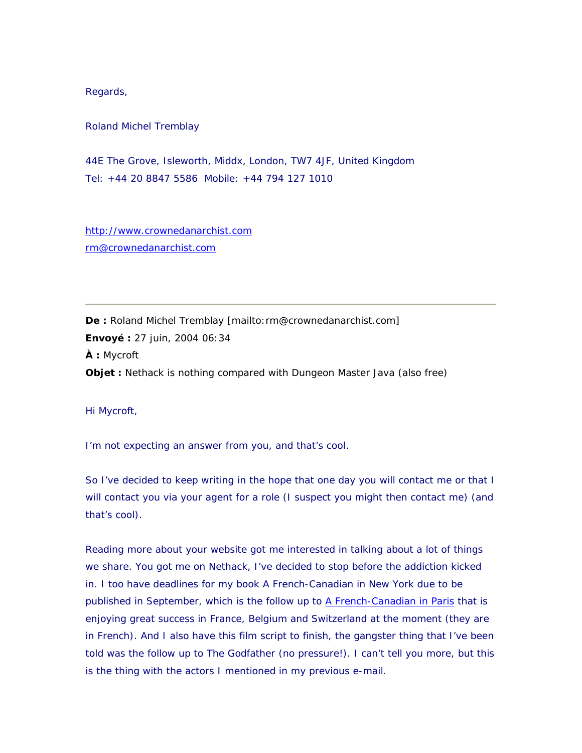Regards,

Roland Michel Tremblay

44E The Grove, Isleworth, Middx, London, TW7 4JF, United Kingdom Tel: +44 20 8847 5586 Mobile: +44 794 127 1010

[http://www.crownedanarchist.com](http://www.crownedanarchist.com/) [rm@crownedanarchist.com](mailto:rm@crownedanarchist.com) 

**De :** Roland Michel Tremblay [mailto:rm@crownedanarchist.com] **Envoyé :** 27 juin, 2004 06:34 **À :** Mycroft **Objet :** Nethack is nothing compared with Dungeon Master Java (also free)

Hi Mycroft,

I'm not expecting an answer from you, and that's cool.

So I've decided to keep writing in the hope that one day you will contact me or that I will contact you via your agent for a role (I suspect you might then contact me) (and that's cool).

Reading more about your website got me interested in talking about a lot of things we share. You got me on Nethack, I've decided to stop before the addiction kicked in. I too have deadlines for my book A French-Canadian in New York due to be published in September, which is the follow up to [A French-Canadian in Paris](http://www.crownedanarchist.com/) that is enjoying great success in France, Belgium and Switzerland at the moment (they are in French). And I also have this film script to finish, the gangster thing that I've been told was the follow up to The Godfather (no pressure!). I can't tell you more, but this is the thing with the actors I mentioned in my previous e-mail.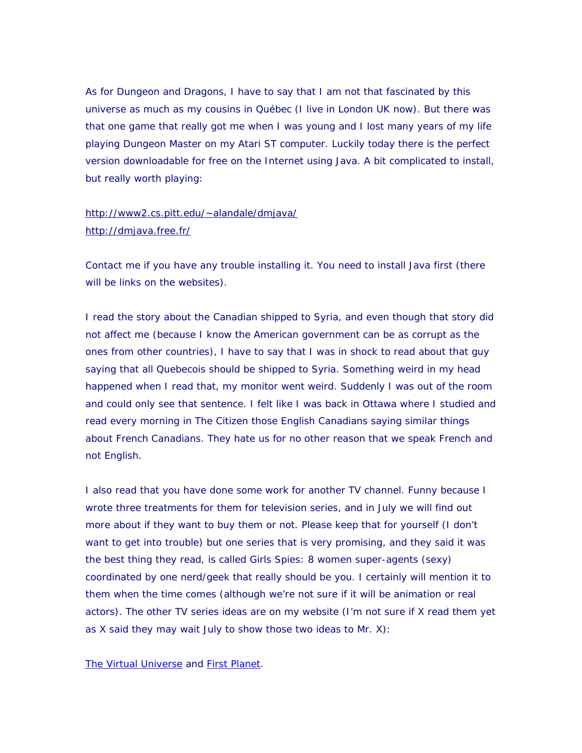As for Dungeon and Dragons, I have to say that I am not that fascinated by this universe as much as my cousins in Québec (I live in London UK now). But there was that one game that really got me when I was young and I lost many years of my life playing Dungeon Master on my Atari ST computer. Luckily today there is the perfect version downloadable for free on the Internet using Java. A bit complicated to install, but really worth playing:

## <http://www2.cs.pitt.edu/~alandale/dmjava/> <http://dmjava.free.fr/>

Contact me if you have any trouble installing it. You need to install Java first (there will be links on the websites).

I read the story about the Canadian shipped to Syria, and even though that story did not affect me (because I know the American government can be as corrupt as the ones from other countries), I have to say that I was in shock to read about that guy saying that all Quebecois should be shipped to Syria. Something weird in my head happened when I read that, my monitor went weird. Suddenly I was out of the room and could only see that sentence. I felt like I was back in Ottawa where I studied and read every morning in The Citizen those English Canadians saying similar things about French Canadians. They hate us for no other reason that we speak French and not English.

I also read that you have done some work for another TV channel. Funny because I wrote three treatments for them for television series, and in July we will find out more about if they want to buy them or not. Please keep that for yourself (I don't want to get into trouble) but one series that is very promising, and they said it was the best thing they read, is called Girls Spies: 8 women super-agents (sexy) coordinated by one nerd/geek that really should be you. I certainly will mention it to them when the time comes (although we're not sure if it will be animation or real actors). The other TV series ideas are on my website (I'm not sure if X read them yet as X said they may wait July to show those two ideas to Mr. X):

#### [The Virtual Universe](http://www.crownedanarchist.com/perfectuniverse.htm) and [First Planet](http://www.crownedanarchist.com/firstplanet.htm).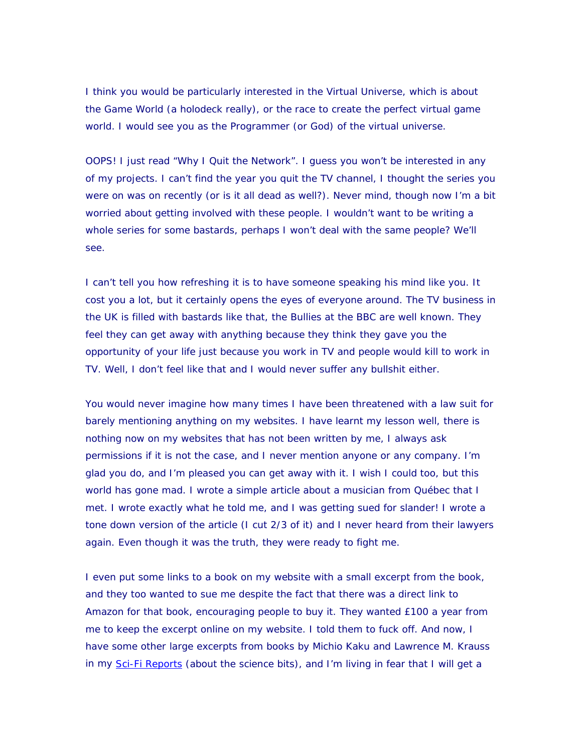I think you would be particularly interested in the Virtual Universe, which is about the Game World (a holodeck really), or the race to create the perfect virtual game world. I would see you as the Programmer (or God) of the virtual universe.

OOPS! I just read "Why I Quit the Network". I guess you won't be interested in any of my projects. I can't find the year you quit the TV channel, I thought the series you were on was on recently (or is it all dead as well?). Never mind, though now I'm a bit worried about getting involved with these people. I wouldn't want to be writing a whole series for some bastards, perhaps I won't deal with the same people? We'll see.

I can't tell you how refreshing it is to have someone speaking his mind like you. It cost you a lot, but it certainly opens the eyes of everyone around. The TV business in the UK is filled with bastards like that, the Bullies at the BBC are well known. They feel they can get away with anything because they think they gave you the opportunity of your life just because you work in TV and people would kill to work in TV. Well, I don't feel like that and I would never suffer any bullshit either.

You would never imagine how many times I have been threatened with a law suit for barely mentioning anything on my websites. I have learnt my lesson well, there is nothing now on my websites that has not been written by me, I always ask permissions if it is not the case, and I never mention anyone or any company. I'm glad you do, and I'm pleased you can get away with it. I wish I could too, but this world has gone mad. I wrote a simple article about a musician from Québec that I met. I wrote exactly what he told me, and I was getting sued for slander! I wrote a tone down version of the article (I cut 2/3 of it) and I never heard from their lawyers again. Even though it was the truth, they were ready to fight me.

I even put some links to a book on my website with a small excerpt from the book, and they too wanted to sue me despite the fact that there was a direct link to Amazon for that book, encouraging people to buy it. They wanted £100 a year from me to keep the excerpt online on my website. I told them to fuck off. And now, I have some other large excerpts from books by Michio Kaku and Lawrence M. Krauss in my [Sci-Fi Reports](http://www.crownedanarchist.com/index.htm#science_fiction_helper_reports) (about the science bits), and I'm living in fear that I will get a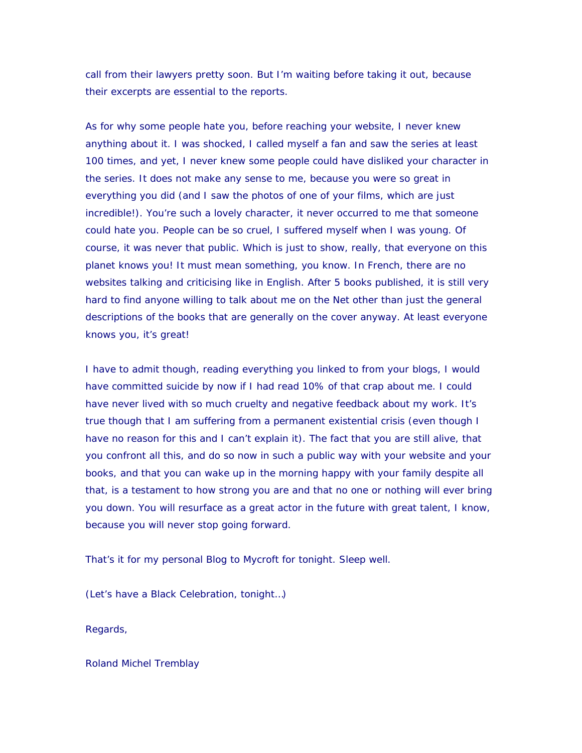call from their lawyers pretty soon. But I'm waiting before taking it out, because their excerpts are essential to the reports.

As for why some people hate you, before reaching your website, I never knew anything about it. I was shocked, I called myself a fan and saw the series at least 100 times, and yet, I never knew some people could have disliked your character in the series. It does not make any sense to me, because you were so great in everything you did (and I saw the photos of one of your films, which are just incredible!). You're such a lovely character, it never occurred to me that someone could hate you. People can be so cruel, I suffered myself when I was young. Of course, it was never that public. Which is just to show, really, that everyone on this planet knows you! It must mean something, you know. In French, there are no websites talking and criticising like in English. After 5 books published, it is still very hard to find anyone willing to talk about me on the Net other than just the general descriptions of the books that are generally on the cover anyway. At least everyone knows you, it's great!

I have to admit though, reading everything you linked to from your blogs, I would have committed suicide by now if I had read 10% of that crap about me. I could have never lived with so much cruelty and negative feedback about my work. It's true though that I am suffering from a permanent existential crisis (even though I have no reason for this and I can't explain it). The fact that you are still alive, that you confront all this, and do so now in such a public way with your website and your books, and that you can wake up in the morning happy with your family despite all that, is a testament to how strong you are and that no one or nothing will ever bring you down. You will resurface as a great actor in the future with great talent, I know, because you will never stop going forward.

That's it for my personal Blog to Mycroft for tonight. Sleep well.

(Let's have a Black Celebration, tonight…)

Regards,

Roland Michel Tremblay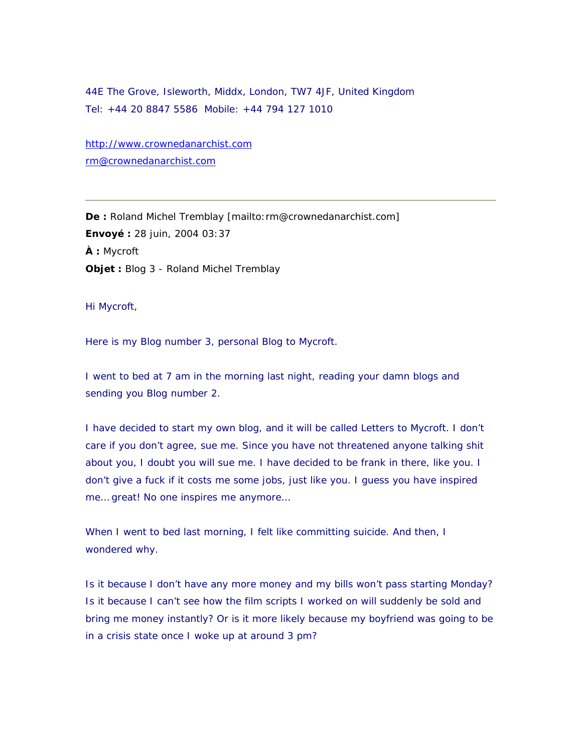44E The Grove, Isleworth, Middx, London, TW7 4JF, United Kingdom Tel: +44 20 8847 5586 Mobile: +44 794 127 1010

[http://www.crownedanarchist.com](http://www.crownedanarchist.com/) [rm@crownedanarchist.com](mailto:rm@crownedanarchist.com) 

**De :** Roland Michel Tremblay [mailto:rm@crownedanarchist.com] **Envoyé :** 28 juin, 2004 03:37 **À :** Mycroft **Objet :** Blog 3 - Roland Michel Tremblay

Hi Mycroft,

Here is my Blog number 3, personal Blog to Mycroft.

I went to bed at 7 am in the morning last night, reading your damn blogs and sending you Blog number 2.

I have decided to start my own blog, and it will be called Letters to Mycroft. I don't care if you don't agree, sue me. Since you have not threatened anyone talking shit about you, I doubt you will sue me. I have decided to be frank in there, like you. I don't give a fuck if it costs me some jobs, just like you. I guess you have inspired me… great! No one inspires me anymore…

When I went to bed last morning, I felt like committing suicide. And then, I wondered why.

Is it because I don't have any more money and my bills won't pass starting Monday? Is it because I can't see how the film scripts I worked on will suddenly be sold and bring me money instantly? Or is it more likely because my boyfriend was going to be in a crisis state once I woke up at around 3 pm?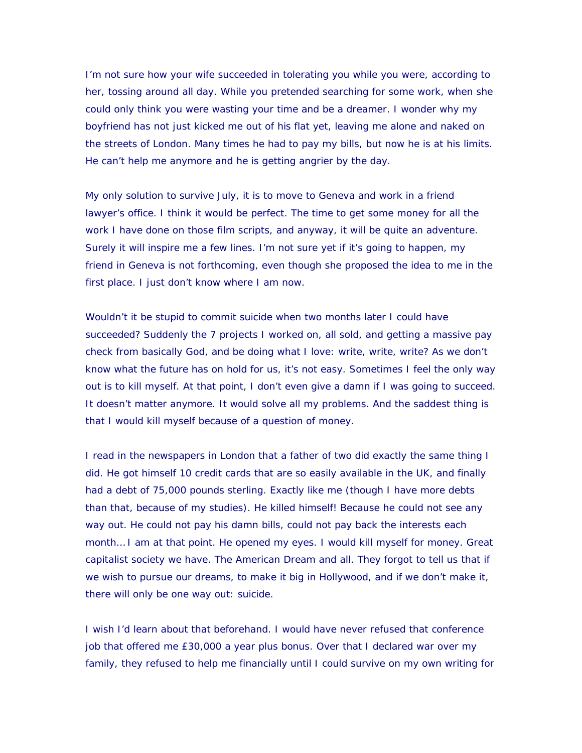I'm not sure how your wife succeeded in tolerating you while you were, according to her, tossing around all day. While you pretended searching for some work, when she could only think you were wasting your time and be a dreamer. I wonder why my boyfriend has not just kicked me out of his flat yet, leaving me alone and naked on the streets of London. Many times he had to pay my bills, but now he is at his limits. He can't help me anymore and he is getting angrier by the day.

My only solution to survive July, it is to move to Geneva and work in a friend lawyer's office. I think it would be perfect. The time to get some money for all the work I have done on those film scripts, and anyway, it will be quite an adventure. Surely it will inspire me a few lines. I'm not sure yet if it's going to happen, my friend in Geneva is not forthcoming, even though she proposed the idea to me in the first place. I just don't know where I am now.

Wouldn't it be stupid to commit suicide when two months later I could have succeeded? Suddenly the 7 projects I worked on, all sold, and getting a massive pay check from basically God, and be doing what I love: write, write, write? As we don't know what the future has on hold for us, it's not easy. Sometimes I feel the only way out is to kill myself. At that point, I don't even give a damn if I was going to succeed. It doesn't matter anymore. It would solve all my problems. And the saddest thing is that I would kill myself because of a question of money.

I read in the newspapers in London that a father of two did exactly the same thing I did. He got himself 10 credit cards that are so easily available in the UK, and finally had a debt of 75,000 pounds sterling. Exactly like me (though I have more debts than that, because of my studies). He killed himself! Because he could not see any way out. He could not pay his damn bills, could not pay back the interests each month… I am at that point. He opened my eyes. I would kill myself for money. Great capitalist society we have. The American Dream and all. They forgot to tell us that if we wish to pursue our dreams, to make it big in Hollywood, and if we don't make it, there will only be one way out: suicide.

I wish I'd learn about that beforehand. I would have never refused that conference job that offered me £30,000 a year plus bonus. Over that I declared war over my family, they refused to help me financially until I could survive on my own writing for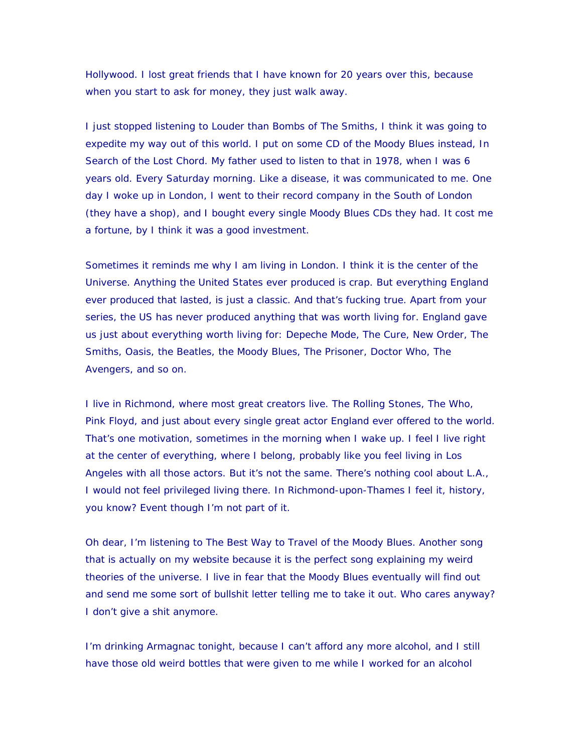Hollywood. I lost great friends that I have known for 20 years over this, because when you start to ask for money, they just walk away.

I just stopped listening to Louder than Bombs of The Smiths, I think it was going to expedite my way out of this world. I put on some CD of the Moody Blues instead, In Search of the Lost Chord. My father used to listen to that in 1978, when I was 6 years old. Every Saturday morning. Like a disease, it was communicated to me. One day I woke up in London, I went to their record company in the South of London (they have a shop), and I bought every single Moody Blues CDs they had. It cost me a fortune, by I think it was a good investment.

Sometimes it reminds me why I am living in London. I think it is the center of the Universe. Anything the United States ever produced is crap. But everything England ever produced that lasted, is just a classic. And that's fucking true. Apart from your series, the US has never produced anything that was worth living for. England gave us just about everything worth living for: Depeche Mode, The Cure, New Order, The Smiths, Oasis, the Beatles, the Moody Blues, The Prisoner, Doctor Who, The Avengers, and so on.

I live in Richmond, where most great creators live. The Rolling Stones, The Who, Pink Floyd, and just about every single great actor England ever offered to the world. That's one motivation, sometimes in the morning when I wake up. I feel I live right at the center of everything, where I belong, probably like you feel living in Los Angeles with all those actors. But it's not the same. There's nothing cool about L.A., I would not feel privileged living there. In Richmond-upon-Thames I feel it, history, you know? Event though I'm not part of it.

Oh dear, I'm listening to The Best Way to Travel of the Moody Blues. Another song that is actually on my website because it is the perfect song explaining my weird theories of the universe. I live in fear that the Moody Blues eventually will find out and send me some sort of bullshit letter telling me to take it out. Who cares anyway? I don't give a shit anymore.

I'm drinking Armagnac tonight, because I can't afford any more alcohol, and I still have those old weird bottles that were given to me while I worked for an alcohol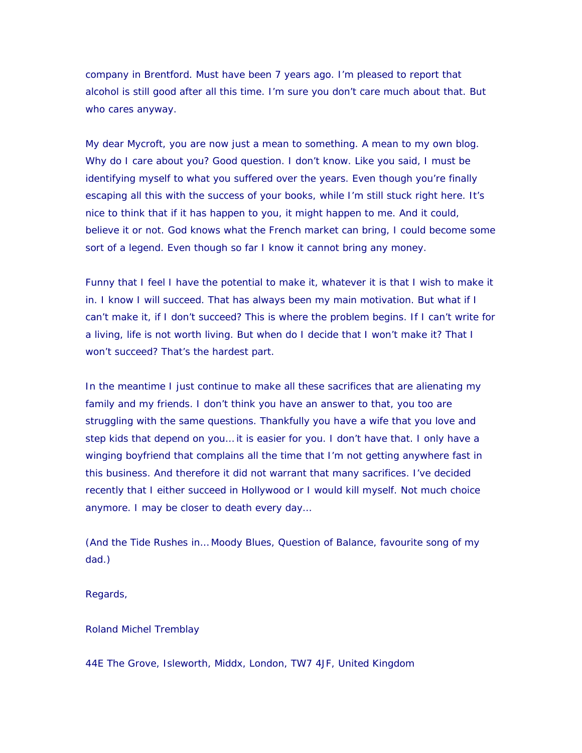company in Brentford. Must have been 7 years ago. I'm pleased to report that alcohol is still good after all this time. I'm sure you don't care much about that. But who cares anyway.

My dear Mycroft, you are now just a mean to something. A mean to my own blog. Why do I care about you? Good question. I don't know. Like you said, I must be identifying myself to what you suffered over the years. Even though you're finally escaping all this with the success of your books, while I'm still stuck right here. It's nice to think that if it has happen to you, it might happen to me. And it could, believe it or not. God knows what the French market can bring, I could become some sort of a legend. Even though so far I know it cannot bring any money.

Funny that I feel I have the potential to make it, whatever it is that I wish to make it in. I know I will succeed. That has always been my main motivation. But what if I can't make it, if I don't succeed? This is where the problem begins. If I can't write for a living, life is not worth living. But when do I decide that I won't make it? That I won't succeed? That's the hardest part.

In the meantime I just continue to make all these sacrifices that are alienating my family and my friends. I don't think you have an answer to that, you too are struggling with the same questions. Thankfully you have a wife that you love and step kids that depend on you… it is easier for you. I don't have that. I only have a winging boyfriend that complains all the time that I'm not getting anywhere fast in this business. And therefore it did not warrant that many sacrifices. I've decided recently that I either succeed in Hollywood or I would kill myself. Not much choice anymore. I may be closer to death every day…

(And the Tide Rushes in… Moody Blues, Question of Balance, favourite song of my dad.)

Regards,

#### Roland Michel Tremblay

44E The Grove, Isleworth, Middx, London, TW7 4JF, United Kingdom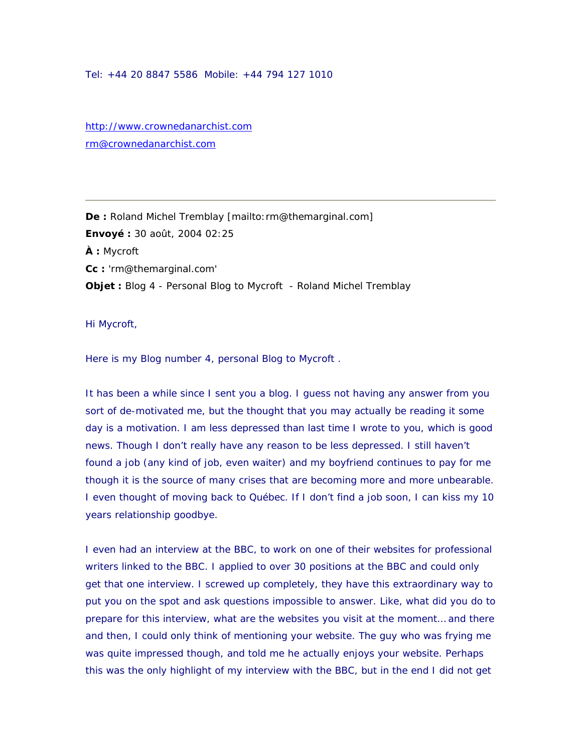#### Tel: +44 20 8847 5586 Mobile: +44 794 127 1010

[http://www.crownedanarchist.com](http://www.crownedanarchist.com/) [rm@crownedanarchist.com](mailto:rm@crownedanarchist.com) 

**De :** Roland Michel Tremblay [mailto:rm@themarginal.com] **Envoyé :** 30 août, 2004 02:25 **À :** Mycroft **Cc :** 'rm@themarginal.com' **Objet :** Blog 4 - Personal Blog to Mycroft - Roland Michel Tremblay

Hi Mycroft,

Here is my Blog number 4, personal Blog to Mycroft .

It has been a while since I sent you a blog. I guess not having any answer from you sort of de-motivated me, but the thought that you may actually be reading it some day is a motivation. I am less depressed than last time I wrote to you, which is good news. Though I don't really have any reason to be less depressed. I still haven't found a job (any kind of job, even waiter) and my boyfriend continues to pay for me though it is the source of many crises that are becoming more and more unbearable. I even thought of moving back to Québec. If I don't find a job soon, I can kiss my 10 years relationship goodbye.

I even had an interview at the BBC, to work on one of their websites for professional writers linked to the BBC. I applied to over 30 positions at the BBC and could only get that one interview. I screwed up completely, they have this extraordinary way to put you on the spot and ask questions impossible to answer. Like, what did you do to prepare for this interview, what are the websites you visit at the moment… and there and then, I could only think of mentioning your website. The guy who was frying me was quite impressed though, and told me he actually enjoys your website. Perhaps this was the only highlight of my interview with the BBC, but in the end I did not get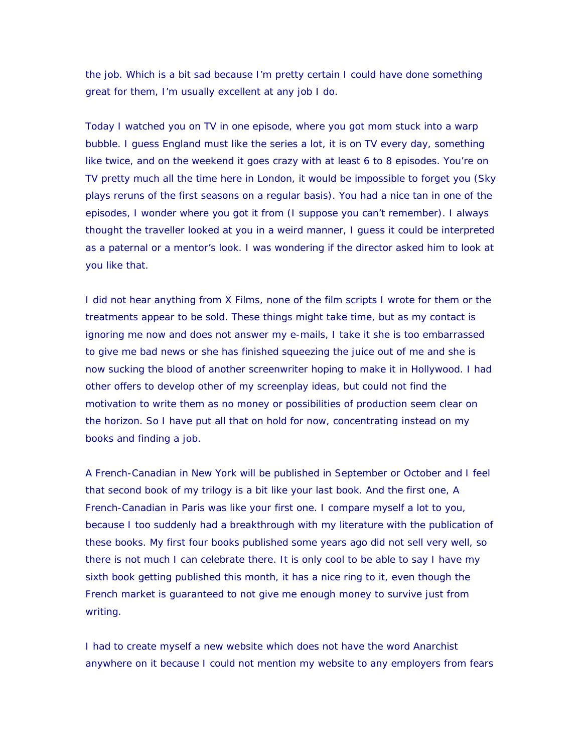the job. Which is a bit sad because I'm pretty certain I could have done something great for them, I'm usually excellent at any job I do.

Today I watched you on TV in one episode, where you got mom stuck into a warp bubble. I guess England must like the series a lot, it is on TV every day, something like twice, and on the weekend it goes crazy with at least 6 to 8 episodes. You're on TV pretty much all the time here in London, it would be impossible to forget you (Sky plays reruns of the first seasons on a regular basis). You had a nice tan in one of the episodes, I wonder where you got it from (I suppose you can't remember). I always thought the traveller looked at you in a weird manner, I guess it could be interpreted as a paternal or a mentor's look. I was wondering if the director asked him to look at you like that.

I did not hear anything from X Films, none of the film scripts I wrote for them or the treatments appear to be sold. These things might take time, but as my contact is ignoring me now and does not answer my e-mails, I take it she is too embarrassed to give me bad news or she has finished squeezing the juice out of me and she is now sucking the blood of another screenwriter hoping to make it in Hollywood. I had other offers to develop other of my screenplay ideas, but could not find the motivation to write them as no money or possibilities of production seem clear on the horizon. So I have put all that on hold for now, concentrating instead on my books and finding a job.

A French-Canadian in New York will be published in September or October and I feel that second book of my trilogy is a bit like your last book. And the first one, A French-Canadian in Paris was like your first one. I compare myself a lot to you, because I too suddenly had a breakthrough with my literature with the publication of these books. My first four books published some years ago did not sell very well, so there is not much I can celebrate there. It is only cool to be able to say I have my sixth book getting published this month, it has a nice ring to it, even though the French market is guaranteed to not give me enough money to survive just from writing.

I had to create myself a new website which does not have the word Anarchist anywhere on it because I could not mention my website to any employers from fears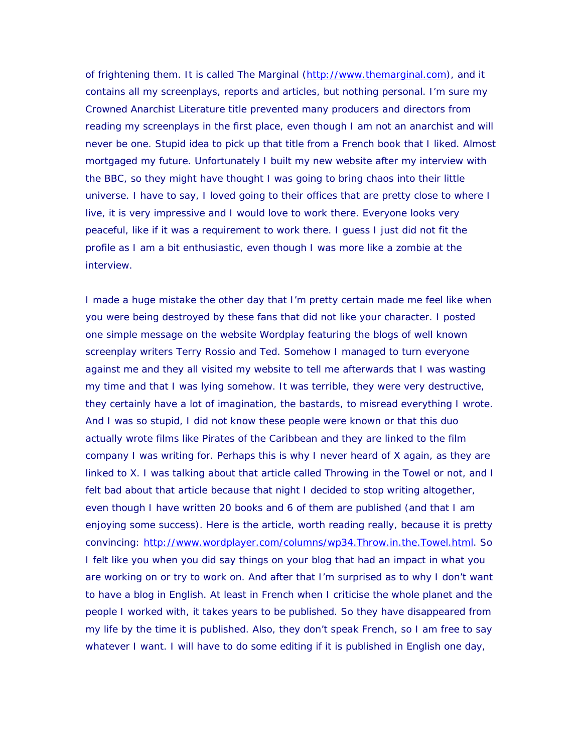of frightening them. It is called The Marginal ([http://www.themarginal.com\)](http://www.themarginal.com/), and it contains all my screenplays, reports and articles, but nothing personal. I'm sure my Crowned Anarchist Literature title prevented many producers and directors from reading my screenplays in the first place, even though I am not an anarchist and will never be one. Stupid idea to pick up that title from a French book that I liked. Almost mortgaged my future. Unfortunately I built my new website after my interview with the BBC, so they might have thought I was going to bring chaos into their little universe. I have to say, I loved going to their offices that are pretty close to where I live, it is very impressive and I would love to work there. Everyone looks very peaceful, like if it was a requirement to work there. I guess I just did not fit the profile as I am a bit enthusiastic, even though I was more like a zombie at the interview.

I made a huge mistake the other day that I'm pretty certain made me feel like when you were being destroyed by these fans that did not like your character. I posted one simple message on the website Wordplay featuring the blogs of well known screenplay writers Terry Rossio and Ted. Somehow I managed to turn everyone against me and they all visited my website to tell me afterwards that I was wasting my time and that I was lying somehow. It was terrible, they were very destructive, they certainly have a lot of imagination, the bastards, to misread everything I wrote. And I was so stupid, I did not know these people were known or that this duo actually wrote films like Pirates of the Caribbean and they are linked to the film company I was writing for. Perhaps this is why I never heard of X again, as they are linked to X. I was talking about that article called Throwing in the Towel or not, and I felt bad about that article because that night I decided to stop writing altogether, even though I have written 20 books and 6 of them are published (and that I am enjoying some success). Here is the article, worth reading really, because it is pretty convincing:<http://www.wordplayer.com/columns/wp34.Throw.in.the.Towel.html>. So I felt like you when you did say things on your blog that had an impact in what you are working on or try to work on. And after that I'm surprised as to why I don't want to have a blog in English. At least in French when I criticise the whole planet and the people I worked with, it takes years to be published. So they have disappeared from my life by the time it is published. Also, they don't speak French, so I am free to say whatever I want. I will have to do some editing if it is published in English one day,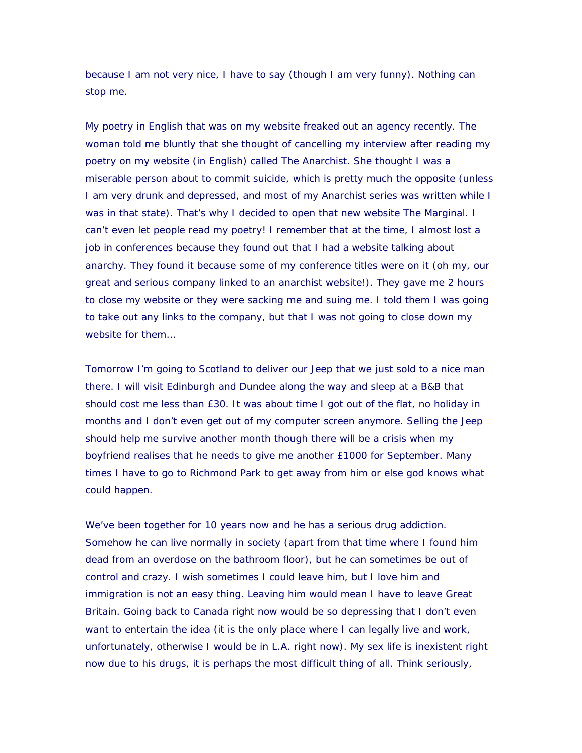because I am not very nice, I have to say (though I am very funny). Nothing can stop me.

My poetry in English that was on my website freaked out an agency recently. The woman told me bluntly that she thought of cancelling my interview after reading my poetry on my website (in English) called The Anarchist. She thought I was a miserable person about to commit suicide, which is pretty much the opposite (unless I am very drunk and depressed, and most of my Anarchist series was written while I was in that state). That's why I decided to open that new website The Marginal. I can't even let people read my poetry! I remember that at the time, I almost lost a job in conferences because they found out that I had a website talking about anarchy. They found it because some of my conference titles were on it (oh my, our great and serious company linked to an anarchist website!). They gave me 2 hours to close my website or they were sacking me and suing me. I told them I was going to take out any links to the company, but that I was not going to close down my website for them…

Tomorrow I'm going to Scotland to deliver our Jeep that we just sold to a nice man there. I will visit Edinburgh and Dundee along the way and sleep at a B&B that should cost me less than £30. It was about time I got out of the flat, no holiday in months and I don't even get out of my computer screen anymore. Selling the Jeep should help me survive another month though there will be a crisis when my boyfriend realises that he needs to give me another £1000 for September. Many times I have to go to Richmond Park to get away from him or else god knows what could happen.

We've been together for 10 years now and he has a serious drug addiction. Somehow he can live normally in society (apart from that time where I found him dead from an overdose on the bathroom floor), but he can sometimes be out of control and crazy. I wish sometimes I could leave him, but I love him and immigration is not an easy thing. Leaving him would mean I have to leave Great Britain. Going back to Canada right now would be so depressing that I don't even want to entertain the idea (it is the only place where I can legally live and work, unfortunately, otherwise I would be in L.A. right now). My sex life is inexistent right now due to his drugs, it is perhaps the most difficult thing of all. Think seriously,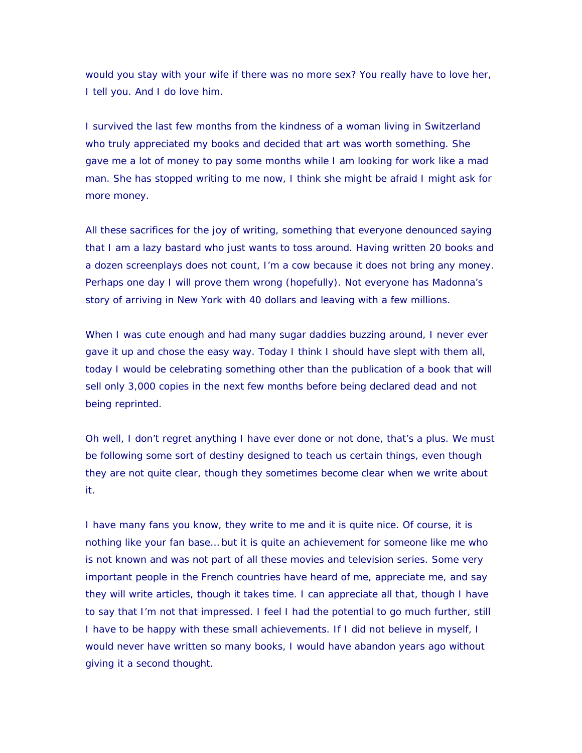would you stay with your wife if there was no more sex? You really have to love her, I tell you. And I do love him.

I survived the last few months from the kindness of a woman living in Switzerland who truly appreciated my books and decided that art was worth something. She gave me a lot of money to pay some months while I am looking for work like a mad man. She has stopped writing to me now, I think she might be afraid I might ask for more money.

All these sacrifices for the joy of writing, something that everyone denounced saying that I am a lazy bastard who just wants to toss around. Having written 20 books and a dozen screenplays does not count, I'm a cow because it does not bring any money. Perhaps one day I will prove them wrong (hopefully). Not everyone has Madonna's story of arriving in New York with 40 dollars and leaving with a few millions.

When I was cute enough and had many sugar daddies buzzing around, I never ever gave it up and chose the easy way. Today I think I should have slept with them all, today I would be celebrating something other than the publication of a book that will sell only 3,000 copies in the next few months before being declared dead and not being reprinted.

Oh well, I don't regret anything I have ever done or not done, that's a plus. We must be following some sort of destiny designed to teach us certain things, even though they are not quite clear, though they sometimes become clear when we write about it.

I have many fans you know, they write to me and it is quite nice. Of course, it is nothing like your fan base… but it is quite an achievement for someone like me who is not known and was not part of all these movies and television series. Some very important people in the French countries have heard of me, appreciate me, and say they will write articles, though it takes time. I can appreciate all that, though I have to say that I'm not that impressed. I feel I had the potential to go much further, still I have to be happy with these small achievements. If I did not believe in myself, I would never have written so many books, I would have abandon years ago without giving it a second thought.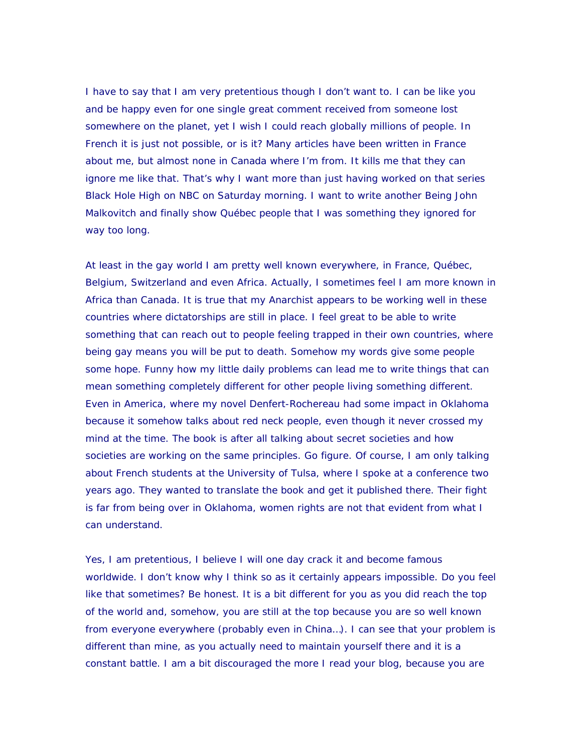I have to say that I am very pretentious though I don't want to. I can be like you and be happy even for one single great comment received from someone lost somewhere on the planet, yet I wish I could reach globally millions of people. In French it is just not possible, or is it? Many articles have been written in France about me, but almost none in Canada where I'm from. It kills me that they can ignore me like that. That's why I want more than just having worked on that series Black Hole High on NBC on Saturday morning. I want to write another Being John Malkovitch and finally show Québec people that I was something they ignored for way too long.

At least in the gay world I am pretty well known everywhere, in France, Québec, Belgium, Switzerland and even Africa. Actually, I sometimes feel I am more known in Africa than Canada. It is true that my Anarchist appears to be working well in these countries where dictatorships are still in place. I feel great to be able to write something that can reach out to people feeling trapped in their own countries, where being gay means you will be put to death. Somehow my words give some people some hope. Funny how my little daily problems can lead me to write things that can mean something completely different for other people living something different. Even in America, where my novel Denfert-Rochereau had some impact in Oklahoma because it somehow talks about red neck people, even though it never crossed my mind at the time. The book is after all talking about secret societies and how societies are working on the same principles. Go figure. Of course, I am only talking about French students at the University of Tulsa, where I spoke at a conference two years ago. They wanted to translate the book and get it published there. Their fight is far from being over in Oklahoma, women rights are not that evident from what I can understand.

Yes, I am pretentious, I believe I will one day crack it and become famous worldwide. I don't know why I think so as it certainly appears impossible. Do you feel like that sometimes? Be honest. It is a bit different for you as you did reach the top of the world and, somehow, you are still at the top because you are so well known from everyone everywhere (probably even in China…). I can see that your problem is different than mine, as you actually need to maintain yourself there and it is a constant battle. I am a bit discouraged the more I read your blog, because you are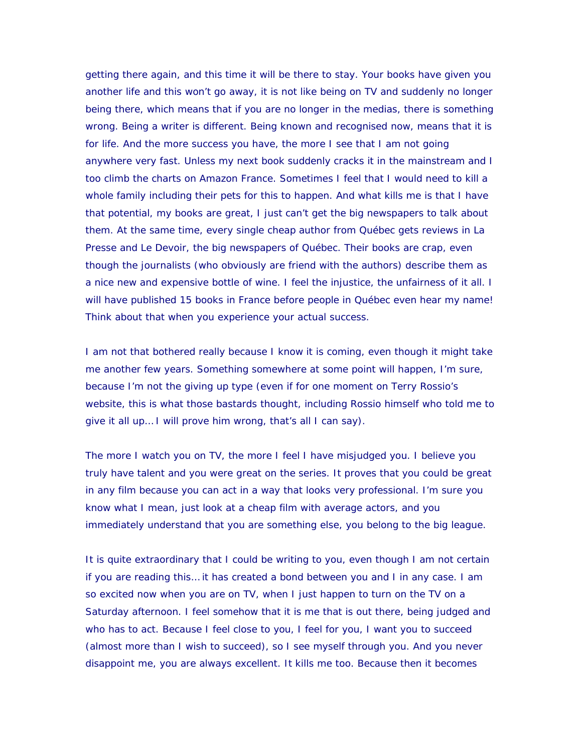getting there again, and this time it will be there to stay. Your books have given you another life and this won't go away, it is not like being on TV and suddenly no longer being there, which means that if you are no longer in the medias, there is something wrong. Being a writer is different. Being known and recognised now, means that it is for life. And the more success you have, the more I see that I am not going anywhere very fast. Unless my next book suddenly cracks it in the mainstream and I too climb the charts on Amazon France. Sometimes I feel that I would need to kill a whole family including their pets for this to happen. And what kills me is that I have that potential, my books are great, I just can't get the big newspapers to talk about them. At the same time, every single cheap author from Québec gets reviews in La Presse and Le Devoir, the big newspapers of Québec. Their books are crap, even though the journalists (who obviously are friend with the authors) describe them as a nice new and expensive bottle of wine. I feel the injustice, the unfairness of it all. I will have published 15 books in France before people in Québec even hear my name! Think about that when you experience your actual success.

I am not that bothered really because I know it is coming, even though it might take me another few years. Something somewhere at some point will happen, I'm sure, because I'm not the giving up type (even if for one moment on Terry Rossio's website, this is what those bastards thought, including Rossio himself who told me to give it all up… I will prove him wrong, that's all I can say).

The more I watch you on TV, the more I feel I have misjudged you. I believe you truly have talent and you were great on the series. It proves that you could be great in any film because you can act in a way that looks very professional. I'm sure you know what I mean, just look at a cheap film with average actors, and you immediately understand that you are something else, you belong to the big league.

It is quite extraordinary that I could be writing to you, even though I am not certain if you are reading this… it has created a bond between you and I in any case. I am so excited now when you are on TV, when I just happen to turn on the TV on a Saturday afternoon. I feel somehow that it is me that is out there, being judged and who has to act. Because I feel close to you, I feel for you, I want you to succeed (almost more than I wish to succeed), so I see myself through you. And you never disappoint me, you are always excellent. It kills me too. Because then it becomes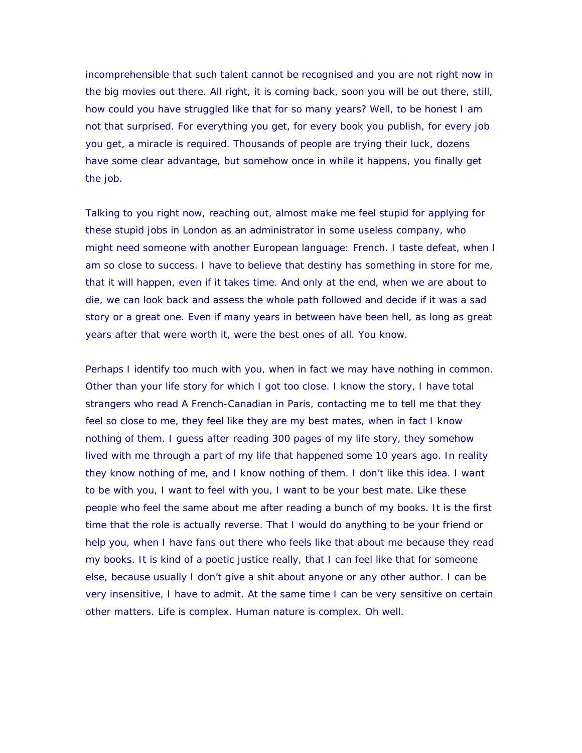incomprehensible that such talent cannot be recognised and you are not right now in the big movies out there. All right, it is coming back, soon you will be out there, still, how could you have struggled like that for so many years? Well, to be honest I am not that surprised. For everything you get, for every book you publish, for every job you get, a miracle is required. Thousands of people are trying their luck, dozens have some clear advantage, but somehow once in while it happens, you finally get the job.

Talking to you right now, reaching out, almost make me feel stupid for applying for these stupid jobs in London as an administrator in some useless company, who might need someone with another European language: French. I taste defeat, when I am so close to success. I have to believe that destiny has something in store for me, that it will happen, even if it takes time. And only at the end, when we are about to die, we can look back and assess the whole path followed and decide if it was a sad story or a great one. Even if many years in between have been hell, as long as great years after that were worth it, were the best ones of all. You know.

Perhaps I identify too much with you, when in fact we may have nothing in common. Other than your life story for which I got too close. I know the story, I have total strangers who read A French-Canadian in Paris, contacting me to tell me that they feel so close to me, they feel like they are my best mates, when in fact I know nothing of them. I guess after reading 300 pages of my life story, they somehow lived with me through a part of my life that happened some 10 years ago. In reality they know nothing of me, and I know nothing of them. I don't like this idea. I want to be with you, I want to feel with you, I want to be your best mate. Like these people who feel the same about me after reading a bunch of my books. It is the first time that the role is actually reverse. That I would do anything to be your friend or help you, when I have fans out there who feels like that about me because they read my books. It is kind of a poetic justice really, that I can feel like that for someone else, because usually I don't give a shit about anyone or any other author. I can be very insensitive, I have to admit. At the same time I can be very sensitive on certain other matters. Life is complex. Human nature is complex. Oh well.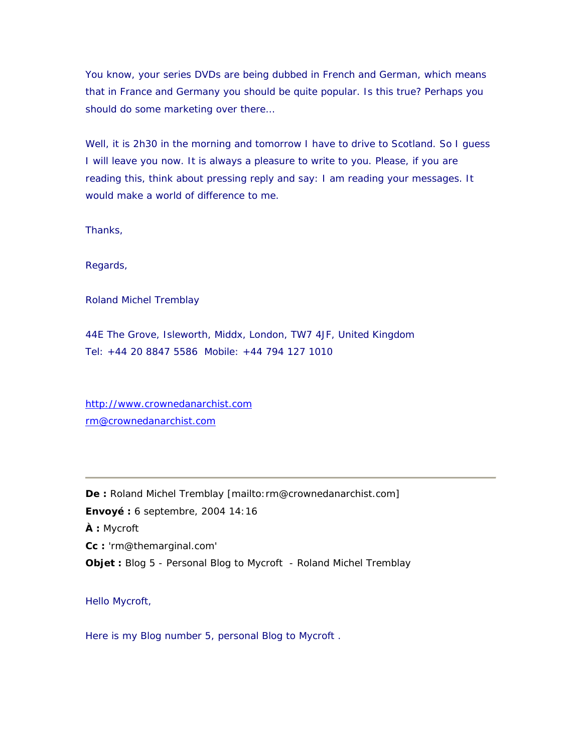You know, your series DVDs are being dubbed in French and German, which means that in France and Germany you should be quite popular. Is this true? Perhaps you should do some marketing over there…

Well, it is 2h30 in the morning and tomorrow I have to drive to Scotland. So I guess I will leave you now. It is always a pleasure to write to you. Please, if you are reading this, think about pressing reply and say: I am reading your messages. It would make a world of difference to me.

Thanks,

Regards,

Roland Michel Tremblay

44E The Grove, Isleworth, Middx, London, TW7 4JF, United Kingdom Tel: +44 20 8847 5586 Mobile: +44 794 127 1010

[http://www.crownedanarchist.com](http://www.crownedanarchist.com/) [rm@crownedanarchist.com](mailto:rm@crownedanarchist.com) 

**De :** Roland Michel Tremblay [mailto:rm@crownedanarchist.com] **Envoyé :** 6 septembre, 2004 14:16 **À :** Mycroft **Cc :** 'rm@themarginal.com' **Objet :** Blog 5 - Personal Blog to Mycroft - Roland Michel Tremblay

Hello Mycroft,

Here is my Blog number 5, personal Blog to Mycroft .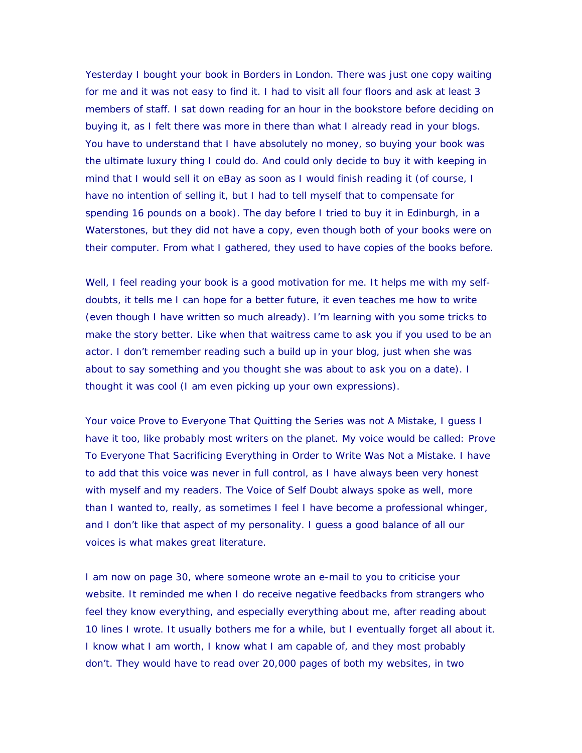Yesterday I bought your book in Borders in London. There was just one copy waiting for me and it was not easy to find it. I had to visit all four floors and ask at least 3 members of staff. I sat down reading for an hour in the bookstore before deciding on buying it, as I felt there was more in there than what I already read in your blogs. You have to understand that I have absolutely no money, so buying your book was the ultimate luxury thing I could do. And could only decide to buy it with keeping in mind that I would sell it on eBay as soon as I would finish reading it (of course, I have no intention of selling it, but I had to tell myself that to compensate for spending 16 pounds on a book). The day before I tried to buy it in Edinburgh, in a Waterstones, but they did not have a copy, even though both of your books were on their computer. From what I gathered, they used to have copies of the books before.

Well, I feel reading your book is a good motivation for me. It helps me with my selfdoubts, it tells me I can hope for a better future, it even teaches me how to write (even though I have written so much already). I'm learning with you some tricks to make the story better. Like when that waitress came to ask you if you used to be an actor. I don't remember reading such a build up in your blog, just when she was about to say something and you thought she was about to ask you on a date). I thought it was cool (I am even picking up your own expressions).

Your voice Prove to Everyone That Quitting the Series was not A Mistake, I guess I have it too, like probably most writers on the planet. My voice would be called: Prove To Everyone That Sacrificing Everything in Order to Write Was Not a Mistake. I have to add that this voice was never in full control, as I have always been very honest with myself and my readers. The Voice of Self Doubt always spoke as well, more than I wanted to, really, as sometimes I feel I have become a professional whinger, and I don't like that aspect of my personality. I guess a good balance of all our voices is what makes great literature.

I am now on page 30, where someone wrote an e-mail to you to criticise your website. It reminded me when I do receive negative feedbacks from strangers who feel they know everything, and especially everything about me, after reading about 10 lines I wrote. It usually bothers me for a while, but I eventually forget all about it. I know what I am worth, I know what I am capable of, and they most probably don't. They would have to read over 20,000 pages of both my websites, in two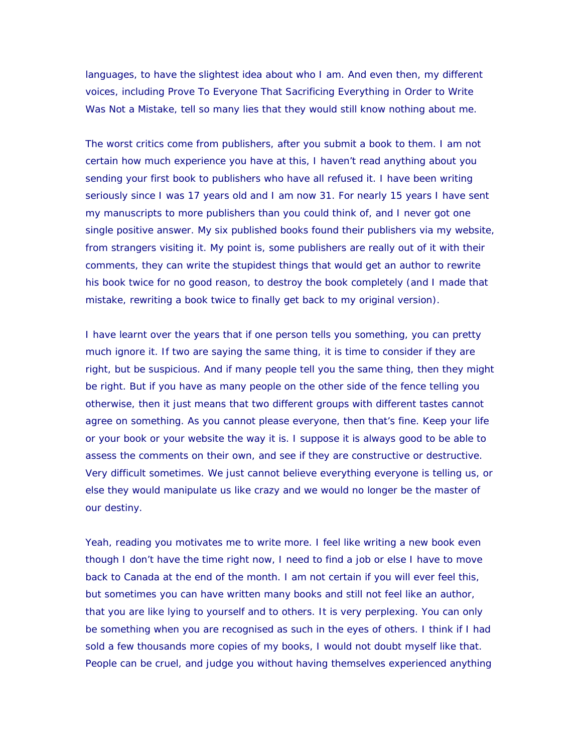languages, to have the slightest idea about who I am. And even then, my different voices, including Prove To Everyone That Sacrificing Everything in Order to Write Was Not a Mistake, tell so many lies that they would still know nothing about me.

The worst critics come from publishers, after you submit a book to them. I am not certain how much experience you have at this, I haven't read anything about you sending your first book to publishers who have all refused it. I have been writing seriously since I was 17 years old and I am now 31. For nearly 15 years I have sent my manuscripts to more publishers than you could think of, and I never got one single positive answer. My six published books found their publishers via my website, from strangers visiting it. My point is, some publishers are really out of it with their comments, they can write the stupidest things that would get an author to rewrite his book twice for no good reason, to destroy the book completely (and I made that mistake, rewriting a book twice to finally get back to my original version).

I have learnt over the years that if one person tells you something, you can pretty much ignore it. If two are saying the same thing, it is time to consider if they are right, but be suspicious. And if many people tell you the same thing, then they might be right. But if you have as many people on the other side of the fence telling you otherwise, then it just means that two different groups with different tastes cannot agree on something. As you cannot please everyone, then that's fine. Keep your life or your book or your website the way it is. I suppose it is always good to be able to assess the comments on their own, and see if they are constructive or destructive. Very difficult sometimes. We just cannot believe everything everyone is telling us, or else they would manipulate us like crazy and we would no longer be the master of our destiny.

Yeah, reading you motivates me to write more. I feel like writing a new book even though I don't have the time right now, I need to find a job or else I have to move back to Canada at the end of the month. I am not certain if you will ever feel this, but sometimes you can have written many books and still not feel like an author, that you are like lying to yourself and to others. It is very perplexing. You can only be something when you are recognised as such in the eyes of others. I think if I had sold a few thousands more copies of my books, I would not doubt myself like that. People can be cruel, and judge you without having themselves experienced anything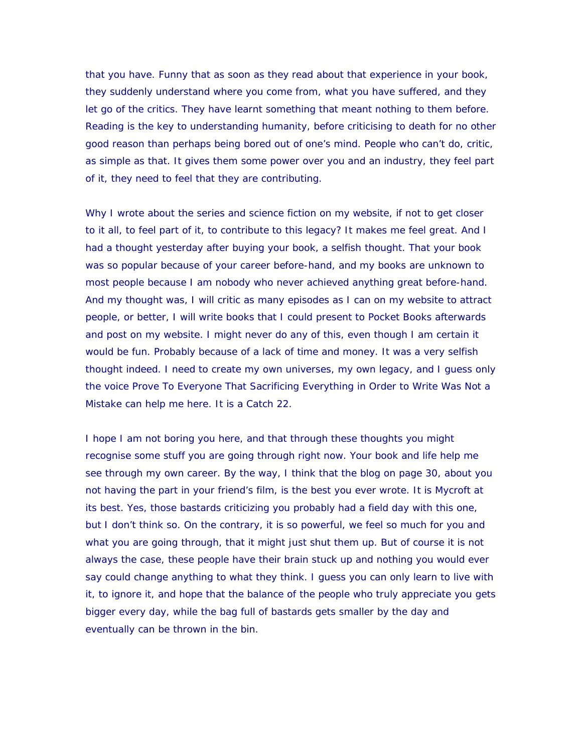that you have. Funny that as soon as they read about that experience in your book, they suddenly understand where you come from, what you have suffered, and they let go of the critics. They have learnt something that meant nothing to them before. Reading is the key to understanding humanity, before criticising to death for no other good reason than perhaps being bored out of one's mind. People who can't do, critic, as simple as that. It gives them some power over you and an industry, they feel part of it, they need to feel that they are contributing.

Why I wrote about the series and science fiction on my website, if not to get closer to it all, to feel part of it, to contribute to this legacy? It makes me feel great. And I had a thought yesterday after buying your book, a selfish thought. That your book was so popular because of your career before-hand, and my books are unknown to most people because I am nobody who never achieved anything great before-hand. And my thought was, I will critic as many episodes as I can on my website to attract people, or better, I will write books that I could present to Pocket Books afterwards and post on my website. I might never do any of this, even though I am certain it would be fun. Probably because of a lack of time and money. It was a very selfish thought indeed. I need to create my own universes, my own legacy, and I guess only the voice Prove To Everyone That Sacrificing Everything in Order to Write Was Not a Mistake can help me here. It is a Catch 22.

I hope I am not boring you here, and that through these thoughts you might recognise some stuff you are going through right now. Your book and life help me see through my own career. By the way, I think that the blog on page 30, about you not having the part in your friend's film, is the best you ever wrote. It is Mycroft at its best. Yes, those bastards criticizing you probably had a field day with this one, but I don't think so. On the contrary, it is so powerful, we feel so much for you and what you are going through, that it might just shut them up. But of course it is not always the case, these people have their brain stuck up and nothing you would ever say could change anything to what they think. I guess you can only learn to live with it, to ignore it, and hope that the balance of the people who truly appreciate you gets bigger every day, while the bag full of bastards gets smaller by the day and eventually can be thrown in the bin.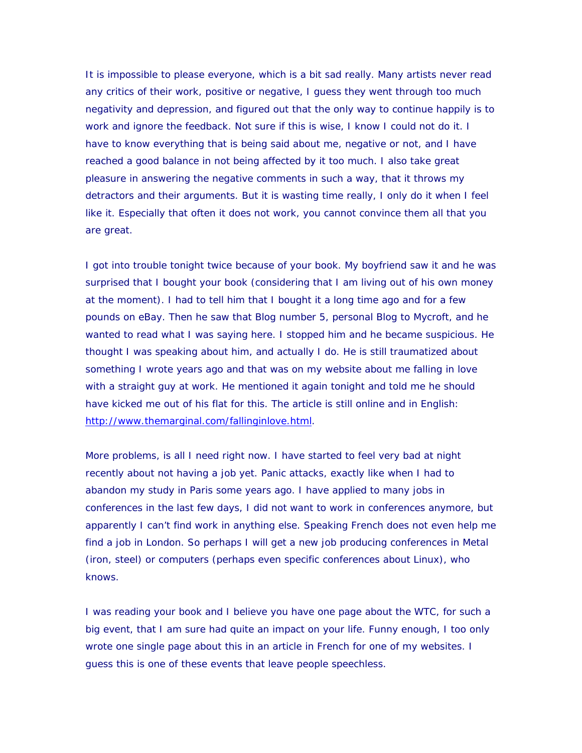It is impossible to please everyone, which is a bit sad really. Many artists never read any critics of their work, positive or negative, I guess they went through too much negativity and depression, and figured out that the only way to continue happily is to work and ignore the feedback. Not sure if this is wise, I know I could not do it. I have to know everything that is being said about me, negative or not, and I have reached a good balance in not being affected by it too much. I also take great pleasure in answering the negative comments in such a way, that it throws my detractors and their arguments. But it is wasting time really, I only do it when I feel like it. Especially that often it does not work, you cannot convince them all that you are great.

I got into trouble tonight twice because of your book. My boyfriend saw it and he was surprised that I bought your book (considering that I am living out of his own money at the moment). I had to tell him that I bought it a long time ago and for a few pounds on eBay. Then he saw that Blog number 5, personal Blog to Mycroft, and he wanted to read what I was saying here. I stopped him and he became suspicious. He thought I was speaking about him, and actually I do. He is still traumatized about something I wrote years ago and that was on my website about me falling in love with a straight guy at work. He mentioned it again tonight and told me he should have kicked me out of his flat for this. The article is still online and in English: <http://www.themarginal.com/fallinginlove.html>.

More problems, is all I need right now. I have started to feel very bad at night recently about not having a job yet. Panic attacks, exactly like when I had to abandon my study in Paris some years ago. I have applied to many jobs in conferences in the last few days, I did not want to work in conferences anymore, but apparently I can't find work in anything else. Speaking French does not even help me find a job in London. So perhaps I will get a new job producing conferences in Metal (iron, steel) or computers (perhaps even specific conferences about Linux), who knows.

I was reading your book and I believe you have one page about the WTC, for such a big event, that I am sure had quite an impact on your life. Funny enough, I too only wrote one single page about this in an article in French for one of my websites. I guess this is one of these events that leave people speechless.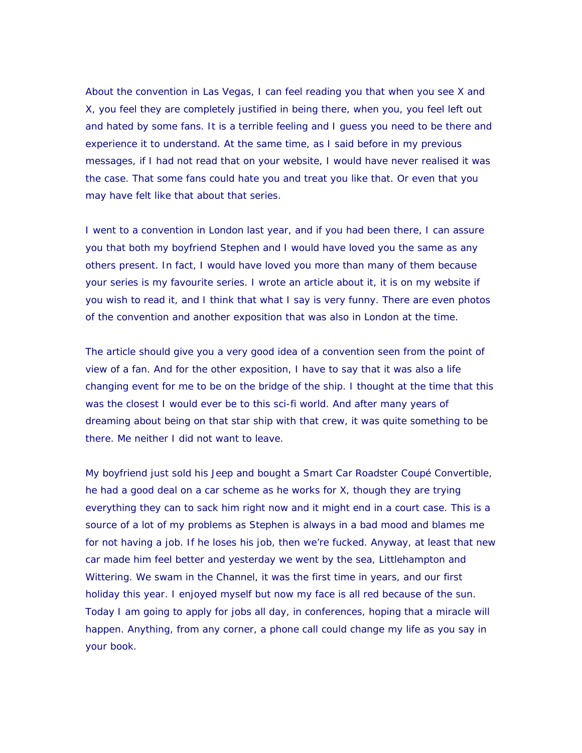About the convention in Las Vegas, I can feel reading you that when you see X and X, you feel they are completely justified in being there, when you, you feel left out and hated by some fans. It is a terrible feeling and I guess you need to be there and experience it to understand. At the same time, as I said before in my previous messages, if I had not read that on your website, I would have never realised it was the case. That some fans could hate you and treat you like that. Or even that you may have felt like that about that series.

I went to a convention in London last year, and if you had been there, I can assure you that both my boyfriend Stephen and I would have loved you the same as any others present. In fact, I would have loved you more than many of them because your series is my favourite series. I wrote an article about it, it is on my website if you wish to read it, and I think that what I say is very funny. There are even photos of the convention and another exposition that was also in London at the time.

The article should give you a very good idea of a convention seen from the point of view of a fan. And for the other exposition, I have to say that it was also a life changing event for me to be on the bridge of the ship. I thought at the time that this was the closest I would ever be to this sci-fi world. And after many years of dreaming about being on that star ship with that crew, it was quite something to be there. Me neither I did not want to leave.

My boyfriend just sold his Jeep and bought a Smart Car Roadster Coupé Convertible, he had a good deal on a car scheme as he works for X, though they are trying everything they can to sack him right now and it might end in a court case. This is a source of a lot of my problems as Stephen is always in a bad mood and blames me for not having a job. If he loses his job, then we're fucked. Anyway, at least that new car made him feel better and yesterday we went by the sea, Littlehampton and Wittering. We swam in the Channel, it was the first time in years, and our first holiday this year. I enjoyed myself but now my face is all red because of the sun. Today I am going to apply for jobs all day, in conferences, hoping that a miracle will happen. Anything, from any corner, a phone call could change my life as you say in your book.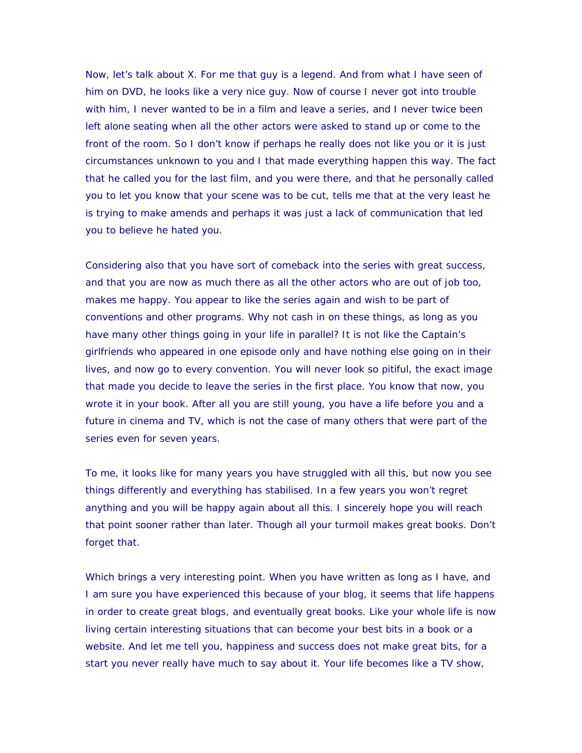Now, let's talk about X. For me that guy is a legend. And from what I have seen of him on DVD, he looks like a very nice guy. Now of course I never got into trouble with him, I never wanted to be in a film and leave a series, and I never twice been left alone seating when all the other actors were asked to stand up or come to the front of the room. So I don't know if perhaps he really does not like you or it is just circumstances unknown to you and I that made everything happen this way. The fact that he called you for the last film, and you were there, and that he personally called you to let you know that your scene was to be cut, tells me that at the very least he is trying to make amends and perhaps it was just a lack of communication that led you to believe he hated you.

Considering also that you have sort of comeback into the series with great success, and that you are now as much there as all the other actors who are out of job too, makes me happy. You appear to like the series again and wish to be part of conventions and other programs. Why not cash in on these things, as long as you have many other things going in your life in parallel? It is not like the Captain's girlfriends who appeared in one episode only and have nothing else going on in their lives, and now go to every convention. You will never look so pitiful, the exact image that made you decide to leave the series in the first place. You know that now, you wrote it in your book. After all you are still young, you have a life before you and a future in cinema and TV, which is not the case of many others that were part of the series even for seven years.

To me, it looks like for many years you have struggled with all this, but now you see things differently and everything has stabilised. In a few years you won't regret anything and you will be happy again about all this. I sincerely hope you will reach that point sooner rather than later. Though all your turmoil makes great books. Don't forget that.

Which brings a very interesting point. When you have written as long as I have, and I am sure you have experienced this because of your blog, it seems that life happens in order to create great blogs, and eventually great books. Like your whole life is now living certain interesting situations that can become your best bits in a book or a website. And let me tell you, happiness and success does not make great bits, for a start you never really have much to say about it. Your life becomes like a TV show,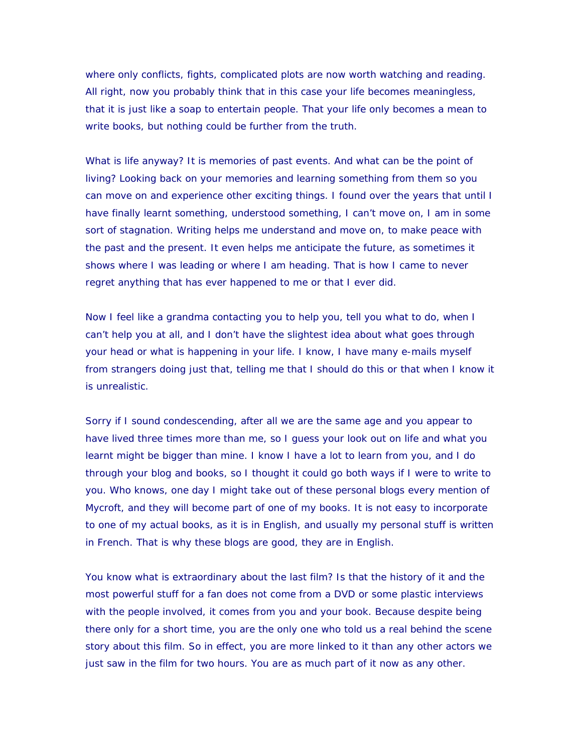where only conflicts, fights, complicated plots are now worth watching and reading. All right, now you probably think that in this case your life becomes meaningless, that it is just like a soap to entertain people. That your life only becomes a mean to write books, but nothing could be further from the truth.

What is life anyway? It is memories of past events. And what can be the point of living? Looking back on your memories and learning something from them so you can move on and experience other exciting things. I found over the years that until I have finally learnt something, understood something, I can't move on, I am in some sort of stagnation. Writing helps me understand and move on, to make peace with the past and the present. It even helps me anticipate the future, as sometimes it shows where I was leading or where I am heading. That is how I came to never regret anything that has ever happened to me or that I ever did.

Now I feel like a grandma contacting you to help you, tell you what to do, when I can't help you at all, and I don't have the slightest idea about what goes through your head or what is happening in your life. I know, I have many e-mails myself from strangers doing just that, telling me that I should do this or that when I know it is unrealistic.

Sorry if I sound condescending, after all we are the same age and you appear to have lived three times more than me, so I guess your look out on life and what you learnt might be bigger than mine. I know I have a lot to learn from you, and I do through your blog and books, so I thought it could go both ways if I were to write to you. Who knows, one day I might take out of these personal blogs every mention of Mycroft, and they will become part of one of my books. It is not easy to incorporate to one of my actual books, as it is in English, and usually my personal stuff is written in French. That is why these blogs are good, they are in English.

You know what is extraordinary about the last film? Is that the history of it and the most powerful stuff for a fan does not come from a DVD or some plastic interviews with the people involved, it comes from you and your book. Because despite being there only for a short time, you are the only one who told us a real behind the scene story about this film. So in effect, you are more linked to it than any other actors we just saw in the film for two hours. You are as much part of it now as any other.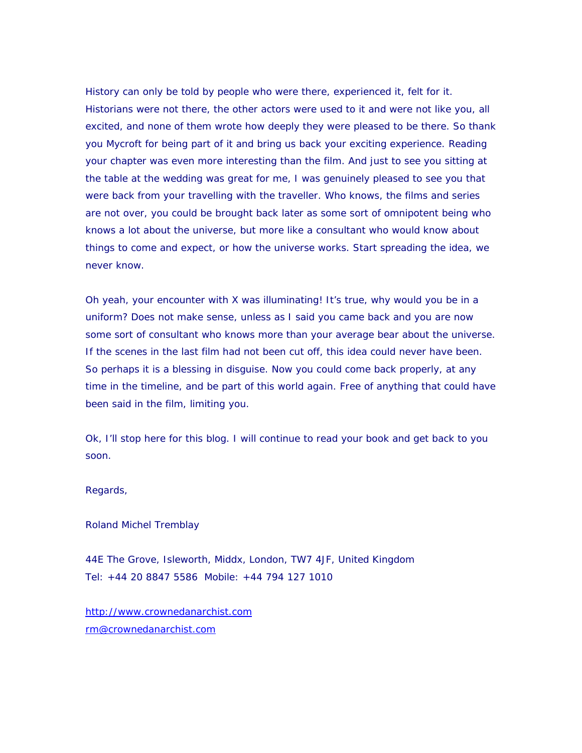History can only be told by people who were there, experienced it, felt for it. Historians were not there, the other actors were used to it and were not like you, all excited, and none of them wrote how deeply they were pleased to be there. So thank you Mycroft for being part of it and bring us back your exciting experience. Reading your chapter was even more interesting than the film. And just to see you sitting at the table at the wedding was great for me, I was genuinely pleased to see you that were back from your travelling with the traveller. Who knows, the films and series are not over, you could be brought back later as some sort of omnipotent being who knows a lot about the universe, but more like a consultant who would know about things to come and expect, or how the universe works. Start spreading the idea, we never know.

Oh yeah, your encounter with X was illuminating! It's true, why would you be in a uniform? Does not make sense, unless as I said you came back and you are now some sort of consultant who knows more than your average bear about the universe. If the scenes in the last film had not been cut off, this idea could never have been. So perhaps it is a blessing in disguise. Now you could come back properly, at any time in the timeline, and be part of this world again. Free of anything that could have been said in the film, limiting you.

Ok, I'll stop here for this blog. I will continue to read your book and get back to you soon.

Regards,

#### Roland Michel Tremblay

44E The Grove, Isleworth, Middx, London, TW7 4JF, United Kingdom Tel: +44 20 8847 5586 Mobile: +44 794 127 1010

[http://www.crownedanarchist.com](http://www.crownedanarchist.com/) [rm@crownedanarchist.com](mailto:rm@crownedanarchist.com)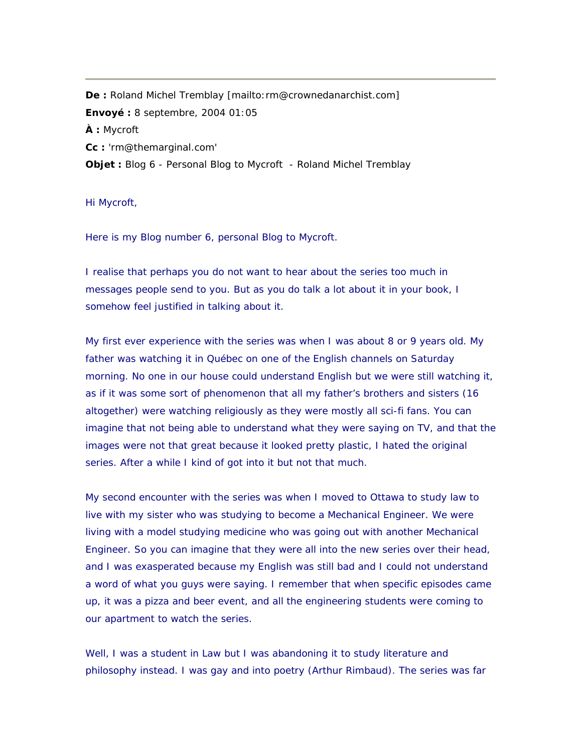**De :** Roland Michel Tremblay [mailto:rm@crownedanarchist.com] **Envoyé :** 8 septembre, 2004 01:05 **À :** Mycroft **Cc :** 'rm@themarginal.com' **Objet :** Blog 6 - Personal Blog to Mycroft - Roland Michel Tremblay

Hi Mycroft,

Here is my Blog number 6, personal Blog to Mycroft.

I realise that perhaps you do not want to hear about the series too much in messages people send to you. But as you do talk a lot about it in your book, I somehow feel justified in talking about it.

My first ever experience with the series was when I was about 8 or 9 years old. My father was watching it in Québec on one of the English channels on Saturday morning. No one in our house could understand English but we were still watching it, as if it was some sort of phenomenon that all my father's brothers and sisters (16 altogether) were watching religiously as they were mostly all sci-fi fans. You can imagine that not being able to understand what they were saying on TV, and that the images were not that great because it looked pretty plastic, I hated the original series. After a while I kind of got into it but not that much.

My second encounter with the series was when I moved to Ottawa to study law to live with my sister who was studying to become a Mechanical Engineer. We were living with a model studying medicine who was going out with another Mechanical Engineer. So you can imagine that they were all into the new series over their head, and I was exasperated because my English was still bad and I could not understand a word of what you guys were saying. I remember that when specific episodes came up, it was a pizza and beer event, and all the engineering students were coming to our apartment to watch the series.

Well, I was a student in Law but I was abandoning it to study literature and philosophy instead. I was gay and into poetry (Arthur Rimbaud). The series was far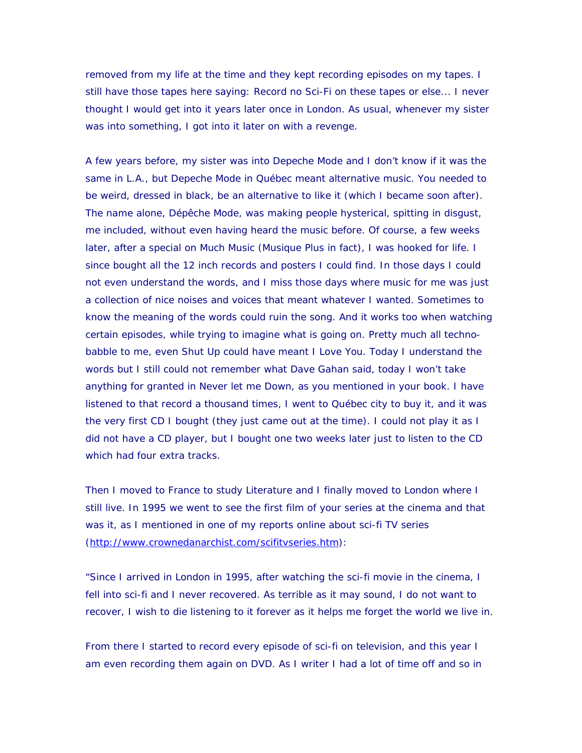removed from my life at the time and they kept recording episodes on my tapes. I still have those tapes here saying: Record no Sci-Fi on these tapes or else... I never thought I would get into it years later once in London. As usual, whenever my sister was into something, I got into it later on with a revenge.

A few years before, my sister was into Depeche Mode and I don't know if it was the same in L.A., but Depeche Mode in Québec meant alternative music. You needed to be weird, dressed in black, be an alternative to like it (which I became soon after). The name alone, Dépêche Mode, was making people hysterical, spitting in disgust, me included, without even having heard the music before. Of course, a few weeks later, after a special on Much Music (Musique Plus in fact), I was hooked for life. I since bought all the 12 inch records and posters I could find. In those days I could not even understand the words, and I miss those days where music for me was just a collection of nice noises and voices that meant whatever I wanted. Sometimes to know the meaning of the words could ruin the song. And it works too when watching certain episodes, while trying to imagine what is going on. Pretty much all technobabble to me, even Shut Up could have meant I Love You. Today I understand the words but I still could not remember what Dave Gahan said, today I won't take anything for granted in Never let me Down, as you mentioned in your book. I have listened to that record a thousand times, I went to Québec city to buy it, and it was the very first CD I bought (they just came out at the time). I could not play it as I did not have a CD player, but I bought one two weeks later just to listen to the CD which had four extra tracks.

Then I moved to France to study Literature and I finally moved to London where I still live. In 1995 we went to see the first film of your series at the cinema and that was it, as I mentioned in one of my reports online about sci-fi TV series ([http://www.crownedanarchist.com/scifitvseries.htm\)](http://www.crownedanarchist.com/scifitvseries.htm):

"Since I arrived in London in 1995, after watching the sci-fi movie in the cinema, I fell into sci-fi and I never recovered. As terrible as it may sound, I do not want to recover, I wish to die listening to it forever as it helps me forget the world we live in.

From there I started to record every episode of sci-fi on television, and this year I am even recording them again on DVD. As I writer I had a lot of time off and so in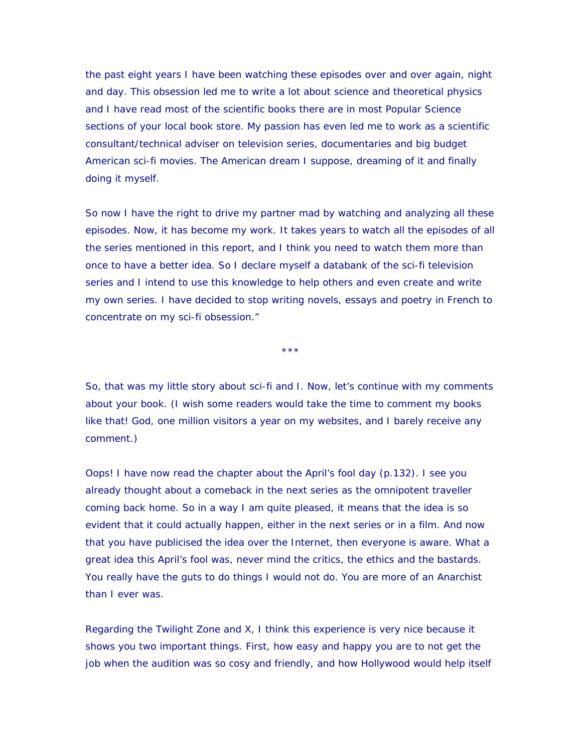the past eight years I have been watching these episodes over and over again, night and day. This obsession led me to write a lot about science and theoretical physics and I have read most of the scientific books there are in most Popular Science sections of your local book store. My passion has even led me to work as a scientific consultant/technical adviser on television series, documentaries and big budget American sci-fi movies. The American dream I suppose, dreaming of it and finally doing it myself.

So now I have the right to drive my partner mad by watching and analyzing all these episodes. Now, it has become my work. It takes years to watch all the episodes of all the series mentioned in this report, and I think you need to watch them more than once to have a better idea. So I declare myself a databank of the sci-fi television series and I intend to use this knowledge to help others and even create and write my own series. I have decided to stop writing novels, essays and poetry in French to concentrate on my sci-fi obsession."

\*\*\*

So, that was my little story about sci-fi and I. Now, let's continue with my comments about your book. (I wish some readers would take the time to comment my books like that! God, one million visitors a year on my websites, and I barely receive any comment.)

Oops! I have now read the chapter about the April's fool day (p.132). I see you already thought about a comeback in the next series as the omnipotent traveller coming back home. So in a way I am quite pleased, it means that the idea is so evident that it could actually happen, either in the next series or in a film. And now that you have publicised the idea over the Internet, then everyone is aware. What a great idea this April's fool was, never mind the critics, the ethics and the bastards. You really have the guts to do things I would not do. You are more of an Anarchist than I ever was.

Regarding the Twilight Zone and X, I think this experience is very nice because it shows you two important things. First, how easy and happy you are to not get the job when the audition was so cosy and friendly, and how Hollywood would help itself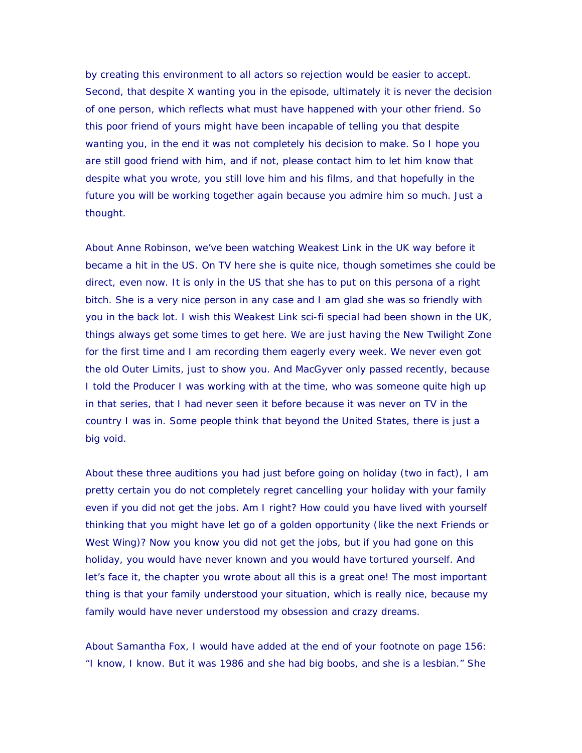by creating this environment to all actors so rejection would be easier to accept. Second, that despite X wanting you in the episode, ultimately it is never the decision of one person, which reflects what must have happened with your other friend. So this poor friend of yours might have been incapable of telling you that despite wanting you, in the end it was not completely his decision to make. So I hope you are still good friend with him, and if not, please contact him to let him know that despite what you wrote, you still love him and his films, and that hopefully in the future you will be working together again because you admire him so much. Just a thought.

About Anne Robinson, we've been watching Weakest Link in the UK way before it became a hit in the US. On TV here she is quite nice, though sometimes she could be direct, even now. It is only in the US that she has to put on this persona of a right bitch. She is a very nice person in any case and I am glad she was so friendly with you in the back lot. I wish this Weakest Link sci-fi special had been shown in the UK, things always get some times to get here. We are just having the New Twilight Zone for the first time and I am recording them eagerly every week. We never even got the old Outer Limits, just to show you. And MacGyver only passed recently, because I told the Producer I was working with at the time, who was someone quite high up in that series, that I had never seen it before because it was never on TV in the country I was in. Some people think that beyond the United States, there is just a big void.

About these three auditions you had just before going on holiday (two in fact), I am pretty certain you do not completely regret cancelling your holiday with your family even if you did not get the jobs. Am I right? How could you have lived with yourself thinking that you might have let go of a golden opportunity (like the next Friends or West Wing)? Now you know you did not get the jobs, but if you had gone on this holiday, you would have never known and you would have tortured yourself. And let's face it, the chapter you wrote about all this is a great one! The most important thing is that your family understood your situation, which is really nice, because my family would have never understood my obsession and crazy dreams.

About Samantha Fox, I would have added at the end of your footnote on page 156: "I know, I know. But it was 1986 and she had big boobs, and she is a lesbian." She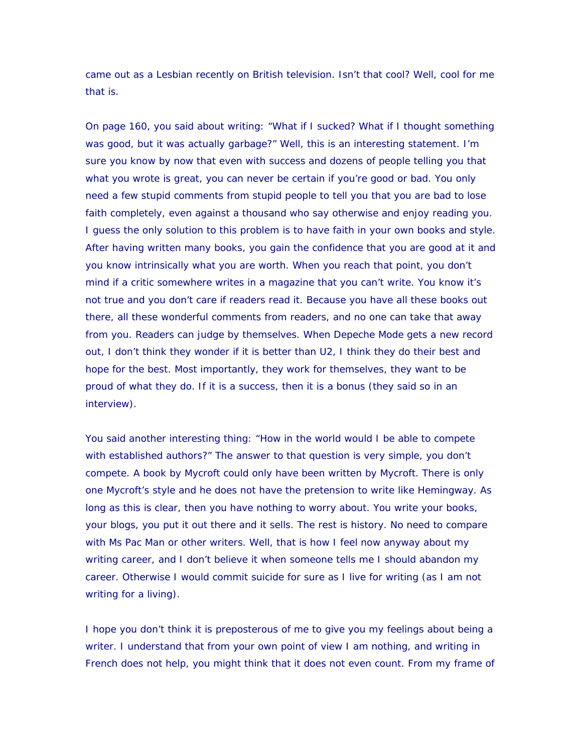came out as a Lesbian recently on British television. Isn't that cool? Well, cool for me that is.

On page 160, you said about writing: "What if I sucked? What if I thought something was good, but it was actually garbage?" Well, this is an interesting statement. I'm sure you know by now that even with success and dozens of people telling you that what you wrote is great, you can never be certain if you're good or bad. You only need a few stupid comments from stupid people to tell you that you are bad to lose faith completely, even against a thousand who say otherwise and enjoy reading you. I guess the only solution to this problem is to have faith in your own books and style. After having written many books, you gain the confidence that you are good at it and you know intrinsically what you are worth. When you reach that point, you don't mind if a critic somewhere writes in a magazine that you can't write. You know it's not true and you don't care if readers read it. Because you have all these books out there, all these wonderful comments from readers, and no one can take that away from you. Readers can judge by themselves. When Depeche Mode gets a new record out, I don't think they wonder if it is better than U2, I think they do their best and hope for the best. Most importantly, they work for themselves, they want to be proud of what they do. If it is a success, then it is a bonus (they said so in an interview).

You said another interesting thing: "How in the world would I be able to compete with established authors?" The answer to that question is very simple, you don't compete. A book by Mycroft could only have been written by Mycroft. There is only one Mycroft's style and he does not have the pretension to write like Hemingway. As long as this is clear, then you have nothing to worry about. You write your books, your blogs, you put it out there and it sells. The rest is history. No need to compare with Ms Pac Man or other writers. Well, that is how I feel now anyway about my writing career, and I don't believe it when someone tells me I should abandon my career. Otherwise I would commit suicide for sure as I live for writing (as I am not writing for a living).

I hope you don't think it is preposterous of me to give you my feelings about being a writer. I understand that from your own point of view I am nothing, and writing in French does not help, you might think that it does not even count. From my frame of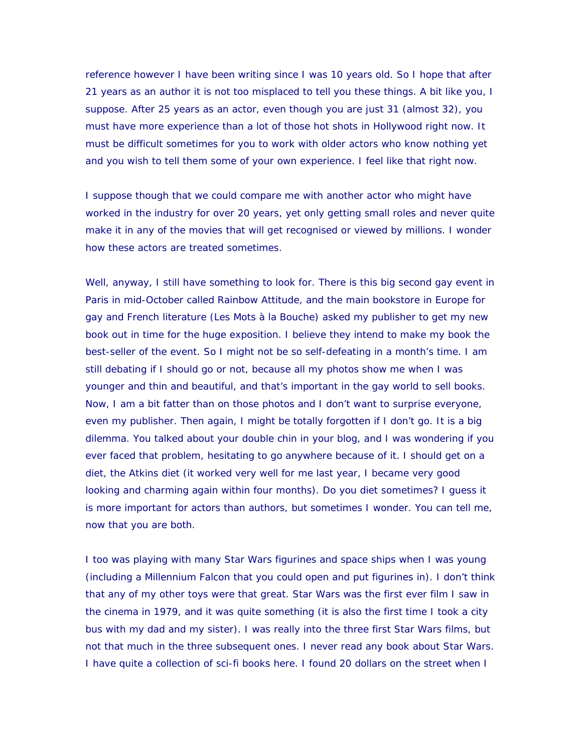reference however I have been writing since I was 10 years old. So I hope that after 21 years as an author it is not too misplaced to tell you these things. A bit like you, I suppose. After 25 years as an actor, even though you are just 31 (almost 32), you must have more experience than a lot of those hot shots in Hollywood right now. It must be difficult sometimes for you to work with older actors who know nothing yet and you wish to tell them some of your own experience. I feel like that right now.

I suppose though that we could compare me with another actor who might have worked in the industry for over 20 years, yet only getting small roles and never quite make it in any of the movies that will get recognised or viewed by millions. I wonder how these actors are treated sometimes.

Well, anyway, I still have something to look for. There is this big second gay event in Paris in mid-October called Rainbow Attitude, and the main bookstore in Europe for gay and French literature (Les Mots à la Bouche) asked my publisher to get my new book out in time for the huge exposition. I believe they intend to make my book the best-seller of the event. So I might not be so self-defeating in a month's time. I am still debating if I should go or not, because all my photos show me when I was younger and thin and beautiful, and that's important in the gay world to sell books. Now, I am a bit fatter than on those photos and I don't want to surprise everyone, even my publisher. Then again, I might be totally forgotten if I don't go. It is a big dilemma. You talked about your double chin in your blog, and I was wondering if you ever faced that problem, hesitating to go anywhere because of it. I should get on a diet, the Atkins diet (it worked very well for me last year, I became very good looking and charming again within four months). Do you diet sometimes? I guess it is more important for actors than authors, but sometimes I wonder. You can tell me, now that you are both.

I too was playing with many Star Wars figurines and space ships when I was young (including a Millennium Falcon that you could open and put figurines in). I don't think that any of my other toys were that great. Star Wars was the first ever film I saw in the cinema in 1979, and it was quite something (it is also the first time I took a city bus with my dad and my sister). I was really into the three first Star Wars films, but not that much in the three subsequent ones. I never read any book about Star Wars. I have quite a collection of sci-fi books here. I found 20 dollars on the street when I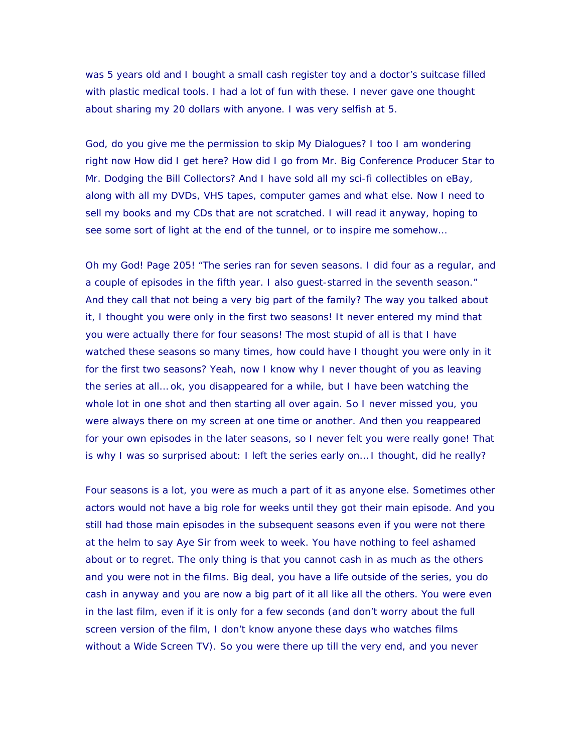was 5 years old and I bought a small cash register toy and a doctor's suitcase filled with plastic medical tools. I had a lot of fun with these. I never gave one thought about sharing my 20 dollars with anyone. I was very selfish at 5.

God, do you give me the permission to skip My Dialogues? I too I am wondering right now How did I get here? How did I go from Mr. Big Conference Producer Star to Mr. Dodging the Bill Collectors? And I have sold all my sci-fi collectibles on eBay, along with all my DVDs, VHS tapes, computer games and what else. Now I need to sell my books and my CDs that are not scratched. I will read it anyway, hoping to see some sort of light at the end of the tunnel, or to inspire me somehow…

Oh my God! Page 205! "The series ran for seven seasons. I did four as a regular, and a couple of episodes in the fifth year. I also guest-starred in the seventh season." And they call that not being a very big part of the family? The way you talked about it, I thought you were only in the first two seasons! It never entered my mind that you were actually there for four seasons! The most stupid of all is that I have watched these seasons so many times, how could have I thought you were only in it for the first two seasons? Yeah, now I know why I never thought of you as leaving the series at all… ok, you disappeared for a while, but I have been watching the whole lot in one shot and then starting all over again. So I never missed you, you were always there on my screen at one time or another. And then you reappeared for your own episodes in the later seasons, so I never felt you were really gone! That is why I was so surprised about: I left the series early on… I thought, did he really?

Four seasons is a lot, you were as much a part of it as anyone else. Sometimes other actors would not have a big role for weeks until they got their main episode. And you still had those main episodes in the subsequent seasons even if you were not there at the helm to say Aye Sir from week to week. You have nothing to feel ashamed about or to regret. The only thing is that you cannot cash in as much as the others and you were not in the films. Big deal, you have a life outside of the series, you do cash in anyway and you are now a big part of it all like all the others. You were even in the last film, even if it is only for a few seconds (and don't worry about the full screen version of the film, I don't know anyone these days who watches films without a Wide Screen TV). So you were there up till the very end, and you never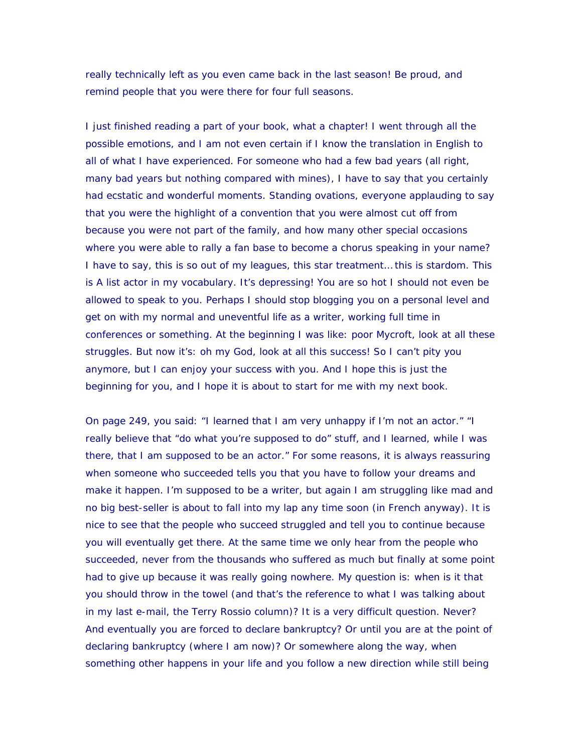really technically left as you even came back in the last season! Be proud, and remind people that you were there for four full seasons.

I just finished reading a part of your book, what a chapter! I went through all the possible emotions, and I am not even certain if I know the translation in English to all of what I have experienced. For someone who had a few bad years (all right, many bad years but nothing compared with mines), I have to say that you certainly had ecstatic and wonderful moments. Standing ovations, everyone applauding to say that you were the highlight of a convention that you were almost cut off from because you were not part of the family, and how many other special occasions where you were able to rally a fan base to become a chorus speaking in your name? I have to say, this is so out of my leagues, this star treatment… this is stardom. This is A list actor in my vocabulary. It's depressing! You are so hot I should not even be allowed to speak to you. Perhaps I should stop blogging you on a personal level and get on with my normal and uneventful life as a writer, working full time in conferences or something. At the beginning I was like: poor Mycroft, look at all these struggles. But now it's: oh my God, look at all this success! So I can't pity you anymore, but I can enjoy your success with you. And I hope this is just the beginning for you, and I hope it is about to start for me with my next book.

On page 249, you said: "I learned that I am very unhappy if I'm not an actor." "I really believe that "do what you're supposed to do" stuff, and I learned, while I was there, that I am supposed to be an actor." For some reasons, it is always reassuring when someone who succeeded tells you that you have to follow your dreams and make it happen. I'm supposed to be a writer, but again I am struggling like mad and no big best-seller is about to fall into my lap any time soon (in French anyway). It is nice to see that the people who succeed struggled and tell you to continue because you will eventually get there. At the same time we only hear from the people who succeeded, never from the thousands who suffered as much but finally at some point had to give up because it was really going nowhere. My question is: when is it that you should throw in the towel (and that's the reference to what I was talking about in my last e-mail, the Terry Rossio column)? It is a very difficult question. Never? And eventually you are forced to declare bankruptcy? Or until you are at the point of declaring bankruptcy (where I am now)? Or somewhere along the way, when something other happens in your life and you follow a new direction while still being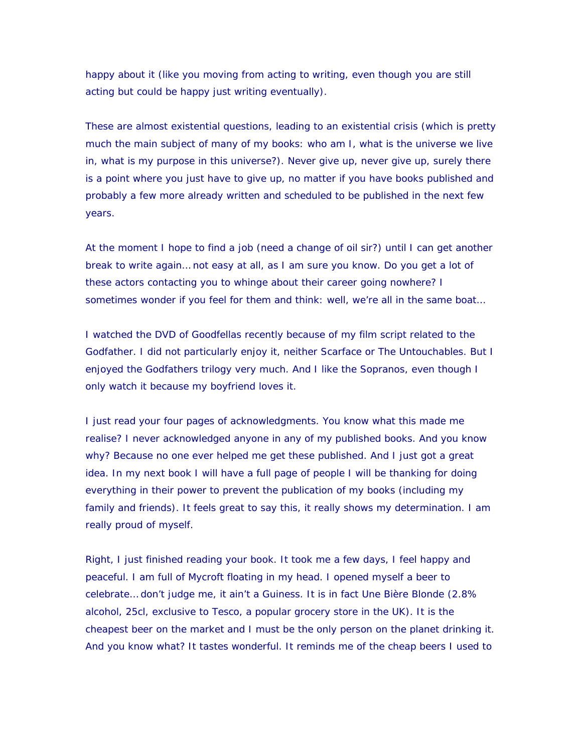happy about it (like you moving from acting to writing, even though you are still acting but could be happy just writing eventually).

These are almost existential questions, leading to an existential crisis (which is pretty much the main subject of many of my books: who am I, what is the universe we live in, what is my purpose in this universe?). Never give up, never give up, surely there is a point where you just have to give up, no matter if you have books published and probably a few more already written and scheduled to be published in the next few years.

At the moment I hope to find a job (need a change of oil sir?) until I can get another break to write again… not easy at all, as I am sure you know. Do you get a lot of these actors contacting you to whinge about their career going nowhere? I sometimes wonder if you feel for them and think: well, we're all in the same boat…

I watched the DVD of Goodfellas recently because of my film script related to the Godfather. I did not particularly enjoy it, neither Scarface or The Untouchables. But I enjoyed the Godfathers trilogy very much. And I like the Sopranos, even though I only watch it because my boyfriend loves it.

I just read your four pages of acknowledgments. You know what this made me realise? I never acknowledged anyone in any of my published books. And you know why? Because no one ever helped me get these published. And I just got a great idea. In my next book I will have a full page of people I will be thanking for doing everything in their power to prevent the publication of my books (including my family and friends). It feels great to say this, it really shows my determination. I am really proud of myself.

Right, I just finished reading your book. It took me a few days, I feel happy and peaceful. I am full of Mycroft floating in my head. I opened myself a beer to celebrate… don't judge me, it ain't a Guiness. It is in fact Une Bière Blonde (2.8% alcohol, 25cl, exclusive to Tesco, a popular grocery store in the UK). It is the cheapest beer on the market and I must be the only person on the planet drinking it. And you know what? It tastes wonderful. It reminds me of the cheap beers I used to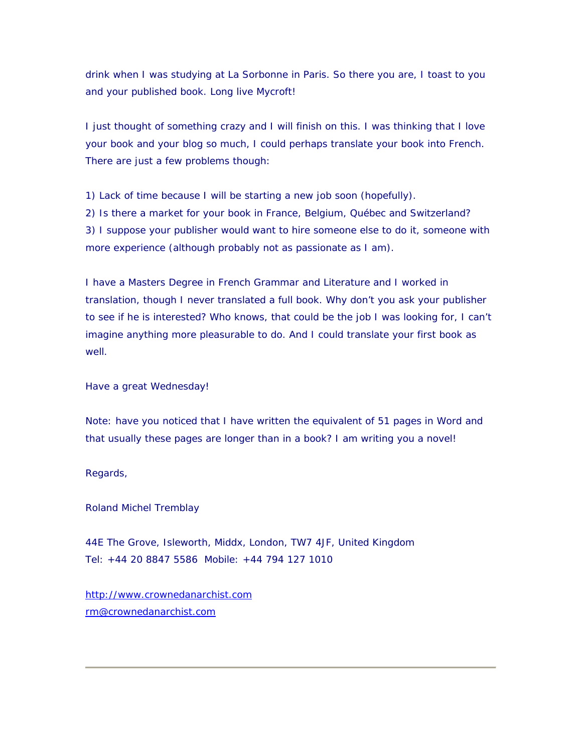drink when I was studying at La Sorbonne in Paris. So there you are, I toast to you and your published book. Long live Mycroft!

I just thought of something crazy and I will finish on this. I was thinking that I love your book and your blog so much, I could perhaps translate your book into French. There are just a few problems though:

1) Lack of time because I will be starting a new job soon (hopefully). 2) Is there a market for your book in France, Belgium, Québec and Switzerland? 3) I suppose your publisher would want to hire someone else to do it, someone with more experience (although probably not as passionate as I am).

I have a Masters Degree in French Grammar and Literature and I worked in translation, though I never translated a full book. Why don't you ask your publisher to see if he is interested? Who knows, that could be the job I was looking for, I can't imagine anything more pleasurable to do. And I could translate your first book as well.

Have a great Wednesday!

Note: have you noticed that I have written the equivalent of 51 pages in Word and that usually these pages are longer than in a book? I am writing you a novel!

Regards,

Roland Michel Tremblay

44E The Grove, Isleworth, Middx, London, TW7 4JF, United Kingdom Tel: +44 20 8847 5586 Mobile: +44 794 127 1010

[http://www.crownedanarchist.com](http://www.crownedanarchist.com/) [rm@crownedanarchist.com](mailto:rm@crownedanarchist.com)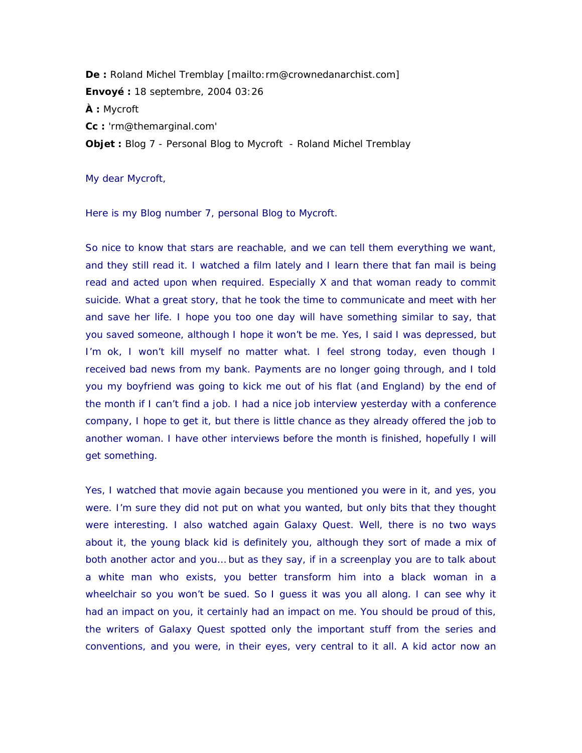**De :** Roland Michel Tremblay [mailto:rm@crownedanarchist.com] **Envoyé :** 18 septembre, 2004 03:26 **À :** Mycroft **Cc :** 'rm@themarginal.com' **Objet :** Blog 7 - Personal Blog to Mycroft - Roland Michel Tremblay

My dear Mycroft,

Here is my Blog number 7, personal Blog to Mycroft.

So nice to know that stars are reachable, and we can tell them everything we want, and they still read it. I watched a film lately and I learn there that fan mail is being read and acted upon when required. Especially X and that woman ready to commit suicide. What a great story, that he took the time to communicate and meet with her and save her life. I hope you too one day will have something similar to say, that you saved someone, although I hope it won't be me. Yes, I said I was depressed, but I'm ok, I won't kill myself no matter what. I feel strong today, even though I received bad news from my bank. Payments are no longer going through, and I told you my boyfriend was going to kick me out of his flat (and England) by the end of the month if I can't find a job. I had a nice job interview yesterday with a conference company, I hope to get it, but there is little chance as they already offered the job to another woman. I have other interviews before the month is finished, hopefully I will get something.

Yes, I watched that movie again because you mentioned you were in it, and yes, you were. I'm sure they did not put on what you wanted, but only bits that they thought were interesting. I also watched again Galaxy Quest. Well, there is no two ways about it, the young black kid is definitely you, although they sort of made a mix of both another actor and you… but as they say, if in a screenplay you are to talk about a white man who exists, you better transform him into a black woman in a wheelchair so you won't be sued. So I guess it was you all along. I can see why it had an impact on you, it certainly had an impact on me. You should be proud of this, the writers of Galaxy Quest spotted only the important stuff from the series and conventions, and you were, in their eyes, very central to it all. A kid actor now an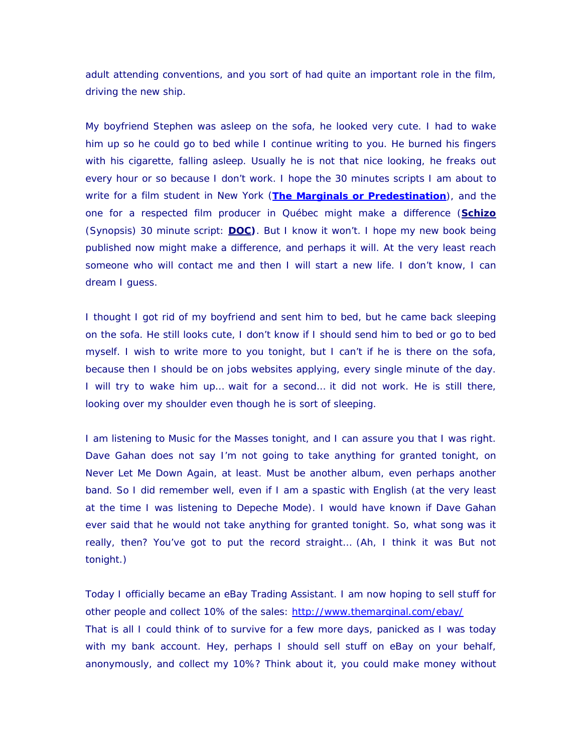adult attending conventions, and you sort of had quite an important role in the film, driving the new ship.

My boyfriend Stephen was asleep on the sofa, he looked very cute. I had to wake him up so he could go to bed while I continue writing to you. He burned his fingers with his cigarette, falling asleep. Usually he is not that nice looking, he freaks out every hour or so because I don't work. I hope the 30 minutes scripts I am about to write for a film student in New York (**[The Marginals or Predestination](http://www.crownedanarchist.com/themarginals.htm)**), and the one for a respected film producer in Québec might make a difference (**[Schizo](http://www.crownedanarchist.com/schizo.htm)**  (Synopsis) 30 minute script: **[DOC](http://www.crownedanarchist.com/schizo8.doc))**. But I know it won't. I hope my new book being published now might make a difference, and perhaps it will. At the very least reach someone who will contact me and then I will start a new life. I don't know, I can dream I guess.

I thought I got rid of my boyfriend and sent him to bed, but he came back sleeping on the sofa. He still looks cute, I don't know if I should send him to bed or go to bed myself. I wish to write more to you tonight, but I can't if he is there on the sofa, because then I should be on jobs websites applying, every single minute of the day. I will try to wake him up… wait for a second… it did not work. He is still there, looking over my shoulder even though he is sort of sleeping.

I am listening to Music for the Masses tonight, and I can assure you that I was right. Dave Gahan does not say I'm not going to take anything for granted tonight, on Never Let Me Down Again, at least. Must be another album, even perhaps another band. So I did remember well, even if I am a spastic with English (at the very least at the time I was listening to Depeche Mode). I would have known if Dave Gahan ever said that he would not take anything for granted tonight. So, what song was it really, then? You've got to put the record straight… (Ah, I think it was But not tonight.)

Today I officially became an eBay Trading Assistant. I am now hoping to sell stuff for other people and collect 10% of the sales:<http://www.themarginal.com/ebay/> That is all I could think of to survive for a few more days, panicked as I was today with my bank account. Hey, perhaps I should sell stuff on eBay on your behalf, anonymously, and collect my 10%? Think about it, you could make money without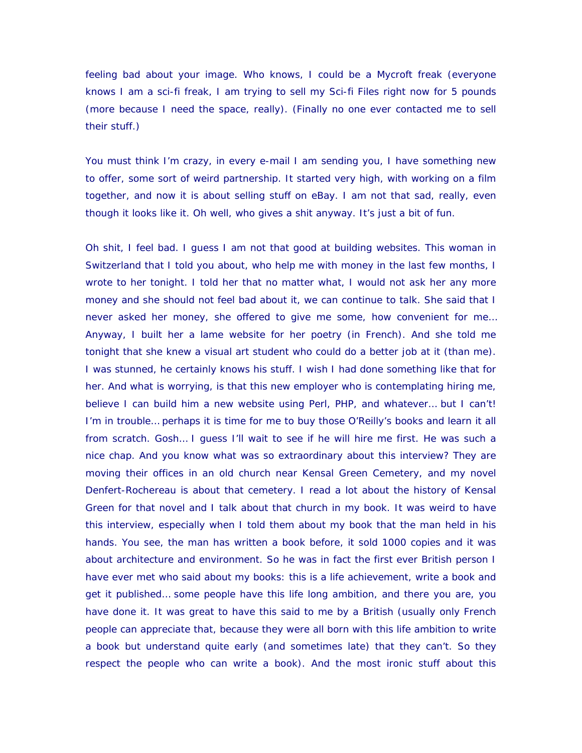feeling bad about your image. Who knows, I could be a Mycroft freak (everyone knows I am a sci-fi freak, I am trying to sell my Sci-fi Files right now for 5 pounds (more because I need the space, really). (Finally no one ever contacted me to sell their stuff.)

You must think I'm crazy, in every e-mail I am sending you, I have something new to offer, some sort of weird partnership. It started very high, with working on a film together, and now it is about selling stuff on eBay. I am not that sad, really, even though it looks like it. Oh well, who gives a shit anyway. It's just a bit of fun.

Oh shit, I feel bad. I guess I am not that good at building websites. This woman in Switzerland that I told you about, who help me with money in the last few months, I wrote to her tonight. I told her that no matter what, I would not ask her any more money and she should not feel bad about it, we can continue to talk. She said that I never asked her money, she offered to give me some, how convenient for me… Anyway, I built her a lame website for her poetry (in French). And she told me tonight that she knew a visual art student who could do a better job at it (than me). I was stunned, he certainly knows his stuff. I wish I had done something like that for her. And what is worrying, is that this new employer who is contemplating hiring me, believe I can build him a new website using Perl, PHP, and whatever... but I can't! I'm in trouble… perhaps it is time for me to buy those O'Reilly's books and learn it all from scratch. Gosh... I guess I'll wait to see if he will hire me first. He was such a nice chap. And you know what was so extraordinary about this interview? They are moving their offices in an old church near Kensal Green Cemetery, and my novel Denfert-Rochereau is about that cemetery. I read a lot about the history of Kensal Green for that novel and I talk about that church in my book. It was weird to have this interview, especially when I told them about my book that the man held in his hands. You see, the man has written a book before, it sold 1000 copies and it was about architecture and environment. So he was in fact the first ever British person I have ever met who said about my books: this is a life achievement, write a book and get it published… some people have this life long ambition, and there you are, you have done it. It was great to have this said to me by a British (usually only French people can appreciate that, because they were all born with this life ambition to write a book but understand quite early (and sometimes late) that they can't. So they respect the people who can write a book). And the most ironic stuff about this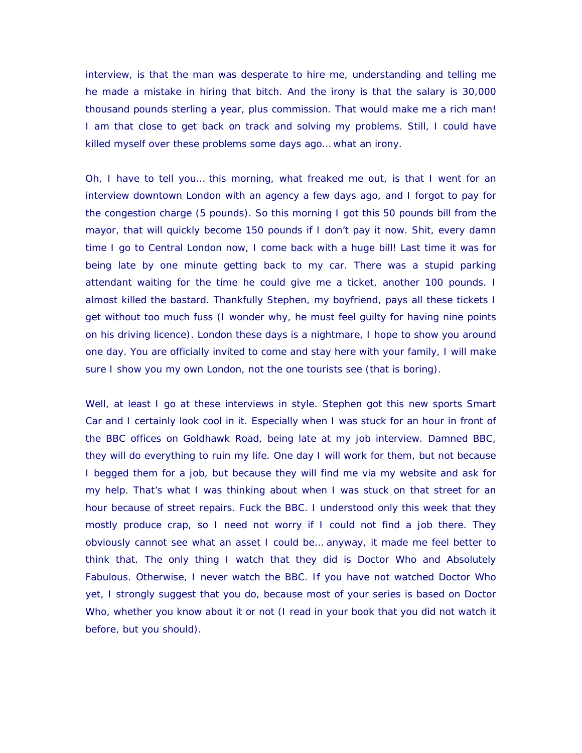interview, is that the man was desperate to hire me, understanding and telling me he made a mistake in hiring that bitch. And the irony is that the salary is 30,000 thousand pounds sterling a year, plus commission. That would make me a rich man! I am that close to get back on track and solving my problems. Still, I could have killed myself over these problems some days ago… what an irony.

Oh, I have to tell you… this morning, what freaked me out, is that I went for an interview downtown London with an agency a few days ago, and I forgot to pay for the congestion charge (5 pounds). So this morning I got this 50 pounds bill from the mayor, that will quickly become 150 pounds if I don't pay it now. Shit, every damn time I go to Central London now, I come back with a huge bill! Last time it was for being late by one minute getting back to my car. There was a stupid parking attendant waiting for the time he could give me a ticket, another 100 pounds. I almost killed the bastard. Thankfully Stephen, my boyfriend, pays all these tickets I get without too much fuss (I wonder why, he must feel guilty for having nine points on his driving licence). London these days is a nightmare, I hope to show you around one day. You are officially invited to come and stay here with your family, I will make sure I show you my own London, not the one tourists see (that is boring).

Well, at least I go at these interviews in style. Stephen got this new sports Smart Car and I certainly look cool in it. Especially when I was stuck for an hour in front of the BBC offices on Goldhawk Road, being late at my job interview. Damned BBC, they will do everything to ruin my life. One day I will work for them, but not because I begged them for a job, but because they will find me via my website and ask for my help. That's what I was thinking about when I was stuck on that street for an hour because of street repairs. Fuck the BBC. I understood only this week that they mostly produce crap, so I need not worry if I could not find a job there. They obviously cannot see what an asset I could be… anyway, it made me feel better to think that. The only thing I watch that they did is Doctor Who and Absolutely Fabulous. Otherwise, I never watch the BBC. If you have not watched Doctor Who yet, I strongly suggest that you do, because most of your series is based on Doctor Who, whether you know about it or not (I read in your book that you did not watch it before, but you should).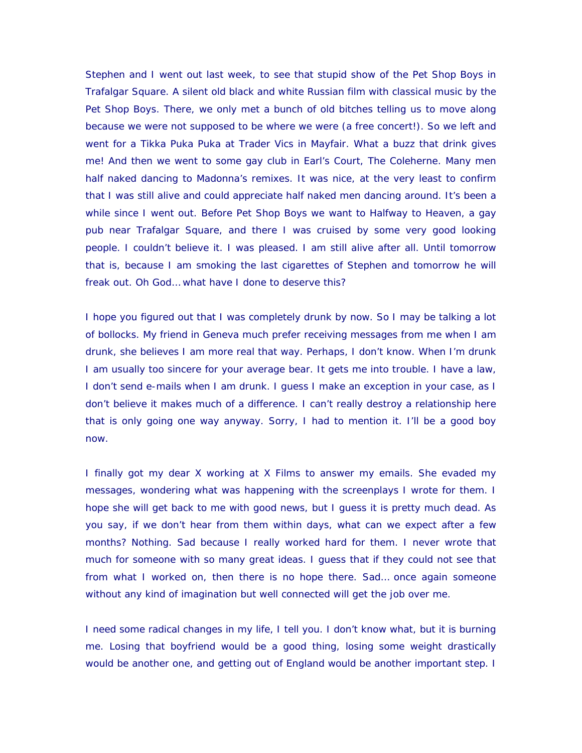Stephen and I went out last week, to see that stupid show of the Pet Shop Boys in Trafalgar Square. A silent old black and white Russian film with classical music by the Pet Shop Boys. There, we only met a bunch of old bitches telling us to move along because we were not supposed to be where we were (a free concert!). So we left and went for a Tikka Puka Puka at Trader Vics in Mayfair. What a buzz that drink gives me! And then we went to some gay club in Earl's Court, The Coleherne. Many men half naked dancing to Madonna's remixes. It was nice, at the very least to confirm that I was still alive and could appreciate half naked men dancing around. It's been a while since I went out. Before Pet Shop Boys we want to Halfway to Heaven, a gay pub near Trafalgar Square, and there I was cruised by some very good looking people. I couldn't believe it. I was pleased. I am still alive after all. Until tomorrow that is, because I am smoking the last cigarettes of Stephen and tomorrow he will freak out. Oh God… what have I done to deserve this?

I hope you figured out that I was completely drunk by now. So I may be talking a lot of bollocks. My friend in Geneva much prefer receiving messages from me when I am drunk, she believes I am more real that way. Perhaps, I don't know. When I'm drunk I am usually too sincere for your average bear. It gets me into trouble. I have a law, I don't send e-mails when I am drunk. I guess I make an exception in your case, as I don't believe it makes much of a difference. I can't really destroy a relationship here that is only going one way anyway. Sorry, I had to mention it. I'll be a good boy now.

I finally got my dear X working at X Films to answer my emails. She evaded my messages, wondering what was happening with the screenplays I wrote for them. I hope she will get back to me with good news, but I guess it is pretty much dead. As you say, if we don't hear from them within days, what can we expect after a few months? Nothing. Sad because I really worked hard for them. I never wrote that much for someone with so many great ideas. I guess that if they could not see that from what I worked on, then there is no hope there. Sad… once again someone without any kind of imagination but well connected will get the job over me.

I need some radical changes in my life, I tell you. I don't know what, but it is burning me. Losing that boyfriend would be a good thing, losing some weight drastically would be another one, and getting out of England would be another important step. I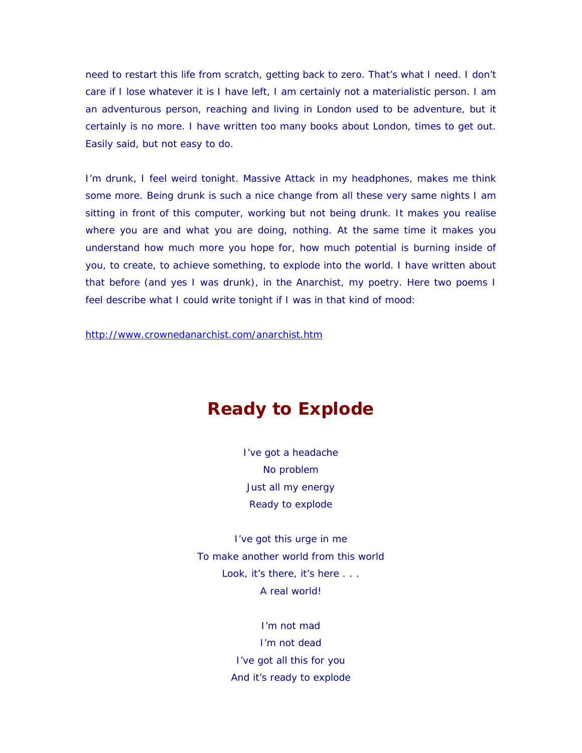need to restart this life from scratch, getting back to zero. That's what I need. I don't care if I lose whatever it is I have left, I am certainly not a materialistic person. I am an adventurous person, reaching and living in London used to be adventure, but it certainly is no more. I have written too many books about London, times to get out. Easily said, but not easy to do.

I'm drunk, I feel weird tonight. Massive Attack in my headphones, makes me think some more. Being drunk is such a nice change from all these very same nights I am sitting in front of this computer, working but not being drunk. It makes you realise where you are and what you are doing, nothing. At the same time it makes you understand how much more you hope for, how much potential is burning inside of you, to create, to achieve something, to explode into the world. I have written about that before (and yes I was drunk), in the Anarchist, my poetry. Here two poems I feel describe what I could write tonight if I was in that kind of mood:

<http://www.crownedanarchist.com/anarchist.htm>

# **Ready to Explode**

I've got a headache No problem Just all my energy Ready to explode

I've got this urge in me To make another world from this world Look, it's there, it's here . . . A real world!

> I'm not mad I'm not dead I've got all this for you And it's ready to explode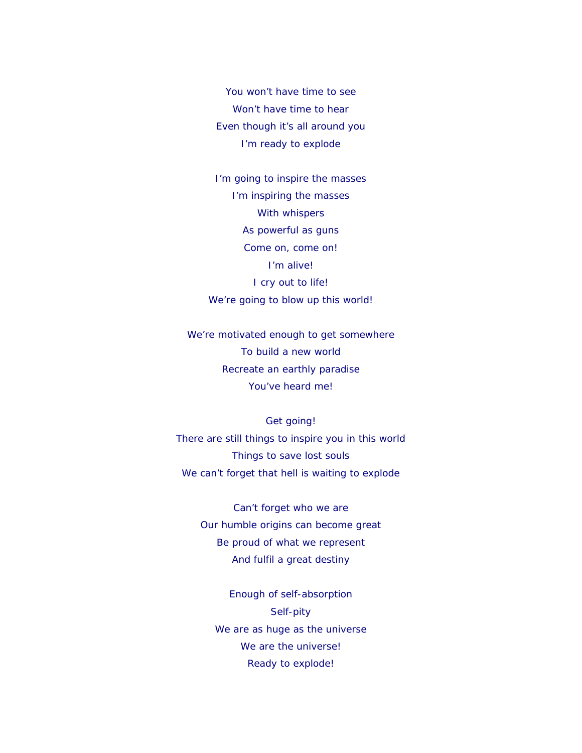You won't have time to see Won't have time to hear Even though it's all around you I'm ready to explode

I'm going to inspire the masses I'm inspiring the masses With whispers As powerful as guns Come on, come on! I'm alive! I cry out to life! We're going to blow up this world!

We're motivated enough to get somewhere To build a new world Recreate an earthly paradise You've heard me!

Get going! There are still things to inspire you in this world Things to save lost souls We can't forget that hell is waiting to explode

> Can't forget who we are Our humble origins can become great Be proud of what we represent And fulfil a great destiny

Enough of self-absorption Self-pity We are as huge as the universe We are the universe! Ready to explode!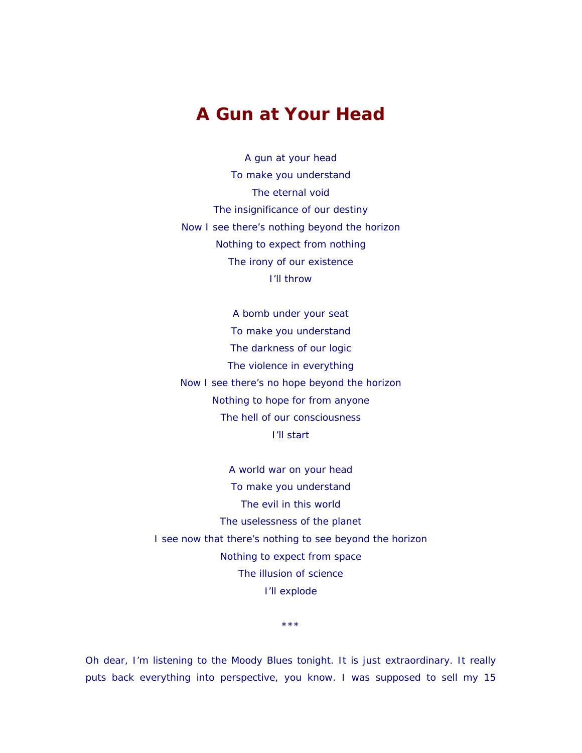## **A Gun at Your Head**

A gun at your head To make you understand The eternal void The insignificance of our destiny Now I see there's nothing beyond the horizon Nothing to expect from nothing The irony of our existence I'll throw

A bomb under your seat To make you understand The darkness of our logic The violence in everything Now I see there's no hope beyond the horizon Nothing to hope for from anyone The hell of our consciousness I'll start

A world war on your head To make you understand The evil in this world The uselessness of the planet I see now that there's nothing to see beyond the horizon Nothing to expect from space The illusion of science I'll explode

\*\*\*

Oh dear, I'm listening to the Moody Blues tonight. It is just extraordinary. It really puts back everything into perspective, you know. I was supposed to sell my 15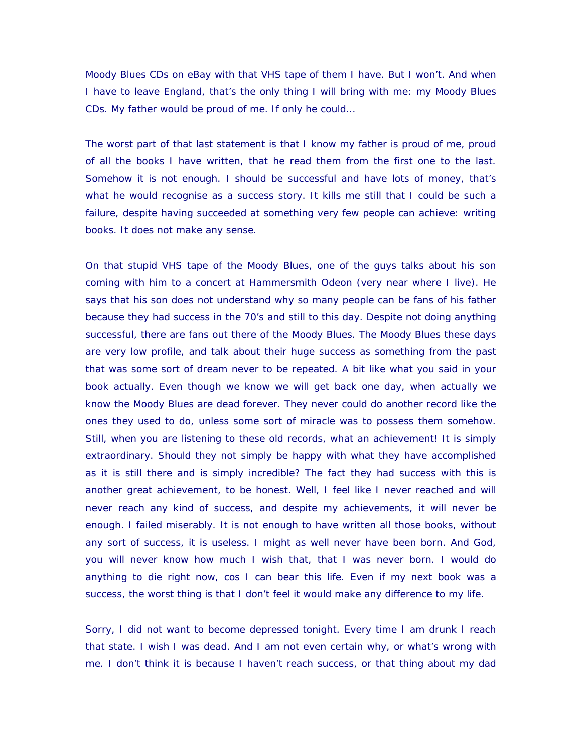Moody Blues CDs on eBay with that VHS tape of them I have. But I won't. And when I have to leave England, that's the only thing I will bring with me: my Moody Blues CDs. My father would be proud of me. If only he could…

The worst part of that last statement is that I know my father is proud of me, proud of all the books I have written, that he read them from the first one to the last. Somehow it is not enough. I should be successful and have lots of money, that's what he would recognise as a success story. It kills me still that I could be such a failure, despite having succeeded at something very few people can achieve: writing books. It does not make any sense.

On that stupid VHS tape of the Moody Blues, one of the guys talks about his son coming with him to a concert at Hammersmith Odeon (very near where I live). He says that his son does not understand why so many people can be fans of his father because they had success in the 70's and still to this day. Despite not doing anything successful, there are fans out there of the Moody Blues. The Moody Blues these days are very low profile, and talk about their huge success as something from the past that was some sort of dream never to be repeated. A bit like what you said in your book actually. Even though we know we will get back one day, when actually we know the Moody Blues are dead forever. They never could do another record like the ones they used to do, unless some sort of miracle was to possess them somehow. Still, when you are listening to these old records, what an achievement! It is simply extraordinary. Should they not simply be happy with what they have accomplished as it is still there and is simply incredible? The fact they had success with this is another great achievement, to be honest. Well, I feel like I never reached and will never reach any kind of success, and despite my achievements, it will never be enough. I failed miserably. It is not enough to have written all those books, without any sort of success, it is useless. I might as well never have been born. And God, you will never know how much I wish that, that I was never born. I would do anything to die right now, cos I can bear this life. Even if my next book was a success, the worst thing is that I don't feel it would make any difference to my life.

Sorry, I did not want to become depressed tonight. Every time I am drunk I reach that state. I wish I was dead. And I am not even certain why, or what's wrong with me. I don't think it is because I haven't reach success, or that thing about my dad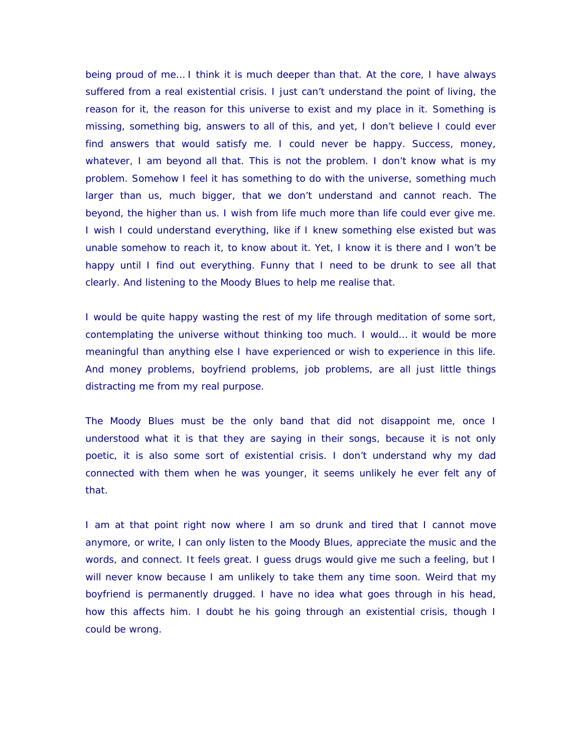being proud of me… I think it is much deeper than that. At the core, I have always suffered from a real existential crisis. I just can't understand the point of living, the reason for it, the reason for this universe to exist and my place in it. Something is missing, something big, answers to all of this, and yet, I don't believe I could ever find answers that would satisfy me. I could never be happy. Success, money, whatever, I am beyond all that. This is not the problem. I don't know what is my problem. Somehow I feel it has something to do with the universe, something much larger than us, much bigger, that we don't understand and cannot reach. The beyond, the higher than us. I wish from life much more than life could ever give me. I wish I could understand everything, like if I knew something else existed but was unable somehow to reach it, to know about it. Yet, I know it is there and I won't be happy until I find out everything. Funny that I need to be drunk to see all that clearly. And listening to the Moody Blues to help me realise that.

I would be quite happy wasting the rest of my life through meditation of some sort, contemplating the universe without thinking too much. I would… it would be more meaningful than anything else I have experienced or wish to experience in this life. And money problems, boyfriend problems, job problems, are all just little things distracting me from my real purpose.

The Moody Blues must be the only band that did not disappoint me, once I understood what it is that they are saying in their songs, because it is not only poetic, it is also some sort of existential crisis. I don't understand why my dad connected with them when he was younger, it seems unlikely he ever felt any of that.

I am at that point right now where I am so drunk and tired that I cannot move anymore, or write, I can only listen to the Moody Blues, appreciate the music and the words, and connect. It feels great. I guess drugs would give me such a feeling, but I will never know because I am unlikely to take them any time soon. Weird that my boyfriend is permanently drugged. I have no idea what goes through in his head, how this affects him. I doubt he his going through an existential crisis, though I could be wrong.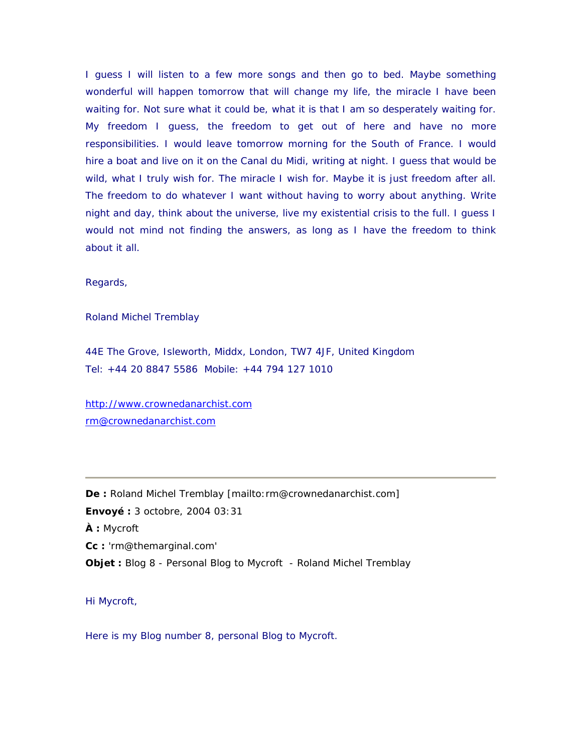I guess I will listen to a few more songs and then go to bed. Maybe something wonderful will happen tomorrow that will change my life, the miracle I have been waiting for. Not sure what it could be, what it is that I am so desperately waiting for. My freedom I guess, the freedom to get out of here and have no more responsibilities. I would leave tomorrow morning for the South of France. I would hire a boat and live on it on the Canal du Midi, writing at night. I guess that would be wild, what I truly wish for. The miracle I wish for. Maybe it is just freedom after all. The freedom to do whatever I want without having to worry about anything. Write night and day, think about the universe, live my existential crisis to the full. I guess I would not mind not finding the answers, as long as I have the freedom to think about it all.

Regards,

Roland Michel Tremblay

44E The Grove, Isleworth, Middx, London, TW7 4JF, United Kingdom Tel: +44 20 8847 5586 Mobile: +44 794 127 1010

[http://www.crownedanarchist.com](http://www.crownedanarchist.com/) [rm@crownedanarchist.com](mailto:rm@crownedanarchist.com) 

**De :** Roland Michel Tremblay [mailto:rm@crownedanarchist.com] **Envoyé :** 3 octobre, 2004 03:31 **À :** Mycroft **Cc :** 'rm@themarginal.com' **Objet :** Blog 8 - Personal Blog to Mycroft - Roland Michel Tremblay

Hi Mycroft,

Here is my Blog number 8, personal Blog to Mycroft.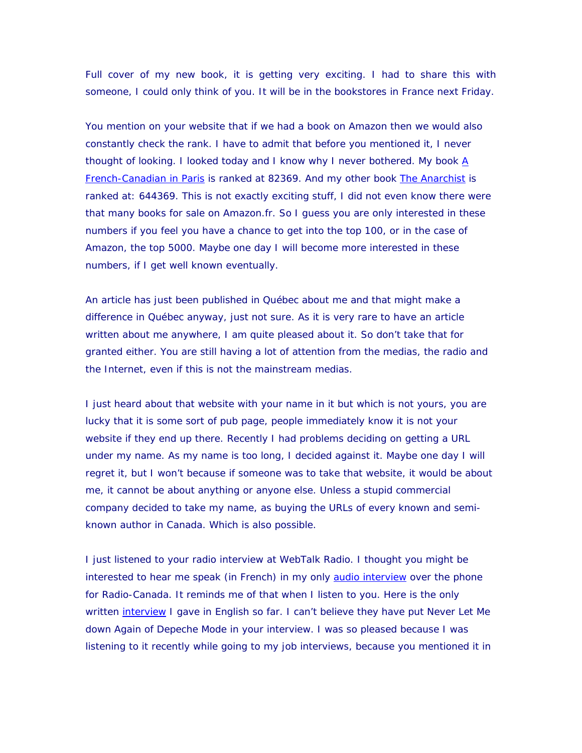Full cover of my new book, it is getting very exciting. I had to share this with someone, I could only think of you. It will be in the bookstores in France next Friday.

You mention on your website that if we had a book on Amazon then we would also constantly check the rank. I have to admit that before you mentioned it, I never thought of looking. I looked today and I know why I never bothered. My book  $\underline{A}$ [French-Canadian in Paris](http://www.amazon.fr/exec/obidos/ASIN/2914679106/qid=1095959140/ref=sr_8_xs_ap_i1_xgl/402-4267466-9728929) is ranked at 82369. And my other book [The Anarchist](http://www.amazon.fr/exec/obidos/ASIN/2747900134/qid=1095959140/ref=sr_8_xs_ap_i1_xgl/402-4267466-9728929) is ranked at: 644369. This is not exactly exciting stuff, I did not even know there were that many books for sale on Amazon.fr. So I guess you are only interested in these numbers if you feel you have a chance to get into the top 100, or in the case of Amazon, the top 5000. Maybe one day I will become more interested in these numbers, if I get well known eventually.

An article has just been published in Québec about me and that might make a difference in Québec anyway, just not sure. As it is very rare to have an article written about me anywhere, I am quite pleased about it. So don't take that for granted either. You are still having a lot of attention from the medias, the radio and the Internet, even if this is not the mainstream medias.

I just heard about that website with your name in it but which is not yours, you are lucky that it is some sort of pub page, people immediately know it is not your website if they end up there. Recently I had problems deciding on getting a URL under my name. As my name is too long, I decided against it. Maybe one day I will regret it, but I won't because if someone was to take that website, it would be about me, it cannot be about anything or anyone else. Unless a stupid commercial company decided to take my name, as buying the URLs of every known and semiknown author in Canada. Which is also possible.

I just listened to your radio interview at WebTalk Radio. I thought you might be interested to hear me speak (in French) in my only [audio interview](http://www.anarchistecouronne.com/art1_radiocanada_rmtremblay.htm) over the phone for Radio-Canada. It reminds me of that when I listen to you. Here is the only written *interview* I gave in English so far. I can't believe they have put Never Let Me down Again of Depeche Mode in your interview. I was so pleased because I was listening to it recently while going to my job interviews, because you mentioned it in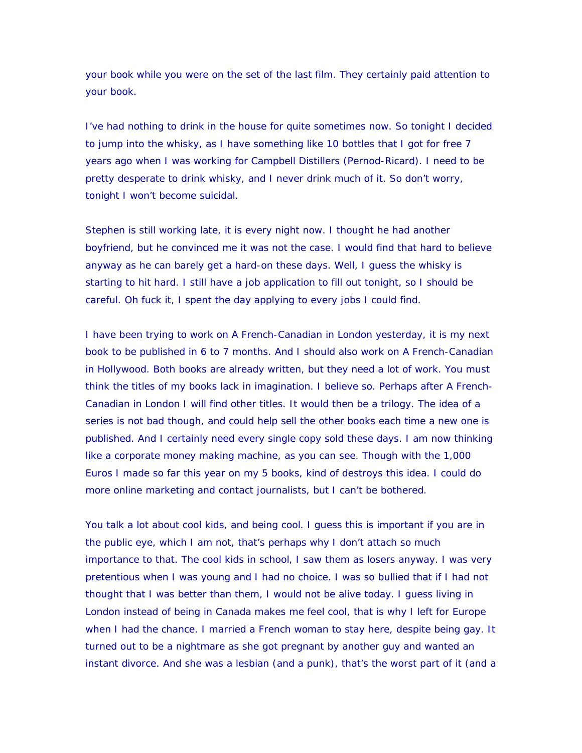your book while you were on the set of the last film. They certainly paid attention to your book.

I've had nothing to drink in the house for quite sometimes now. So tonight I decided to jump into the whisky, as I have something like 10 bottles that I got for free 7 years ago when I was working for Campbell Distillers (Pernod-Ricard). I need to be pretty desperate to drink whisky, and I never drink much of it. So don't worry, tonight I won't become suicidal.

Stephen is still working late, it is every night now. I thought he had another boyfriend, but he convinced me it was not the case. I would find that hard to believe anyway as he can barely get a hard-on these days. Well, I guess the whisky is starting to hit hard. I still have a job application to fill out tonight, so I should be careful. Oh fuck it, I spent the day applying to every jobs I could find.

I have been trying to work on A French-Canadian in London yesterday, it is my next book to be published in 6 to 7 months. And I should also work on A French-Canadian in Hollywood. Both books are already written, but they need a lot of work. You must think the titles of my books lack in imagination. I believe so. Perhaps after A French-Canadian in London I will find other titles. It would then be a trilogy. The idea of a series is not bad though, and could help sell the other books each time a new one is published. And I certainly need every single copy sold these days. I am now thinking like a corporate money making machine, as you can see. Though with the 1,000 Euros I made so far this year on my 5 books, kind of destroys this idea. I could do more online marketing and contact journalists, but I can't be bothered.

You talk a lot about cool kids, and being cool. I guess this is important if you are in the public eye, which I am not, that's perhaps why I don't attach so much importance to that. The cool kids in school, I saw them as losers anyway. I was very pretentious when I was young and I had no choice. I was so bullied that if I had not thought that I was better than them, I would not be alive today. I guess living in London instead of being in Canada makes me feel cool, that is why I left for Europe when I had the chance. I married a French woman to stay here, despite being gay. It turned out to be a nightmare as she got pregnant by another guy and wanted an instant divorce. And she was a lesbian (and a punk), that's the worst part of it (and a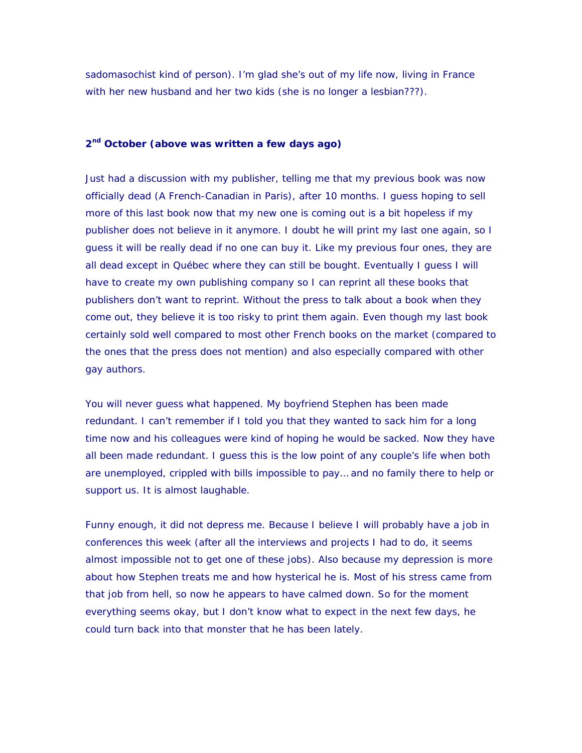sadomasochist kind of person). I'm glad she's out of my life now, living in France with her new husband and her two kids (she is no longer a lesbian???).

### **2nd October (above was written a few days ago)**

Just had a discussion with my publisher, telling me that my previous book was now officially dead (A French-Canadian in Paris), after 10 months. I guess hoping to sell more of this last book now that my new one is coming out is a bit hopeless if my publisher does not believe in it anymore. I doubt he will print my last one again, so I guess it will be really dead if no one can buy it. Like my previous four ones, they are all dead except in Québec where they can still be bought. Eventually I guess I will have to create my own publishing company so I can reprint all these books that publishers don't want to reprint. Without the press to talk about a book when they come out, they believe it is too risky to print them again. Even though my last book certainly sold well compared to most other French books on the market (compared to the ones that the press does not mention) and also especially compared with other gay authors.

You will never guess what happened. My boyfriend Stephen has been made redundant. I can't remember if I told you that they wanted to sack him for a long time now and his colleagues were kind of hoping he would be sacked. Now they have all been made redundant. I guess this is the low point of any couple's life when both are unemployed, crippled with bills impossible to pay… and no family there to help or support us. It is almost laughable.

Funny enough, it did not depress me. Because I believe I will probably have a job in conferences this week (after all the interviews and projects I had to do, it seems almost impossible not to get one of these jobs). Also because my depression is more about how Stephen treats me and how hysterical he is. Most of his stress came from that job from hell, so now he appears to have calmed down. So for the moment everything seems okay, but I don't know what to expect in the next few days, he could turn back into that monster that he has been lately.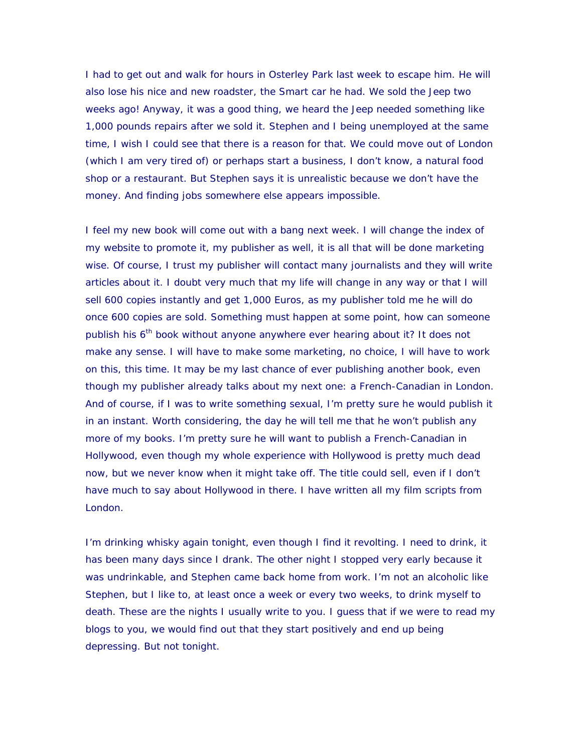I had to get out and walk for hours in Osterley Park last week to escape him. He will also lose his nice and new roadster, the Smart car he had. We sold the Jeep two weeks ago! Anyway, it was a good thing, we heard the Jeep needed something like 1,000 pounds repairs after we sold it. Stephen and I being unemployed at the same time, I wish I could see that there is a reason for that. We could move out of London (which I am very tired of) or perhaps start a business, I don't know, a natural food shop or a restaurant. But Stephen says it is unrealistic because we don't have the money. And finding jobs somewhere else appears impossible.

I feel my new book will come out with a bang next week. I will change the index of my website to promote it, my publisher as well, it is all that will be done marketing wise. Of course, I trust my publisher will contact many journalists and they will write articles about it. I doubt very much that my life will change in any way or that I will sell 600 copies instantly and get 1,000 Euros, as my publisher told me he will do once 600 copies are sold. Something must happen at some point, how can someone publish his 6<sup>th</sup> book without anyone anywhere ever hearing about it? It does not make any sense. I will have to make some marketing, no choice, I will have to work on this, this time. It may be my last chance of ever publishing another book, even though my publisher already talks about my next one: a French-Canadian in London. And of course, if I was to write something sexual, I'm pretty sure he would publish it in an instant. Worth considering, the day he will tell me that he won't publish any more of my books. I'm pretty sure he will want to publish a French-Canadian in Hollywood, even though my whole experience with Hollywood is pretty much dead now, but we never know when it might take off. The title could sell, even if I don't have much to say about Hollywood in there. I have written all my film scripts from London.

I'm drinking whisky again tonight, even though I find it revolting. I need to drink, it has been many days since I drank. The other night I stopped very early because it was undrinkable, and Stephen came back home from work. I'm not an alcoholic like Stephen, but I like to, at least once a week or every two weeks, to drink myself to death. These are the nights I usually write to you. I guess that if we were to read my blogs to you, we would find out that they start positively and end up being depressing. But not tonight.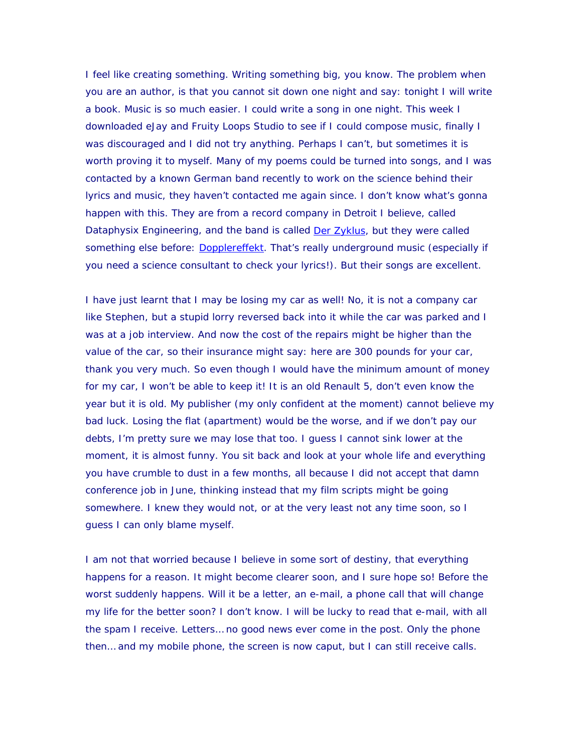I feel like creating something. Writing something big, you know. The problem when you are an author, is that you cannot sit down one night and say: tonight I will write a book. Music is so much easier. I could write a song in one night. This week I downloaded eJay and Fruity Loops Studio to see if I could compose music, finally I was discouraged and I did not try anything. Perhaps I can't, but sometimes it is worth proving it to myself. Many of my poems could be turned into songs, and I was contacted by a known German band recently to work on the science behind their lyrics and music, they haven't contacted me again since. I don't know what's gonna happen with this. They are from a record company in Detroit I believe, called Dataphysix Engineering, and the band is called [Der Zyklus,](http://www.clone.nl/) but they were called something else before: [Dopplereffekt.](http://www.gigolo-records.de/) That's really underground music (especially if you need a science consultant to check your lyrics!). But their songs are excellent.

I have just learnt that I may be losing my car as well! No, it is not a company car like Stephen, but a stupid lorry reversed back into it while the car was parked and I was at a job interview. And now the cost of the repairs might be higher than the value of the car, so their insurance might say: here are 300 pounds for your car, thank you very much. So even though I would have the minimum amount of money for my car, I won't be able to keep it! It is an old Renault 5, don't even know the year but it is old. My publisher (my only confident at the moment) cannot believe my bad luck. Losing the flat (apartment) would be the worse, and if we don't pay our debts, I'm pretty sure we may lose that too. I guess I cannot sink lower at the moment, it is almost funny. You sit back and look at your whole life and everything you have crumble to dust in a few months, all because I did not accept that damn conference job in June, thinking instead that my film scripts might be going somewhere. I knew they would not, or at the very least not any time soon, so I guess I can only blame myself.

I am not that worried because I believe in some sort of destiny, that everything happens for a reason. It might become clearer soon, and I sure hope so! Before the worst suddenly happens. Will it be a letter, an e-mail, a phone call that will change my life for the better soon? I don't know. I will be lucky to read that e-mail, with all the spam I receive. Letters… no good news ever come in the post. Only the phone then… and my mobile phone, the screen is now caput, but I can still receive calls.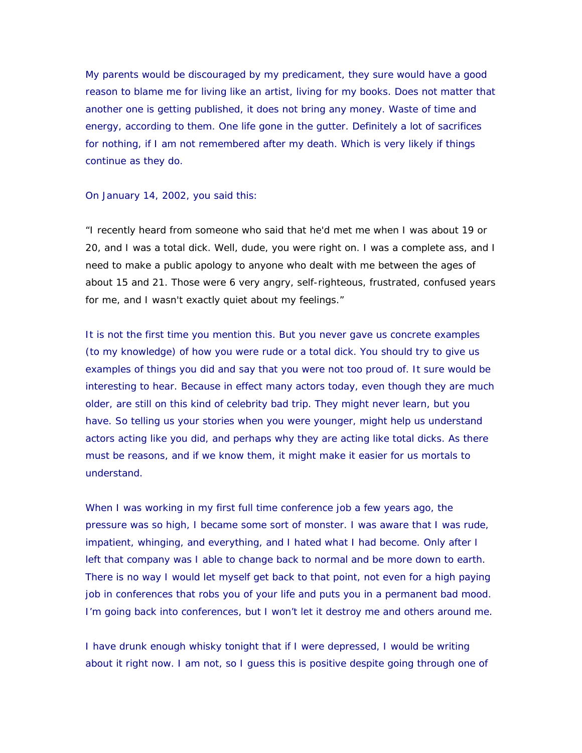My parents would be discouraged by my predicament, they sure would have a good reason to blame me for living like an artist, living for my books. Does not matter that another one is getting published, it does not bring any money. Waste of time and energy, according to them. One life gone in the gutter. Definitely a lot of sacrifices for nothing, if I am not remembered after my death. Which is very likely if things continue as they do.

#### On January 14, 2002, you said this:

"I recently heard from someone who said that he'd met me when I was about 19 or 20, and I was a total dick. Well, dude, you were right on. I was a complete ass, and I need to make a public apology to anyone who dealt with me between the ages of about 15 and 21. Those were 6 very angry, self-righteous, frustrated, confused years for me, and I wasn't exactly quiet about my feelings."

It is not the first time you mention this. But you never gave us concrete examples (to my knowledge) of how you were rude or a total dick. You should try to give us examples of things you did and say that you were not too proud of. It sure would be interesting to hear. Because in effect many actors today, even though they are much older, are still on this kind of celebrity bad trip. They might never learn, but you have. So telling us your stories when you were younger, might help us understand actors acting like you did, and perhaps why they are acting like total dicks. As there must be reasons, and if we know them, it might make it easier for us mortals to understand.

When I was working in my first full time conference job a few years ago, the pressure was so high, I became some sort of monster. I was aware that I was rude, impatient, whinging, and everything, and I hated what I had become. Only after I left that company was I able to change back to normal and be more down to earth. There is no way I would let myself get back to that point, not even for a high paying job in conferences that robs you of your life and puts you in a permanent bad mood. I'm going back into conferences, but I won't let it destroy me and others around me.

I have drunk enough whisky tonight that if I were depressed, I would be writing about it right now. I am not, so I guess this is positive despite going through one of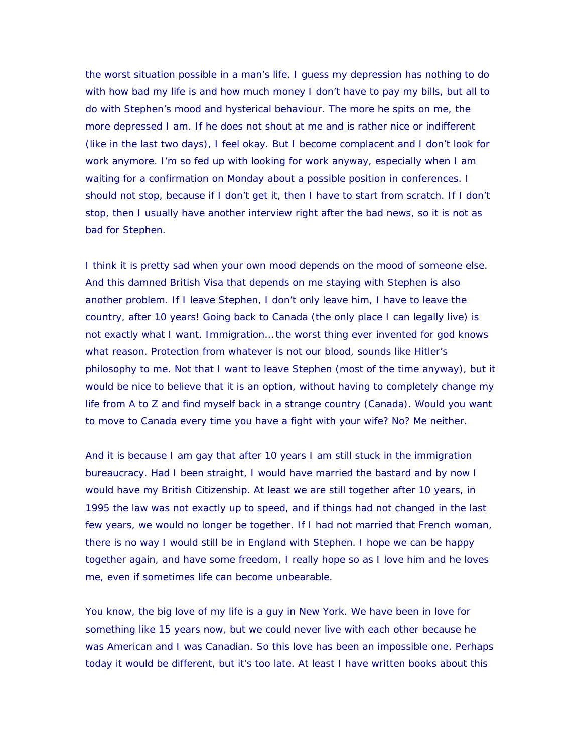the worst situation possible in a man's life. I guess my depression has nothing to do with how bad my life is and how much money I don't have to pay my bills, but all to do with Stephen's mood and hysterical behaviour. The more he spits on me, the more depressed I am. If he does not shout at me and is rather nice or indifferent (like in the last two days), I feel okay. But I become complacent and I don't look for work anymore. I'm so fed up with looking for work anyway, especially when I am waiting for a confirmation on Monday about a possible position in conferences. I should not stop, because if I don't get it, then I have to start from scratch. If I don't stop, then I usually have another interview right after the bad news, so it is not as bad for Stephen.

I think it is pretty sad when your own mood depends on the mood of someone else. And this damned British Visa that depends on me staying with Stephen is also another problem. If I leave Stephen, I don't only leave him, I have to leave the country, after 10 years! Going back to Canada (the only place I can legally live) is not exactly what I want. Immigration… the worst thing ever invented for god knows what reason. Protection from whatever is not our blood, sounds like Hitler's philosophy to me. Not that I want to leave Stephen (most of the time anyway), but it would be nice to believe that it is an option, without having to completely change my life from A to Z and find myself back in a strange country (Canada). Would you want to move to Canada every time you have a fight with your wife? No? Me neither.

And it is because I am gay that after 10 years I am still stuck in the immigration bureaucracy. Had I been straight, I would have married the bastard and by now I would have my British Citizenship. At least we are still together after 10 years, in 1995 the law was not exactly up to speed, and if things had not changed in the last few years, we would no longer be together. If I had not married that French woman, there is no way I would still be in England with Stephen. I hope we can be happy together again, and have some freedom, I really hope so as I love him and he loves me, even if sometimes life can become unbearable.

You know, the big love of my life is a guy in New York. We have been in love for something like 15 years now, but we could never live with each other because he was American and I was Canadian. So this love has been an impossible one. Perhaps today it would be different, but it's too late. At least I have written books about this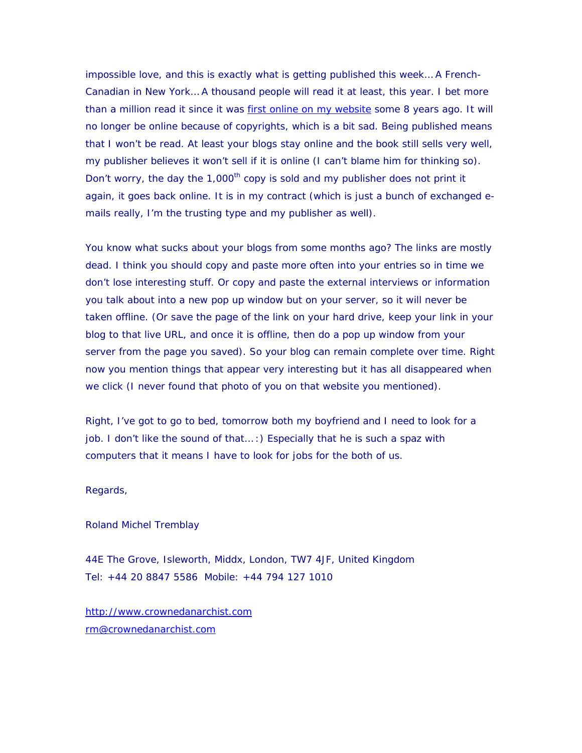impossible love, and this is exactly what is getting published this week… A French-Canadian in New York… A thousand people will read it at least, this year. I bet more than a million read it since it was [first online on my website](http://www.anarchistecouronne.com/mindthegap.htm) some 8 years ago. It will no longer be online because of copyrights, which is a bit sad. Being published means that I won't be read. At least your blogs stay online and the book still sells very well, my publisher believes it won't sell if it is online (I can't blame him for thinking so). Don't worry, the day the  $1,000<sup>th</sup>$  copy is sold and my publisher does not print it again, it goes back online. It is in my contract (which is just a bunch of exchanged emails really, I'm the trusting type and my publisher as well).

You know what sucks about your blogs from some months ago? The links are mostly dead. I think you should copy and paste more often into your entries so in time we don't lose interesting stuff. Or copy and paste the external interviews or information you talk about into a new pop up window but on your server, so it will never be taken offline. (Or save the page of the link on your hard drive, keep your link in your blog to that live URL, and once it is offline, then do a pop up window from your server from the page you saved). So your blog can remain complete over time. Right now you mention things that appear very interesting but it has all disappeared when we click (I never found that photo of you on that website you mentioned).

Right, I've got to go to bed, tomorrow both my boyfriend and I need to look for a job. I don't like the sound of that… :) Especially that he is such a spaz with computers that it means I have to look for jobs for the both of us.

Regards,

#### Roland Michel Tremblay

44E The Grove, Isleworth, Middx, London, TW7 4JF, United Kingdom Tel: +44 20 8847 5586 Mobile: +44 794 127 1010

[http://www.crownedanarchist.com](http://www.crownedanarchist.com/) [rm@crownedanarchist.com](mailto:rm@crownedanarchist.com)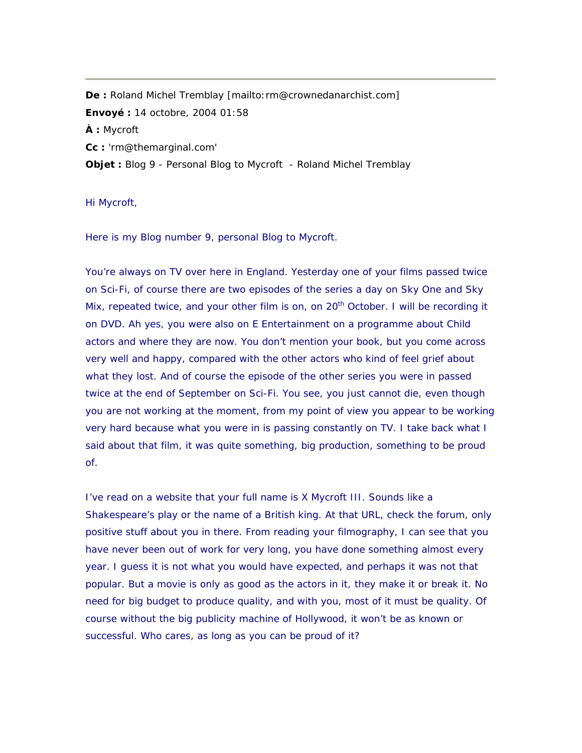**De :** Roland Michel Tremblay [mailto:rm@crownedanarchist.com] **Envoyé :** 14 octobre, 2004 01:58 **À :** Mycroft **Cc :** 'rm@themarginal.com' **Objet :** Blog 9 - Personal Blog to Mycroft - Roland Michel Tremblay

Hi Mycroft,

Here is my Blog number 9, personal Blog to Mycroft.

You're always on TV over here in England. Yesterday one of your films passed twice on Sci-Fi, of course there are two episodes of the series a day on Sky One and Sky Mix, repeated twice, and your other film is on, on  $20<sup>th</sup>$  October. I will be recording it on DVD. Ah yes, you were also on E Entertainment on a programme about Child actors and where they are now. You don't mention your book, but you come across very well and happy, compared with the other actors who kind of feel grief about what they lost. And of course the episode of the other series you were in passed twice at the end of September on Sci-Fi. You see, you just cannot die, even though you are not working at the moment, from my point of view you appear to be working very hard because what you were in is passing constantly on TV. I take back what I said about that film, it was quite something, big production, something to be proud of.

I've read on a website that your full name is X Mycroft III. Sounds like a Shakespeare's play or the name of a British king. At that URL, check the forum, only positive stuff about you in there. From reading your filmography, I can see that you have never been out of work for very long, you have done something almost every year. I guess it is not what you would have expected, and perhaps it was not that popular. But a movie is only as good as the actors in it, they make it or break it. No need for big budget to produce quality, and with you, most of it must be quality. Of course without the big publicity machine of Hollywood, it won't be as known or successful. Who cares, as long as you can be proud of it?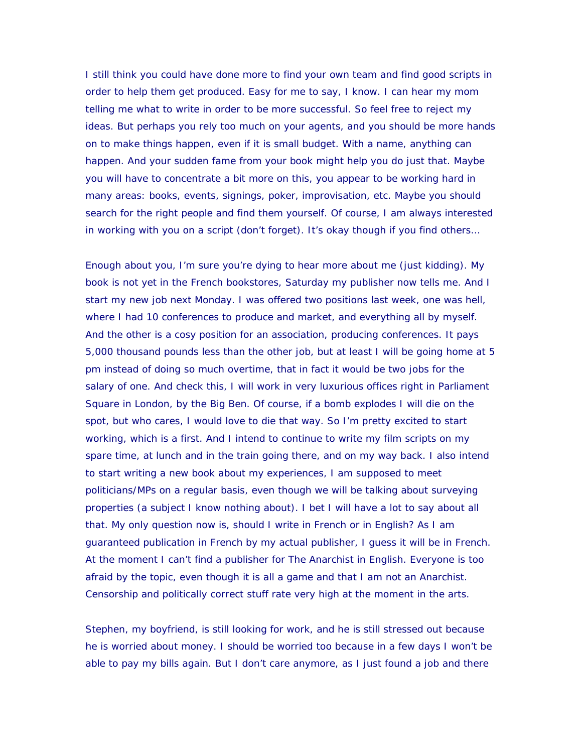I still think you could have done more to find your own team and find good scripts in order to help them get produced. Easy for me to say, I know. I can hear my mom telling me what to write in order to be more successful. So feel free to reject my ideas. But perhaps you rely too much on your agents, and you should be more hands on to make things happen, even if it is small budget. With a name, anything can happen. And your sudden fame from your book might help you do just that. Maybe you will have to concentrate a bit more on this, you appear to be working hard in many areas: books, events, signings, poker, improvisation, etc. Maybe you should search for the right people and find them yourself. Of course, I am always interested in working with you on a script (don't forget). It's okay though if you find others…

Enough about you, I'm sure you're dying to hear more about me (just kidding). My book is not yet in the French bookstores, Saturday my publisher now tells me. And I start my new job next Monday. I was offered two positions last week, one was hell, where I had 10 conferences to produce and market, and everything all by myself. And the other is a cosy position for an association, producing conferences. It pays 5,000 thousand pounds less than the other job, but at least I will be going home at 5 pm instead of doing so much overtime, that in fact it would be two jobs for the salary of one. And check this, I will work in very luxurious offices right in Parliament Square in London, by the Big Ben. Of course, if a bomb explodes I will die on the spot, but who cares, I would love to die that way. So I'm pretty excited to start working, which is a first. And I intend to continue to write my film scripts on my spare time, at lunch and in the train going there, and on my way back. I also intend to start writing a new book about my experiences, I am supposed to meet politicians/MPs on a regular basis, even though we will be talking about surveying properties (a subject I know nothing about). I bet I will have a lot to say about all that. My only question now is, should I write in French or in English? As I am guaranteed publication in French by my actual publisher, I guess it will be in French. At the moment I can't find a publisher for The Anarchist in English. Everyone is too afraid by the topic, even though it is all a game and that I am not an Anarchist. Censorship and politically correct stuff rate very high at the moment in the arts.

Stephen, my boyfriend, is still looking for work, and he is still stressed out because he is worried about money. I should be worried too because in a few days I won't be able to pay my bills again. But I don't care anymore, as I just found a job and there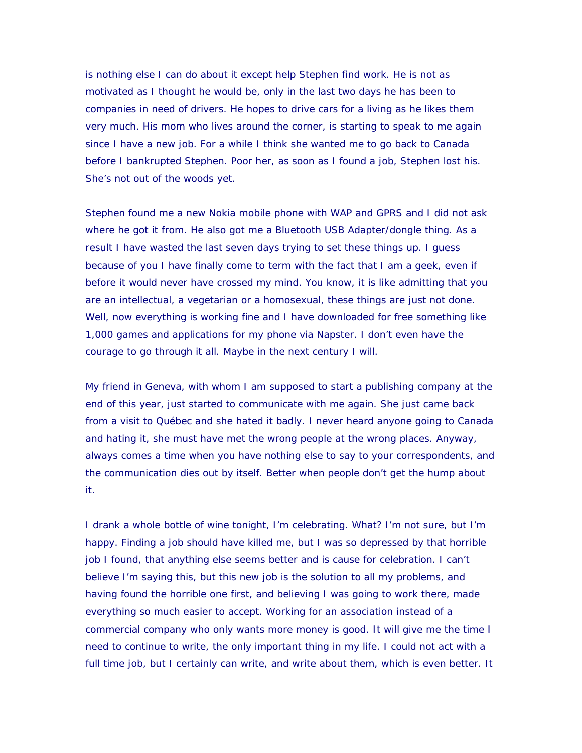is nothing else I can do about it except help Stephen find work. He is not as motivated as I thought he would be, only in the last two days he has been to companies in need of drivers. He hopes to drive cars for a living as he likes them very much. His mom who lives around the corner, is starting to speak to me again since I have a new job. For a while I think she wanted me to go back to Canada before I bankrupted Stephen. Poor her, as soon as I found a job, Stephen lost his. She's not out of the woods yet.

Stephen found me a new Nokia mobile phone with WAP and GPRS and I did not ask where he got it from. He also got me a Bluetooth USB Adapter/dongle thing. As a result I have wasted the last seven days trying to set these things up. I guess because of you I have finally come to term with the fact that I am a geek, even if before it would never have crossed my mind. You know, it is like admitting that you are an intellectual, a vegetarian or a homosexual, these things are just not done. Well, now everything is working fine and I have downloaded for free something like 1,000 games and applications for my phone via Napster. I don't even have the courage to go through it all. Maybe in the next century I will.

My friend in Geneva, with whom I am supposed to start a publishing company at the end of this year, just started to communicate with me again. She just came back from a visit to Québec and she hated it badly. I never heard anyone going to Canada and hating it, she must have met the wrong people at the wrong places. Anyway, always comes a time when you have nothing else to say to your correspondents, and the communication dies out by itself. Better when people don't get the hump about it.

I drank a whole bottle of wine tonight, I'm celebrating. What? I'm not sure, but I'm happy. Finding a job should have killed me, but I was so depressed by that horrible job I found, that anything else seems better and is cause for celebration. I can't believe I'm saying this, but this new job is the solution to all my problems, and having found the horrible one first, and believing I was going to work there, made everything so much easier to accept. Working for an association instead of a commercial company who only wants more money is good. It will give me the time I need to continue to write, the only important thing in my life. I could not act with a full time job, but I certainly can write, and write about them, which is even better. It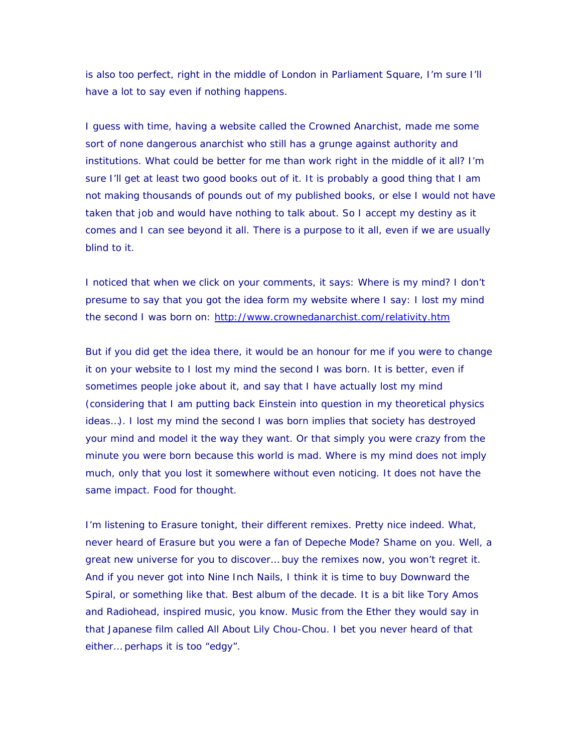is also too perfect, right in the middle of London in Parliament Square, I'm sure I'll have a lot to say even if nothing happens.

I guess with time, having a website called the Crowned Anarchist, made me some sort of none dangerous anarchist who still has a grunge against authority and institutions. What could be better for me than work right in the middle of it all? I'm sure I'll get at least two good books out of it. It is probably a good thing that I am not making thousands of pounds out of my published books, or else I would not have taken that job and would have nothing to talk about. So I accept my destiny as it comes and I can see beyond it all. There is a purpose to it all, even if we are usually blind to it.

I noticed that when we click on your comments, it says: Where is my mind? I don't presume to say that you got the idea form my website where I say: I lost my mind the second I was born on: <http://www.crownedanarchist.com/relativity.htm>

But if you did get the idea there, it would be an honour for me if you were to change it on your website to I lost my mind the second I was born. It is better, even if sometimes people joke about it, and say that I have actually lost my mind (considering that I am putting back Einstein into question in my theoretical physics ideas…). I lost my mind the second I was born implies that society has destroyed your mind and model it the way they want. Or that simply you were crazy from the minute you were born because this world is mad. Where is my mind does not imply much, only that you lost it somewhere without even noticing. It does not have the same impact. Food for thought.

I'm listening to Erasure tonight, their different remixes. Pretty nice indeed. What, never heard of Erasure but you were a fan of Depeche Mode? Shame on you. Well, a great new universe for you to discover… buy the remixes now, you won't regret it. And if you never got into Nine Inch Nails, I think it is time to buy Downward the Spiral, or something like that. Best album of the decade. It is a bit like Tory Amos and Radiohead, inspired music, you know. Music from the Ether they would say in that Japanese film called All About Lily Chou-Chou. I bet you never heard of that either… perhaps it is too "edgy".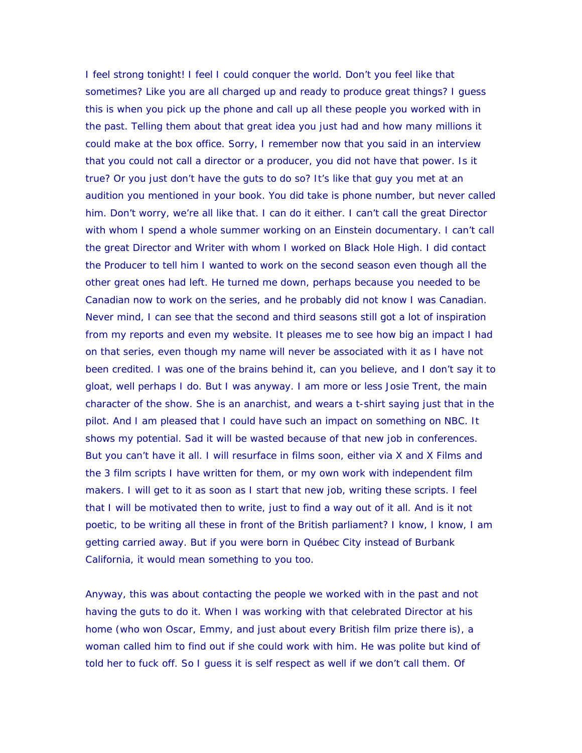I feel strong tonight! I feel I could conquer the world. Don't you feel like that sometimes? Like you are all charged up and ready to produce great things? I guess this is when you pick up the phone and call up all these people you worked with in the past. Telling them about that great idea you just had and how many millions it could make at the box office. Sorry, I remember now that you said in an interview that you could not call a director or a producer, you did not have that power. Is it true? Or you just don't have the guts to do so? It's like that guy you met at an audition you mentioned in your book. You did take is phone number, but never called him. Don't worry, we're all like that. I can do it either. I can't call the great Director with whom I spend a whole summer working on an Einstein documentary. I can't call the great Director and Writer with whom I worked on Black Hole High. I did contact the Producer to tell him I wanted to work on the second season even though all the other great ones had left. He turned me down, perhaps because you needed to be Canadian now to work on the series, and he probably did not know I was Canadian. Never mind, I can see that the second and third seasons still got a lot of inspiration from my reports and even my website. It pleases me to see how big an impact I had on that series, even though my name will never be associated with it as I have not been credited. I was one of the brains behind it, can you believe, and I don't say it to gloat, well perhaps I do. But I was anyway. I am more or less Josie Trent, the main character of the show. She is an anarchist, and wears a t-shirt saying just that in the pilot. And I am pleased that I could have such an impact on something on NBC. It shows my potential. Sad it will be wasted because of that new job in conferences. But you can't have it all. I will resurface in films soon, either via X and X Films and the 3 film scripts I have written for them, or my own work with independent film makers. I will get to it as soon as I start that new job, writing these scripts. I feel that I will be motivated then to write, just to find a way out of it all. And is it not poetic, to be writing all these in front of the British parliament? I know, I know, I am getting carried away. But if you were born in Québec City instead of Burbank California, it would mean something to you too.

Anyway, this was about contacting the people we worked with in the past and not having the guts to do it. When I was working with that celebrated Director at his home (who won Oscar, Emmy, and just about every British film prize there is), a woman called him to find out if she could work with him. He was polite but kind of told her to fuck off. So I guess it is self respect as well if we don't call them. Of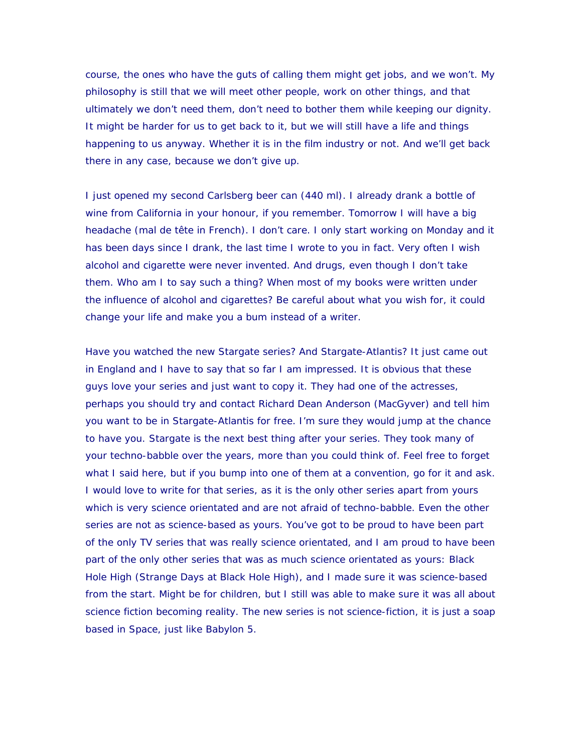course, the ones who have the guts of calling them might get jobs, and we won't. My philosophy is still that we will meet other people, work on other things, and that ultimately we don't need them, don't need to bother them while keeping our dignity. It might be harder for us to get back to it, but we will still have a life and things happening to us anyway. Whether it is in the film industry or not. And we'll get back there in any case, because we don't give up.

I just opened my second Carlsberg beer can (440 ml). I already drank a bottle of wine from California in your honour, if you remember. Tomorrow I will have a big headache (mal de tête in French). I don't care. I only start working on Monday and it has been days since I drank, the last time I wrote to you in fact. Very often I wish alcohol and cigarette were never invented. And drugs, even though I don't take them. Who am I to say such a thing? When most of my books were written under the influence of alcohol and cigarettes? Be careful about what you wish for, it could change your life and make you a bum instead of a writer.

Have you watched the new Stargate series? And Stargate-Atlantis? It just came out in England and I have to say that so far I am impressed. It is obvious that these guys love your series and just want to copy it. They had one of the actresses, perhaps you should try and contact Richard Dean Anderson (MacGyver) and tell him you want to be in Stargate-Atlantis for free. I'm sure they would jump at the chance to have you. Stargate is the next best thing after your series. They took many of your techno-babble over the years, more than you could think of. Feel free to forget what I said here, but if you bump into one of them at a convention, go for it and ask. I would love to write for that series, as it is the only other series apart from yours which is very science orientated and are not afraid of techno-babble. Even the other series are not as science-based as yours. You've got to be proud to have been part of the only TV series that was really science orientated, and I am proud to have been part of the only other series that was as much science orientated as yours: Black Hole High (Strange Days at Black Hole High), and I made sure it was science-based from the start. Might be for children, but I still was able to make sure it was all about science fiction becoming reality. The new series is not science-fiction, it is just a soap based in Space, just like Babylon 5.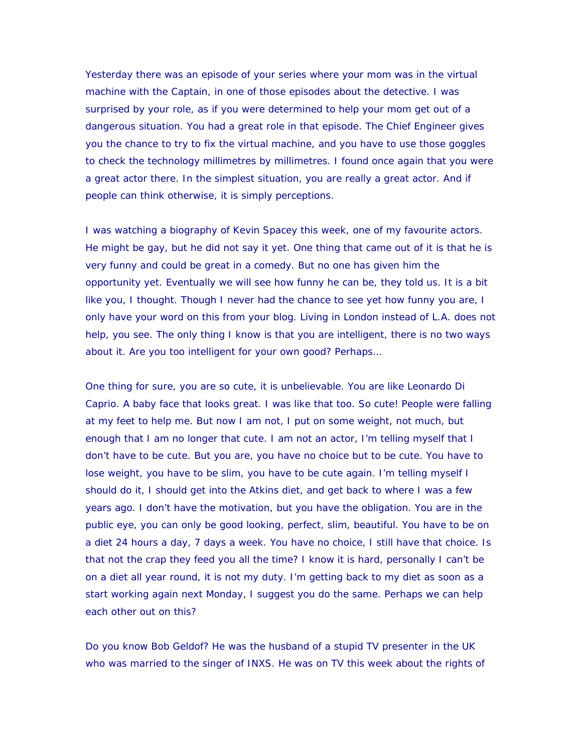Yesterday there was an episode of your series where your mom was in the virtual machine with the Captain, in one of those episodes about the detective. I was surprised by your role, as if you were determined to help your mom get out of a dangerous situation. You had a great role in that episode. The Chief Engineer gives you the chance to try to fix the virtual machine, and you have to use those goggles to check the technology millimetres by millimetres. I found once again that you were a great actor there. In the simplest situation, you are really a great actor. And if people can think otherwise, it is simply perceptions.

I was watching a biography of Kevin Spacey this week, one of my favourite actors. He might be gay, but he did not say it yet. One thing that came out of it is that he is very funny and could be great in a comedy. But no one has given him the opportunity yet. Eventually we will see how funny he can be, they told us. It is a bit like you, I thought. Though I never had the chance to see yet how funny you are, I only have your word on this from your blog. Living in London instead of L.A. does not help, you see. The only thing I know is that you are intelligent, there is no two ways about it. Are you too intelligent for your own good? Perhaps…

One thing for sure, you are so cute, it is unbelievable. You are like Leonardo Di Caprio. A baby face that looks great. I was like that too. So cute! People were falling at my feet to help me. But now I am not, I put on some weight, not much, but enough that I am no longer that cute. I am not an actor, I'm telling myself that I don't have to be cute. But you are, you have no choice but to be cute. You have to lose weight, you have to be slim, you have to be cute again. I'm telling myself I should do it, I should get into the Atkins diet, and get back to where I was a few years ago. I don't have the motivation, but you have the obligation. You are in the public eye, you can only be good looking, perfect, slim, beautiful. You have to be on a diet 24 hours a day, 7 days a week. You have no choice, I still have that choice. Is that not the crap they feed you all the time? I know it is hard, personally I can't be on a diet all year round, it is not my duty. I'm getting back to my diet as soon as a start working again next Monday, I suggest you do the same. Perhaps we can help each other out on this?

Do you know Bob Geldof? He was the husband of a stupid TV presenter in the UK who was married to the singer of INXS. He was on TV this week about the rights of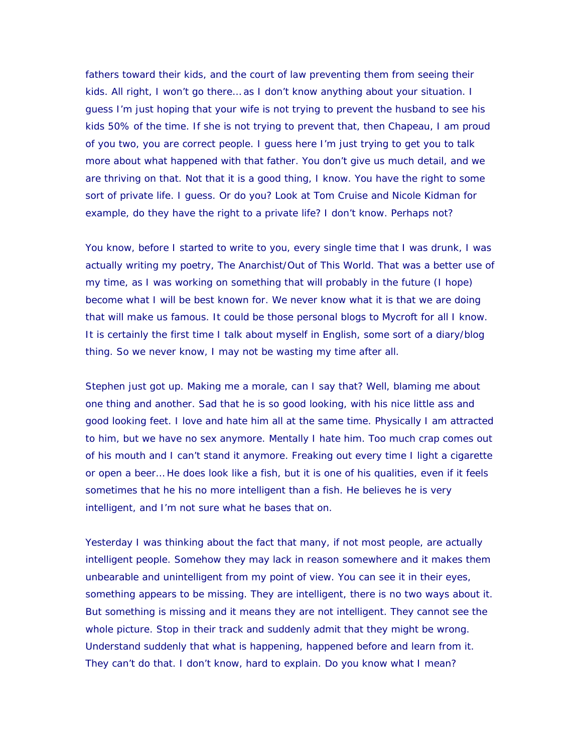fathers toward their kids, and the court of law preventing them from seeing their kids. All right, I won't go there… as I don't know anything about your situation. I guess I'm just hoping that your wife is not trying to prevent the husband to see his kids 50% of the time. If she is not trying to prevent that, then Chapeau, I am proud of you two, you are correct people. I guess here I'm just trying to get you to talk more about what happened with that father. You don't give us much detail, and we are thriving on that. Not that it is a good thing, I know. You have the right to some sort of private life. I guess. Or do you? Look at Tom Cruise and Nicole Kidman for example, do they have the right to a private life? I don't know. Perhaps not?

You know, before I started to write to you, every single time that I was drunk, I was actually writing my poetry, The Anarchist/Out of This World. That was a better use of my time, as I was working on something that will probably in the future (I hope) become what I will be best known for. We never know what it is that we are doing that will make us famous. It could be those personal blogs to Mycroft for all I know. It is certainly the first time I talk about myself in English, some sort of a diary/blog thing. So we never know, I may not be wasting my time after all.

Stephen just got up. Making me a morale, can I say that? Well, blaming me about one thing and another. Sad that he is so good looking, with his nice little ass and good looking feet. I love and hate him all at the same time. Physically I am attracted to him, but we have no sex anymore. Mentally I hate him. Too much crap comes out of his mouth and I can't stand it anymore. Freaking out every time I light a cigarette or open a beer… He does look like a fish, but it is one of his qualities, even if it feels sometimes that he his no more intelligent than a fish. He believes he is very intelligent, and I'm not sure what he bases that on.

Yesterday I was thinking about the fact that many, if not most people, are actually intelligent people. Somehow they may lack in reason somewhere and it makes them unbearable and unintelligent from my point of view. You can see it in their eyes, something appears to be missing. They are intelligent, there is no two ways about it. But something is missing and it means they are not intelligent. They cannot see the whole picture. Stop in their track and suddenly admit that they might be wrong. Understand suddenly that what is happening, happened before and learn from it. They can't do that. I don't know, hard to explain. Do you know what I mean?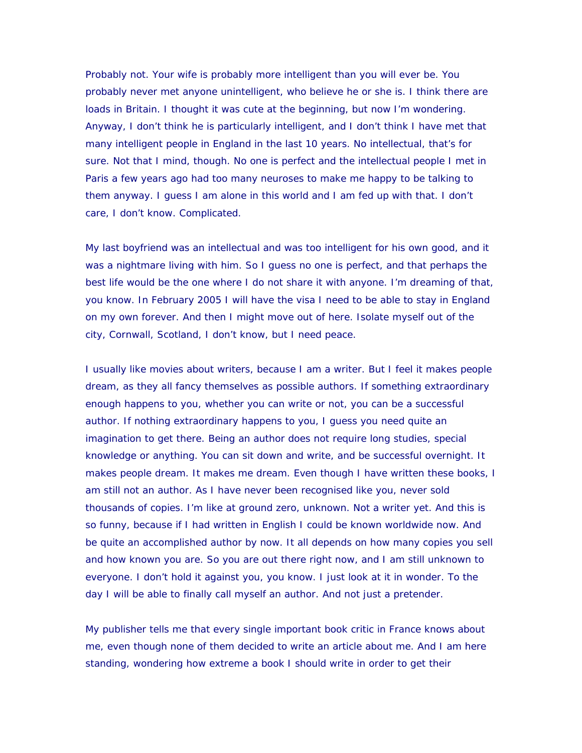Probably not. Your wife is probably more intelligent than you will ever be. You probably never met anyone unintelligent, who believe he or she is. I think there are loads in Britain. I thought it was cute at the beginning, but now I'm wondering. Anyway, I don't think he is particularly intelligent, and I don't think I have met that many intelligent people in England in the last 10 years. No intellectual, that's for sure. Not that I mind, though. No one is perfect and the intellectual people I met in Paris a few years ago had too many neuroses to make me happy to be talking to them anyway. I guess I am alone in this world and I am fed up with that. I don't care, I don't know. Complicated.

My last boyfriend was an intellectual and was too intelligent for his own good, and it was a nightmare living with him. So I guess no one is perfect, and that perhaps the best life would be the one where I do not share it with anyone. I'm dreaming of that, you know. In February 2005 I will have the visa I need to be able to stay in England on my own forever. And then I might move out of here. Isolate myself out of the city, Cornwall, Scotland, I don't know, but I need peace.

I usually like movies about writers, because I am a writer. But I feel it makes people dream, as they all fancy themselves as possible authors. If something extraordinary enough happens to you, whether you can write or not, you can be a successful author. If nothing extraordinary happens to you, I guess you need quite an imagination to get there. Being an author does not require long studies, special knowledge or anything. You can sit down and write, and be successful overnight. It makes people dream. It makes me dream. Even though I have written these books, I am still not an author. As I have never been recognised like you, never sold thousands of copies. I'm like at ground zero, unknown. Not a writer yet. And this is so funny, because if I had written in English I could be known worldwide now. And be quite an accomplished author by now. It all depends on how many copies you sell and how known you are. So you are out there right now, and I am still unknown to everyone. I don't hold it against you, you know. I just look at it in wonder. To the day I will be able to finally call myself an author. And not just a pretender.

My publisher tells me that every single important book critic in France knows about me, even though none of them decided to write an article about me. And I am here standing, wondering how extreme a book I should write in order to get their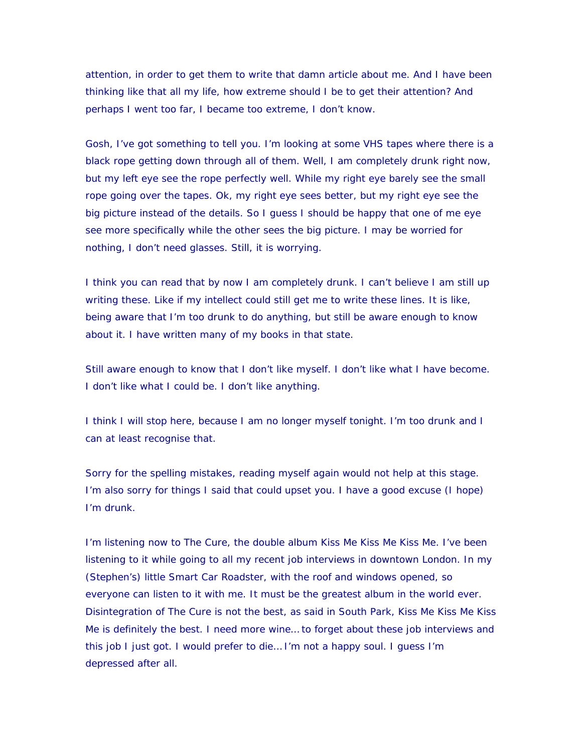attention, in order to get them to write that damn article about me. And I have been thinking like that all my life, how extreme should I be to get their attention? And perhaps I went too far, I became too extreme, I don't know.

Gosh, I've got something to tell you. I'm looking at some VHS tapes where there is a black rope getting down through all of them. Well, I am completely drunk right now, but my left eye see the rope perfectly well. While my right eye barely see the small rope going over the tapes. Ok, my right eye sees better, but my right eye see the big picture instead of the details. So I guess I should be happy that one of me eye see more specifically while the other sees the big picture. I may be worried for nothing, I don't need glasses. Still, it is worrying.

I think you can read that by now I am completely drunk. I can't believe I am still up writing these. Like if my intellect could still get me to write these lines. It is like, being aware that I'm too drunk to do anything, but still be aware enough to know about it. I have written many of my books in that state.

Still aware enough to know that I don't like myself. I don't like what I have become. I don't like what I could be. I don't like anything.

I think I will stop here, because I am no longer myself tonight. I'm too drunk and I can at least recognise that.

Sorry for the spelling mistakes, reading myself again would not help at this stage. I'm also sorry for things I said that could upset you. I have a good excuse (I hope) I'm drunk.

I'm listening now to The Cure, the double album Kiss Me Kiss Me Kiss Me. I've been listening to it while going to all my recent job interviews in downtown London. In my (Stephen's) little Smart Car Roadster, with the roof and windows opened, so everyone can listen to it with me. It must be the greatest album in the world ever. Disintegration of The Cure is not the best, as said in South Park, Kiss Me Kiss Me Kiss Me is definitely the best. I need more wine… to forget about these job interviews and this job I just got. I would prefer to die… I'm not a happy soul. I guess I'm depressed after all.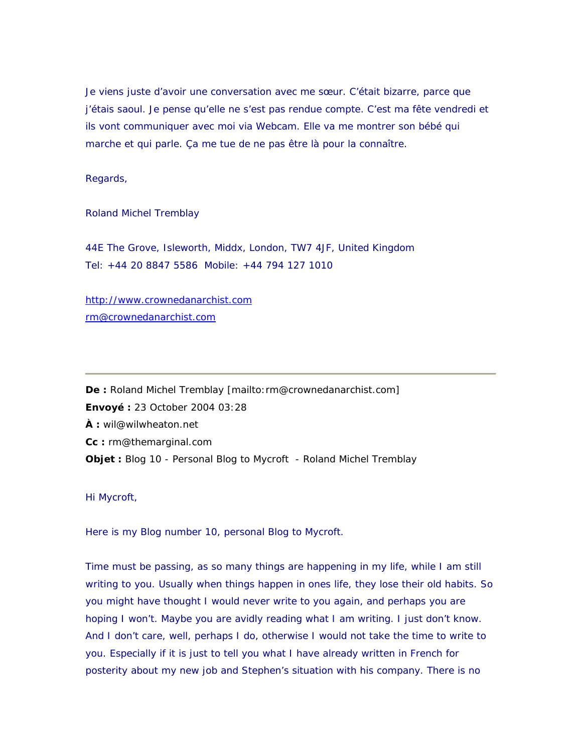Je viens juste d'avoir une conversation avec me sœur. C'était bizarre, parce que j'étais saoul. Je pense qu'elle ne s'est pas rendue compte. C'est ma fête vendredi et ils vont communiquer avec moi via Webcam. Elle va me montrer son bébé qui marche et qui parle. Ça me tue de ne pas être là pour la connaître.

Regards,

Roland Michel Tremblay

44E The Grove, Isleworth, Middx, London, TW7 4JF, United Kingdom Tel: +44 20 8847 5586 Mobile: +44 794 127 1010

[http://www.crownedanarchist.com](http://www.crownedanarchist.com/) [rm@crownedanarchist.com](mailto:rm@crownedanarchist.com) 

**De :** Roland Michel Tremblay [mailto:rm@crownedanarchist.com] **Envoyé :** 23 October 2004 03:28 **À :** wil@wilwheaton.net **Cc :** rm@themarginal.com **Objet :** Blog 10 - Personal Blog to Mycroft - Roland Michel Tremblay

#### Hi Mycroft,

Here is my Blog number 10, personal Blog to Mycroft.

Time must be passing, as so many things are happening in my life, while I am still writing to you. Usually when things happen in ones life, they lose their old habits. So you might have thought I would never write to you again, and perhaps you are hoping I won't. Maybe you are avidly reading what I am writing. I just don't know. And I don't care, well, perhaps I do, otherwise I would not take the time to write to you. Especially if it is just to tell you what I have already written in French for posterity about my new job and Stephen's situation with his company. There is no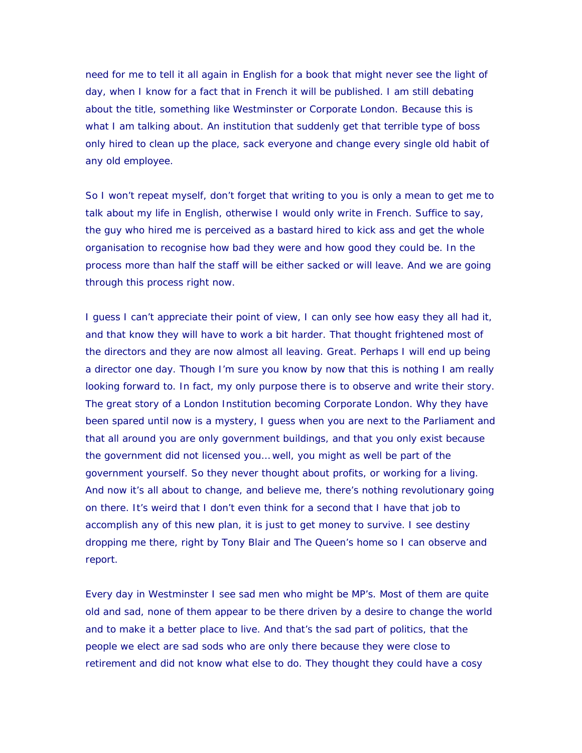need for me to tell it all again in English for a book that might never see the light of day, when I know for a fact that in French it will be published. I am still debating about the title, something like Westminster or Corporate London. Because this is what I am talking about. An institution that suddenly get that terrible type of boss only hired to clean up the place, sack everyone and change every single old habit of any old employee.

So I won't repeat myself, don't forget that writing to you is only a mean to get me to talk about my life in English, otherwise I would only write in French. Suffice to say, the guy who hired me is perceived as a bastard hired to kick ass and get the whole organisation to recognise how bad they were and how good they could be. In the process more than half the staff will be either sacked or will leave. And we are going through this process right now.

I guess I can't appreciate their point of view, I can only see how easy they all had it, and that know they will have to work a bit harder. That thought frightened most of the directors and they are now almost all leaving. Great. Perhaps I will end up being a director one day. Though I'm sure you know by now that this is nothing I am really looking forward to. In fact, my only purpose there is to observe and write their story. The great story of a London Institution becoming Corporate London. Why they have been spared until now is a mystery, I guess when you are next to the Parliament and that all around you are only government buildings, and that you only exist because the government did not licensed you… well, you might as well be part of the government yourself. So they never thought about profits, or working for a living. And now it's all about to change, and believe me, there's nothing revolutionary going on there. It's weird that I don't even think for a second that I have that job to accomplish any of this new plan, it is just to get money to survive. I see destiny dropping me there, right by Tony Blair and The Queen's home so I can observe and report.

Every day in Westminster I see sad men who might be MP's. Most of them are quite old and sad, none of them appear to be there driven by a desire to change the world and to make it a better place to live. And that's the sad part of politics, that the people we elect are sad sods who are only there because they were close to retirement and did not know what else to do. They thought they could have a cosy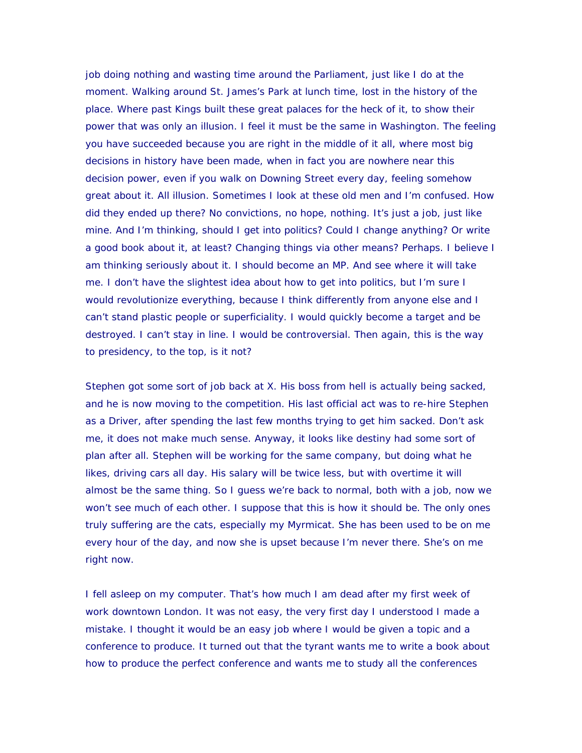job doing nothing and wasting time around the Parliament, just like I do at the moment. Walking around St. James's Park at lunch time, lost in the history of the place. Where past Kings built these great palaces for the heck of it, to show their power that was only an illusion. I feel it must be the same in Washington. The feeling you have succeeded because you are right in the middle of it all, where most big decisions in history have been made, when in fact you are nowhere near this decision power, even if you walk on Downing Street every day, feeling somehow great about it. All illusion. Sometimes I look at these old men and I'm confused. How did they ended up there? No convictions, no hope, nothing. It's just a job, just like mine. And I'm thinking, should I get into politics? Could I change anything? Or write a good book about it, at least? Changing things via other means? Perhaps. I believe I am thinking seriously about it. I should become an MP. And see where it will take me. I don't have the slightest idea about how to get into politics, but I'm sure I would revolutionize everything, because I think differently from anyone else and I can't stand plastic people or superficiality. I would quickly become a target and be destroyed. I can't stay in line. I would be controversial. Then again, this is the way to presidency, to the top, is it not?

Stephen got some sort of job back at X. His boss from hell is actually being sacked, and he is now moving to the competition. His last official act was to re-hire Stephen as a Driver, after spending the last few months trying to get him sacked. Don't ask me, it does not make much sense. Anyway, it looks like destiny had some sort of plan after all. Stephen will be working for the same company, but doing what he likes, driving cars all day. His salary will be twice less, but with overtime it will almost be the same thing. So I guess we're back to normal, both with a job, now we won't see much of each other. I suppose that this is how it should be. The only ones truly suffering are the cats, especially my Myrmicat. She has been used to be on me every hour of the day, and now she is upset because I'm never there. She's on me right now.

I fell asleep on my computer. That's how much I am dead after my first week of work downtown London. It was not easy, the very first day I understood I made a mistake. I thought it would be an easy job where I would be given a topic and a conference to produce. It turned out that the tyrant wants me to write a book about how to produce the perfect conference and wants me to study all the conferences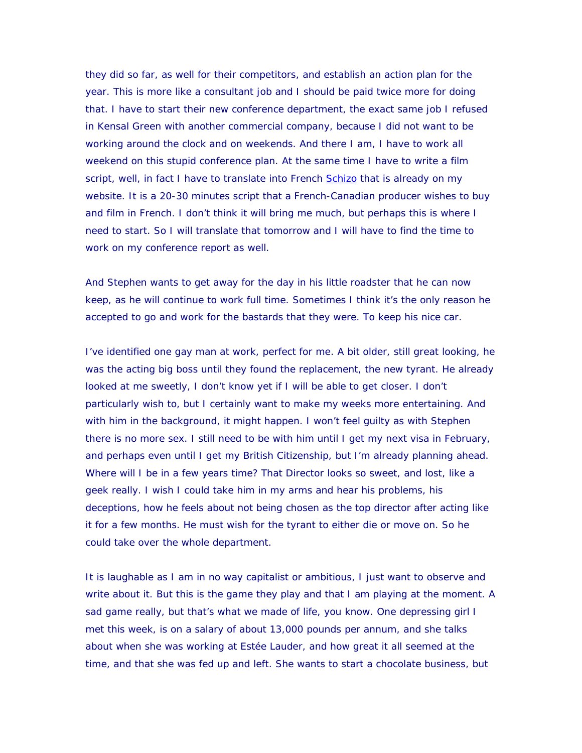they did so far, as well for their competitors, and establish an action plan for the year. This is more like a consultant job and I should be paid twice more for doing that. I have to start their new conference department, the exact same job I refused in Kensal Green with another commercial company, because I did not want to be working around the clock and on weekends. And there I am, I have to work all weekend on this stupid conference plan. At the same time I have to write a film script, well, in fact I have to translate into French [Schizo](http://www.crownedanarchist.com/schizo8.doc) that is already on my website. It is a 20-30 minutes script that a French-Canadian producer wishes to buy and film in French. I don't think it will bring me much, but perhaps this is where I need to start. So I will translate that tomorrow and I will have to find the time to work on my conference report as well.

And Stephen wants to get away for the day in his little roadster that he can now keep, as he will continue to work full time. Sometimes I think it's the only reason he accepted to go and work for the bastards that they were. To keep his nice car.

I've identified one gay man at work, perfect for me. A bit older, still great looking, he was the acting big boss until they found the replacement, the new tyrant. He already looked at me sweetly, I don't know yet if I will be able to get closer. I don't particularly wish to, but I certainly want to make my weeks more entertaining. And with him in the background, it might happen. I won't feel guilty as with Stephen there is no more sex. I still need to be with him until I get my next visa in February, and perhaps even until I get my British Citizenship, but I'm already planning ahead. Where will I be in a few years time? That Director looks so sweet, and lost, like a geek really. I wish I could take him in my arms and hear his problems, his deceptions, how he feels about not being chosen as the top director after acting like it for a few months. He must wish for the tyrant to either die or move on. So he could take over the whole department.

It is laughable as I am in no way capitalist or ambitious, I just want to observe and write about it. But this is the game they play and that I am playing at the moment. A sad game really, but that's what we made of life, you know. One depressing girl I met this week, is on a salary of about 13,000 pounds per annum, and she talks about when she was working at Estée Lauder, and how great it all seemed at the time, and that she was fed up and left. She wants to start a chocolate business, but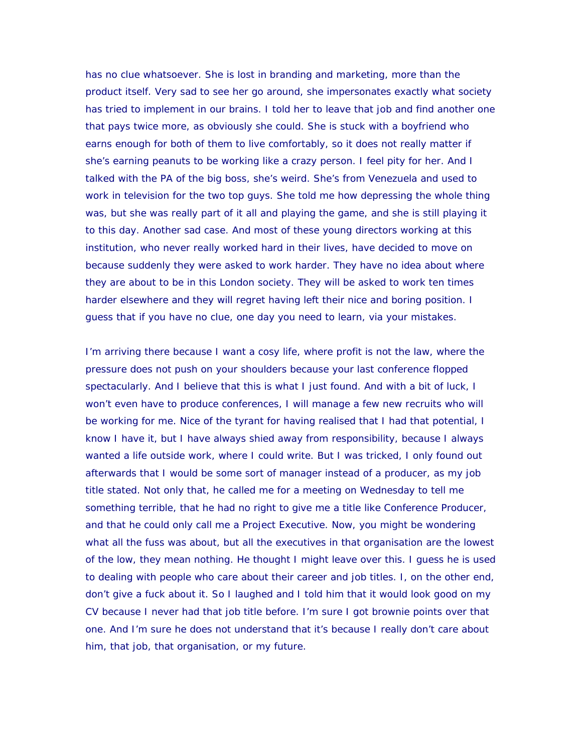has no clue whatsoever. She is lost in branding and marketing, more than the product itself. Very sad to see her go around, she impersonates exactly what society has tried to implement in our brains. I told her to leave that job and find another one that pays twice more, as obviously she could. She is stuck with a boyfriend who earns enough for both of them to live comfortably, so it does not really matter if she's earning peanuts to be working like a crazy person. I feel pity for her. And I talked with the PA of the big boss, she's weird. She's from Venezuela and used to work in television for the two top guys. She told me how depressing the whole thing was, but she was really part of it all and playing the game, and she is still playing it to this day. Another sad case. And most of these young directors working at this institution, who never really worked hard in their lives, have decided to move on because suddenly they were asked to work harder. They have no idea about where they are about to be in this London society. They will be asked to work ten times harder elsewhere and they will regret having left their nice and boring position. I guess that if you have no clue, one day you need to learn, via your mistakes.

I'm arriving there because I want a cosy life, where profit is not the law, where the pressure does not push on your shoulders because your last conference flopped spectacularly. And I believe that this is what I just found. And with a bit of luck, I won't even have to produce conferences, I will manage a few new recruits who will be working for me. Nice of the tyrant for having realised that I had that potential, I know I have it, but I have always shied away from responsibility, because I always wanted a life outside work, where I could write. But I was tricked, I only found out afterwards that I would be some sort of manager instead of a producer, as my job title stated. Not only that, he called me for a meeting on Wednesday to tell me something terrible, that he had no right to give me a title like Conference Producer, and that he could only call me a Project Executive. Now, you might be wondering what all the fuss was about, but all the executives in that organisation are the lowest of the low, they mean nothing. He thought I might leave over this. I guess he is used to dealing with people who care about their career and job titles. I, on the other end, don't give a fuck about it. So I laughed and I told him that it would look good on my CV because I never had that job title before. I'm sure I got brownie points over that one. And I'm sure he does not understand that it's because I really don't care about him, that job, that organisation, or my future.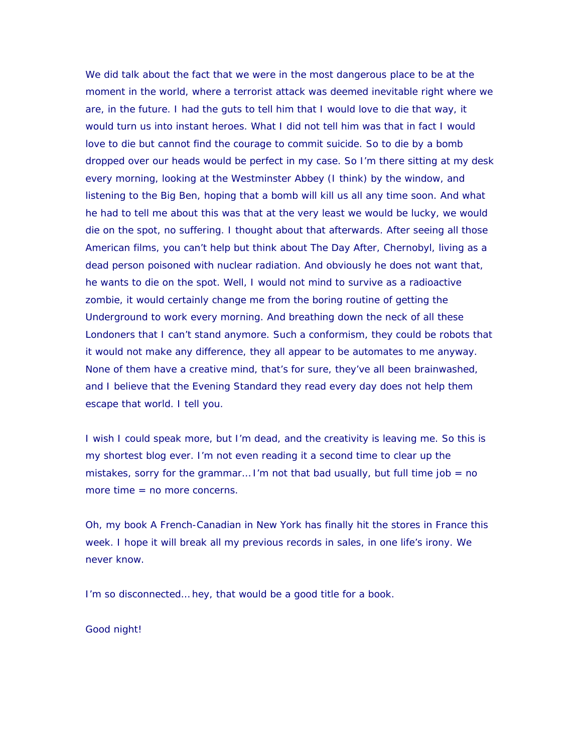We did talk about the fact that we were in the most dangerous place to be at the moment in the world, where a terrorist attack was deemed inevitable right where we are, in the future. I had the guts to tell him that I would love to die that way, it would turn us into instant heroes. What I did not tell him was that in fact I would love to die but cannot find the courage to commit suicide. So to die by a bomb dropped over our heads would be perfect in my case. So I'm there sitting at my desk every morning, looking at the Westminster Abbey (I think) by the window, and listening to the Big Ben, hoping that a bomb will kill us all any time soon. And what he had to tell me about this was that at the very least we would be lucky, we would die on the spot, no suffering. I thought about that afterwards. After seeing all those American films, you can't help but think about The Day After, Chernobyl, living as a dead person poisoned with nuclear radiation. And obviously he does not want that, he wants to die on the spot. Well, I would not mind to survive as a radioactive zombie, it would certainly change me from the boring routine of getting the Underground to work every morning. And breathing down the neck of all these Londoners that I can't stand anymore. Such a conformism, they could be robots that it would not make any difference, they all appear to be automates to me anyway. None of them have a creative mind, that's for sure, they've all been brainwashed, and I believe that the Evening Standard they read every day does not help them escape that world. I tell you.

I wish I could speak more, but I'm dead, and the creativity is leaving me. So this is my shortest blog ever. I'm not even reading it a second time to clear up the mistakes, sorry for the grammar... I'm not that bad usually, but full time job = no more time = no more concerns.

Oh, my book A French-Canadian in New York has finally hit the stores in France this week. I hope it will break all my previous records in sales, in one life's irony. We never know.

I'm so disconnected… hey, that would be a good title for a book.

Good night!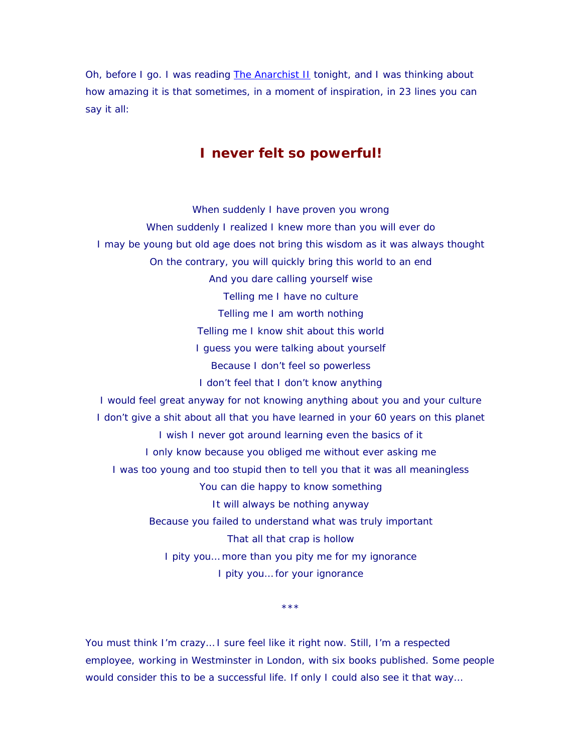Oh, before I go. I was reading [The Anarchist II](http://www.crownedanarchist.com/anarchist2.htm) tonight, and I was thinking about how amazing it is that sometimes, in a moment of inspiration, in 23 lines you can say it all:

## **I never felt so powerful!**

When suddenly I have proven you wrong When suddenly I realized I knew more than you will ever do I may be young but old age does not bring this wisdom as it was always thought On the contrary, you will quickly bring this world to an end And you dare calling yourself wise Telling me I have no culture Telling me I am worth nothing Telling me I know shit about this world I guess you were talking about yourself Because I don't feel so powerless I don't feel that I don't know anything I would feel great anyway for not knowing anything about you and your culture I don't give a shit about all that you have learned in your 60 years on this planet I wish I never got around learning even the basics of it I only know because you obliged me without ever asking me I was too young and too stupid then to tell you that it was all meaningless You can die happy to know something It will always be nothing anyway Because you failed to understand what was truly important That all that crap is hollow I pity you… more than you pity me for my ignorance I pity you… for your ignorance

\*\*\*

You must think I'm crazy… I sure feel like it right now. Still, I'm a respected employee, working in Westminster in London, with six books published. Some people would consider this to be a successful life. If only I could also see it that way…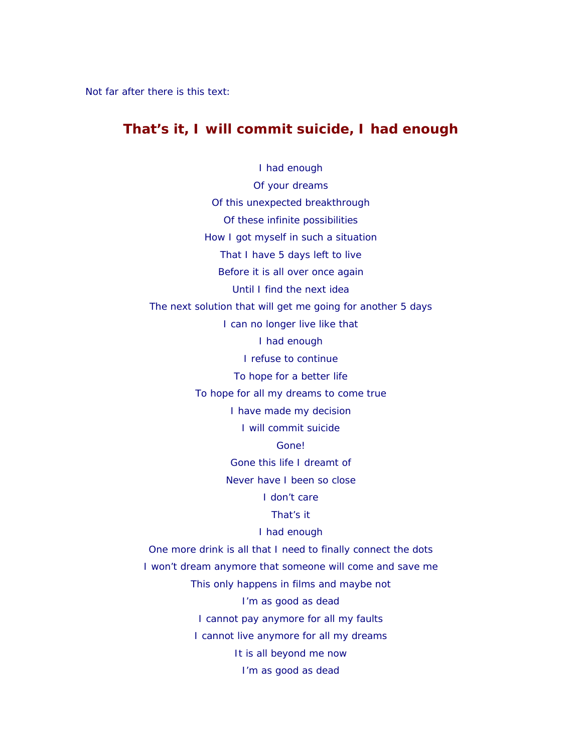Not far after there is this text:

# **That's it, I will commit suicide, I had enough**

I had enough Of your dreams Of this unexpected breakthrough Of these infinite possibilities How I got myself in such a situation That I have 5 days left to live Before it is all over once again Until I find the next idea The next solution that will get me going for another 5 days I can no longer live like that I had enough I refuse to continue To hope for a better life To hope for all my dreams to come true I have made my decision I will commit suicide Gone! Gone this life I dreamt of Never have I been so close I don't care That's it I had enough One more drink is all that I need to finally connect the dots I won't dream anymore that someone will come and save me This only happens in films and maybe not I'm as good as dead I cannot pay anymore for all my faults I cannot live anymore for all my dreams It is all beyond me now I'm as good as dead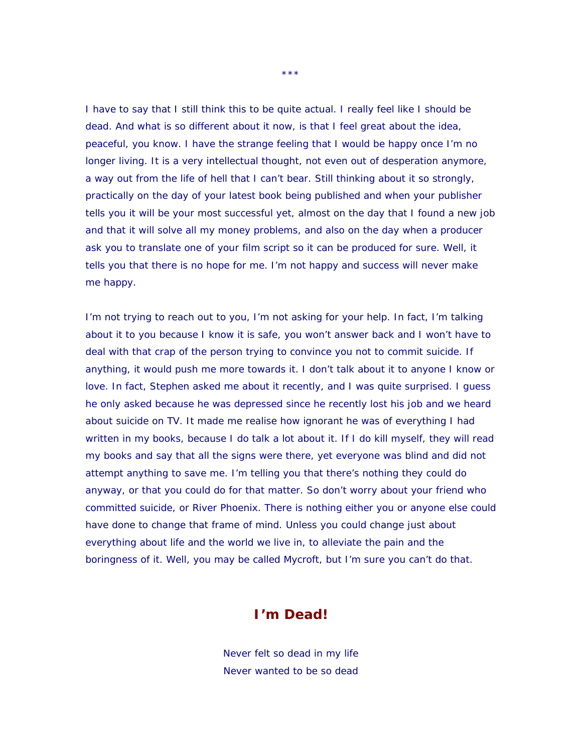I have to say that I still think this to be quite actual. I really feel like I should be dead. And what is so different about it now, is that I feel great about the idea, peaceful, you know. I have the strange feeling that I would be happy once I'm no longer living. It is a very intellectual thought, not even out of desperation anymore, a way out from the life of hell that I can't bear. Still thinking about it so strongly, practically on the day of your latest book being published and when your publisher tells you it will be your most successful yet, almost on the day that I found a new job and that it will solve all my money problems, and also on the day when a producer ask you to translate one of your film script so it can be produced for sure. Well, it tells you that there is no hope for me. I'm not happy and success will never make me happy.

I'm not trying to reach out to you, I'm not asking for your help. In fact, I'm talking about it to you because I know it is safe, you won't answer back and I won't have to deal with that crap of the person trying to convince you not to commit suicide. If anything, it would push me more towards it. I don't talk about it to anyone I know or love. In fact, Stephen asked me about it recently, and I was quite surprised. I guess he only asked because he was depressed since he recently lost his job and we heard about suicide on TV. It made me realise how ignorant he was of everything I had written in my books, because I do talk a lot about it. If I do kill myself, they will read my books and say that all the signs were there, yet everyone was blind and did not attempt anything to save me. I'm telling you that there's nothing they could do anyway, or that you could do for that matter. So don't worry about your friend who committed suicide, or River Phoenix. There is nothing either you or anyone else could have done to change that frame of mind. Unless you could change just about everything about life and the world we live in, to alleviate the pain and the boringness of it. Well, you may be called Mycroft, but I'm sure you can't do that.

## **I'm Dead!**

Never felt so dead in my life Never wanted to be so dead

\*\*\*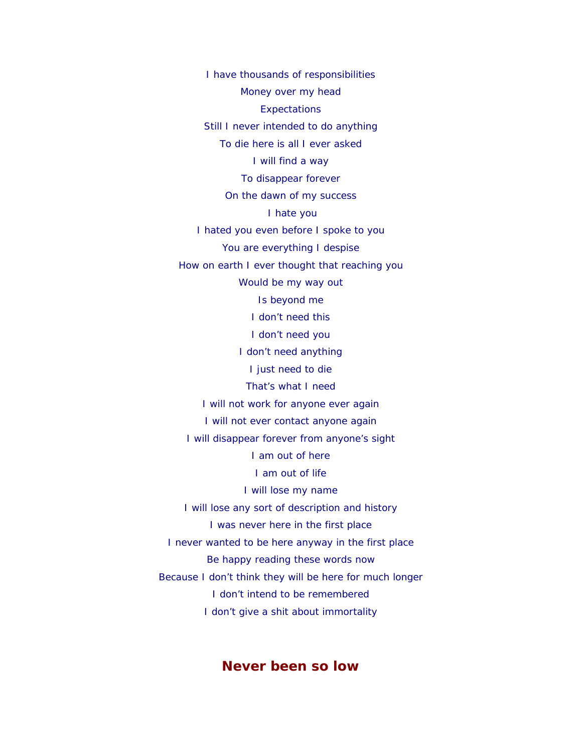I have thousands of responsibilities Money over my head Expectations Still I never intended to do anything To die here is all I ever asked I will find a way To disappear forever On the dawn of my success I hate you I hated you even before I spoke to you You are everything I despise How on earth I ever thought that reaching you Would be my way out Is beyond me I don't need this I don't need you I don't need anything I just need to die That's what I need I will not work for anyone ever again I will not ever contact anyone again I will disappear forever from anyone's sight I am out of here I am out of life I will lose my name I will lose any sort of description and history I was never here in the first place I never wanted to be here anyway in the first place Be happy reading these words now Because I don't think they will be here for much longer I don't intend to be remembered I don't give a shit about immortality

# **Never been so low**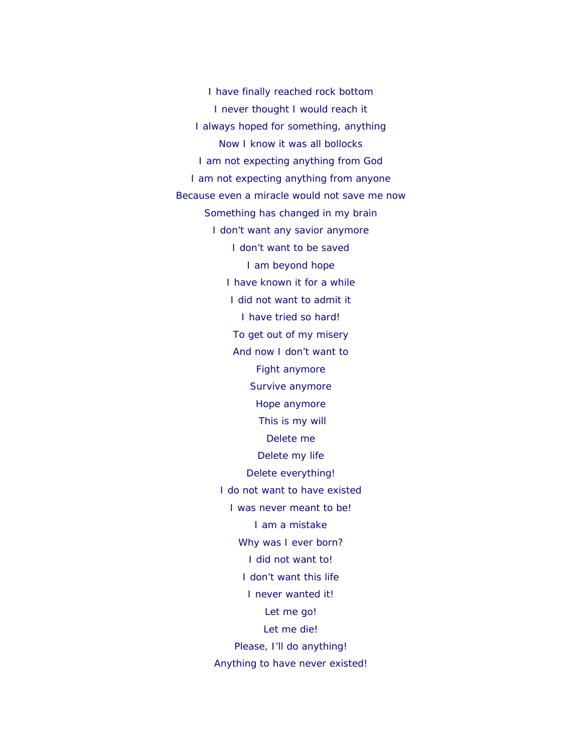I have finally reached rock bottom I never thought I would reach it I always hoped for something, anything Now I know it was all bollocks I am not expecting anything from God I am not expecting anything from anyone Because even a miracle would not save me now Something has changed in my brain I don't want any savior anymore I don't want to be saved I am beyond hope I have known it for a while I did not want to admit it I have tried so hard! To get out of my misery And now I don't want to Fight anymore Survive anymore Hope anymore This is my will Delete me Delete my life Delete everything! I do not want to have existed I was never meant to be! I am a mistake Why was I ever born? I did not want to! I don't want this life I never wanted it! Let me go! Let me die! Please, I'll do anything! Anything to have never existed!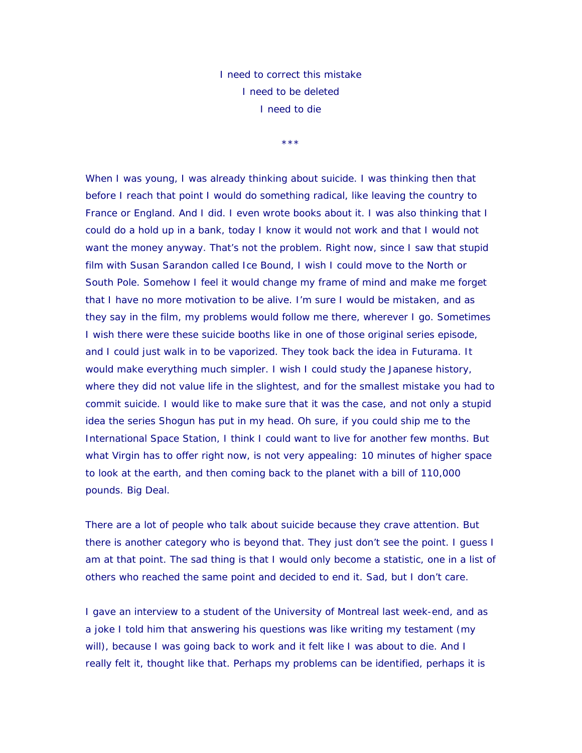I need to correct this mistake I need to be deleted I need to die

\*\*\*

When I was young, I was already thinking about suicide. I was thinking then that before I reach that point I would do something radical, like leaving the country to France or England. And I did. I even wrote books about it. I was also thinking that I could do a hold up in a bank, today I know it would not work and that I would not want the money anyway. That's not the problem. Right now, since I saw that stupid film with Susan Sarandon called Ice Bound, I wish I could move to the North or South Pole. Somehow I feel it would change my frame of mind and make me forget that I have no more motivation to be alive. I'm sure I would be mistaken, and as they say in the film, my problems would follow me there, wherever I go. Sometimes I wish there were these suicide booths like in one of those original series episode, and I could just walk in to be vaporized. They took back the idea in Futurama. It would make everything much simpler. I wish I could study the Japanese history, where they did not value life in the slightest, and for the smallest mistake you had to commit suicide. I would like to make sure that it was the case, and not only a stupid idea the series Shogun has put in my head. Oh sure, if you could ship me to the International Space Station, I think I could want to live for another few months. But what Virgin has to offer right now, is not very appealing: 10 minutes of higher space to look at the earth, and then coming back to the planet with a bill of 110,000 pounds. Big Deal.

There are a lot of people who talk about suicide because they crave attention. But there is another category who is beyond that. They just don't see the point. I guess I am at that point. The sad thing is that I would only become a statistic, one in a list of others who reached the same point and decided to end it. Sad, but I don't care.

I gave an interview to a student of the University of Montreal last week-end, and as a joke I told him that answering his questions was like writing my testament (my will), because I was going back to work and it felt like I was about to die. And I really felt it, thought like that. Perhaps my problems can be identified, perhaps it is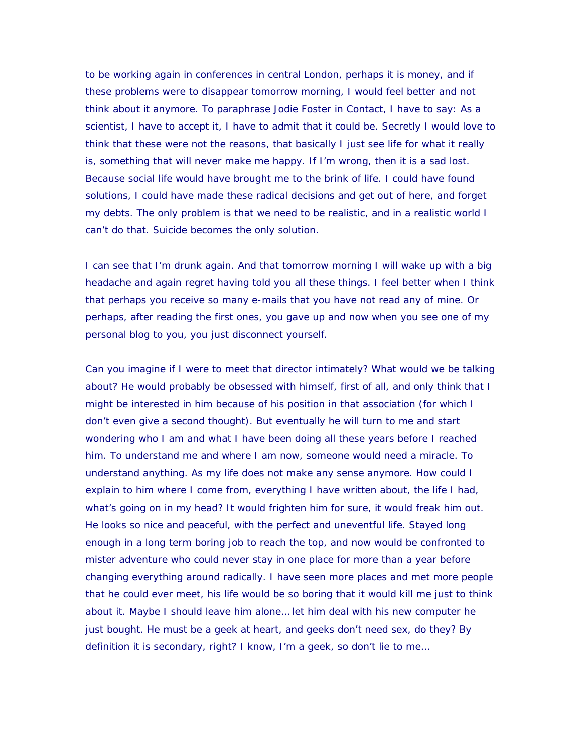to be working again in conferences in central London, perhaps it is money, and if these problems were to disappear tomorrow morning, I would feel better and not think about it anymore. To paraphrase Jodie Foster in Contact, I have to say: As a scientist, I have to accept it, I have to admit that it could be. Secretly I would love to think that these were not the reasons, that basically I just see life for what it really is, something that will never make me happy. If I'm wrong, then it is a sad lost. Because social life would have brought me to the brink of life. I could have found solutions, I could have made these radical decisions and get out of here, and forget my debts. The only problem is that we need to be realistic, and in a realistic world I can't do that. Suicide becomes the only solution.

I can see that I'm drunk again. And that tomorrow morning I will wake up with a big headache and again regret having told you all these things. I feel better when I think that perhaps you receive so many e-mails that you have not read any of mine. Or perhaps, after reading the first ones, you gave up and now when you see one of my personal blog to you, you just disconnect yourself.

Can you imagine if I were to meet that director intimately? What would we be talking about? He would probably be obsessed with himself, first of all, and only think that I might be interested in him because of his position in that association (for which I don't even give a second thought). But eventually he will turn to me and start wondering who I am and what I have been doing all these years before I reached him. To understand me and where I am now, someone would need a miracle. To understand anything. As my life does not make any sense anymore. How could I explain to him where I come from, everything I have written about, the life I had, what's going on in my head? It would frighten him for sure, it would freak him out. He looks so nice and peaceful, with the perfect and uneventful life. Stayed long enough in a long term boring job to reach the top, and now would be confronted to mister adventure who could never stay in one place for more than a year before changing everything around radically. I have seen more places and met more people that he could ever meet, his life would be so boring that it would kill me just to think about it. Maybe I should leave him alone… let him deal with his new computer he just bought. He must be a geek at heart, and geeks don't need sex, do they? By definition it is secondary, right? I know, I'm a geek, so don't lie to me…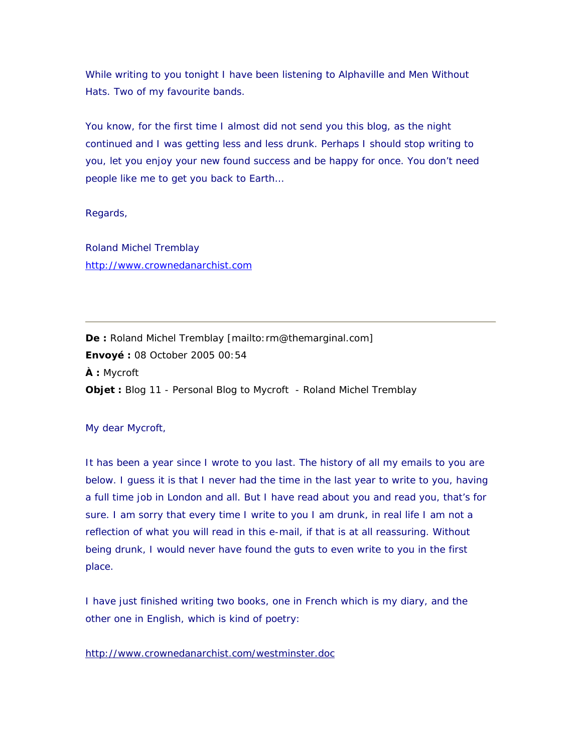While writing to you tonight I have been listening to Alphaville and Men Without Hats. Two of my favourite bands.

You know, for the first time I almost did not send you this blog, as the night continued and I was getting less and less drunk. Perhaps I should stop writing to you, let you enjoy your new found success and be happy for once. You don't need people like me to get you back to Earth…

Regards,

Roland Michel Tremblay [http://www.crownedanarchist.com](http://www.crownedanarchist.com/)

**De :** Roland Michel Tremblay [mailto:rm@themarginal.com] **Envoyé :** 08 October 2005 00:54 **À :** Mycroft **Objet :** Blog 11 - Personal Blog to Mycroft - Roland Michel Tremblay

My dear Mycroft,

It has been a year since I wrote to you last. The history of all my emails to you are below. I guess it is that I never had the time in the last year to write to you, having a full time job in London and all. But I have read about you and read you, that's for sure. I am sorry that every time I write to you I am drunk, in real life I am not a reflection of what you will read in this e-mail, if that is at all reassuring. Without being drunk, I would never have found the guts to even write to you in the first place.

I have just finished writing two books, one in French which is my diary, and the other one in English, which is kind of poetry:

<http://www.crownedanarchist.com/westminster.doc>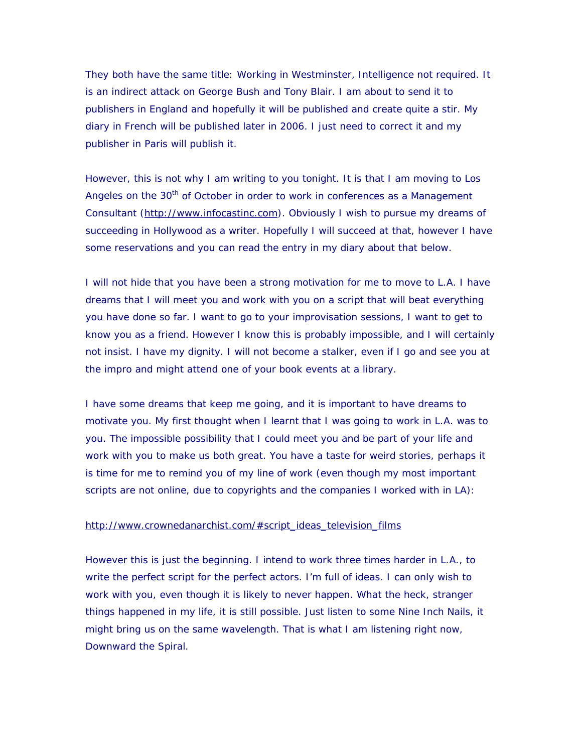They both have the same title: Working in Westminster, Intelligence not required. It is an indirect attack on George Bush and Tony Blair. I am about to send it to publishers in England and hopefully it will be published and create quite a stir. My diary in French will be published later in 2006. I just need to correct it and my publisher in Paris will publish it.

However, this is not why I am writing to you tonight. It is that I am moving to Los Angeles on the  $30<sup>th</sup>$  of October in order to work in conferences as a Management Consultant ([http://www.infocastinc.com](http://www.infocastinc.com/)). Obviously I wish to pursue my dreams of succeeding in Hollywood as a writer. Hopefully I will succeed at that, however I have some reservations and you can read the entry in my diary about that below.

I will not hide that you have been a strong motivation for me to move to L.A. I have dreams that I will meet you and work with you on a script that will beat everything you have done so far. I want to go to your improvisation sessions, I want to get to know you as a friend. However I know this is probably impossible, and I will certainly not insist. I have my dignity. I will not become a stalker, even if I go and see you at the impro and might attend one of your book events at a library.

I have some dreams that keep me going, and it is important to have dreams to motivate you. My first thought when I learnt that I was going to work in L.A. was to you. The impossible possibility that I could meet you and be part of your life and work with you to make us both great. You have a taste for weird stories, perhaps it is time for me to remind you of my line of work (even though my most important scripts are not online, due to copyrights and the companies I worked with in LA):

## [http://www.crownedanarchist.com/#script\\_ideas\\_television\\_films](http://www.crownedanarchist.com/#script_ideas_television_films)

However this is just the beginning. I intend to work three times harder in L.A., to write the perfect script for the perfect actors. I'm full of ideas. I can only wish to work with you, even though it is likely to never happen. What the heck, stranger things happened in my life, it is still possible. Just listen to some Nine Inch Nails, it might bring us on the same wavelength. That is what I am listening right now, Downward the Spiral.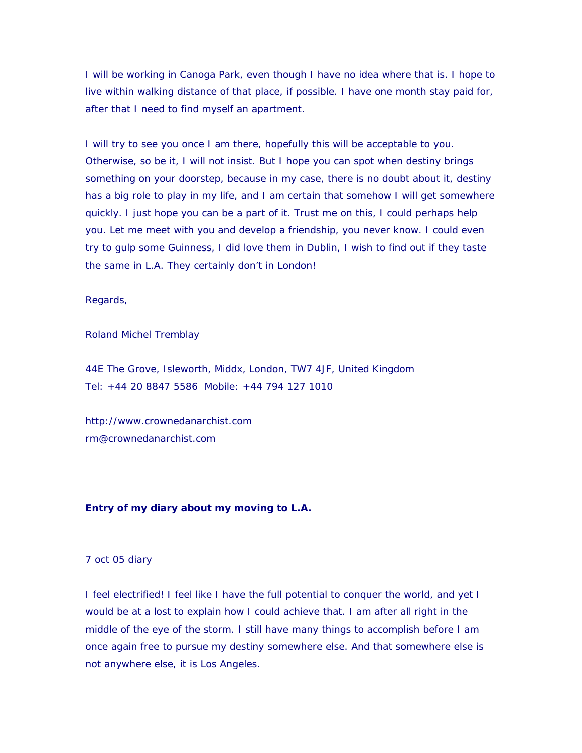I will be working in Canoga Park, even though I have no idea where that is. I hope to live within walking distance of that place, if possible. I have one month stay paid for, after that I need to find myself an apartment.

I will try to see you once I am there, hopefully this will be acceptable to you. Otherwise, so be it, I will not insist. But I hope you can spot when destiny brings something on your doorstep, because in my case, there is no doubt about it, destiny has a big role to play in my life, and I am certain that somehow I will get somewhere quickly. I just hope you can be a part of it. Trust me on this, I could perhaps help you. Let me meet with you and develop a friendship, you never know. I could even try to gulp some Guinness, I did love them in Dublin, I wish to find out if they taste the same in L.A. They certainly don't in London!

Regards,

Roland Michel Tremblay

44E The Grove, Isleworth, Middx, London, TW7 4JF, United Kingdom Tel: +44 20 8847 5586 Mobile: +44 794 127 1010

[http://www.crownedanarchist.com](http://www.crownedanarchist.com/) [rm@crownedanarchist.com](mailto:rm@crownedanarchist.com) 

## **Entry of my diary about my moving to L.A.**

## 7 oct 05 diary

I feel electrified! I feel like I have the full potential to conquer the world, and yet I would be at a lost to explain how I could achieve that. I am after all right in the middle of the eye of the storm. I still have many things to accomplish before I am once again free to pursue my destiny somewhere else. And that somewhere else is not anywhere else, it is Los Angeles.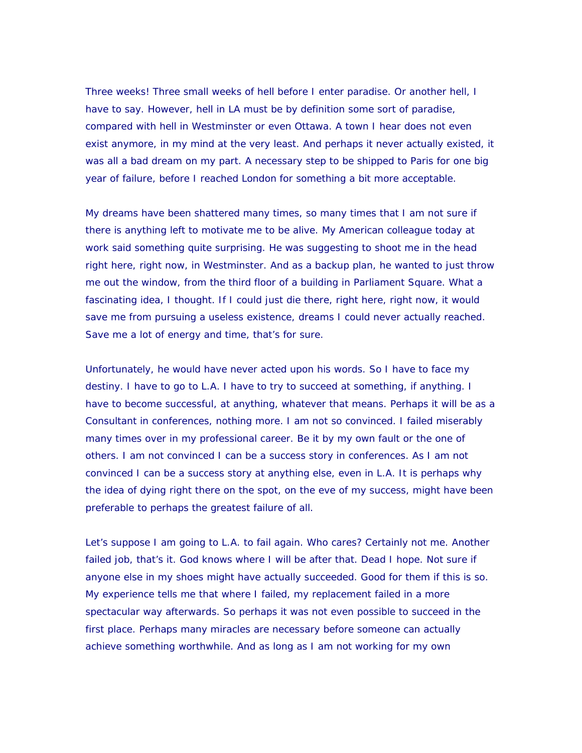Three weeks! Three small weeks of hell before I enter paradise. Or another hell, I have to say. However, hell in LA must be by definition some sort of paradise, compared with hell in Westminster or even Ottawa. A town I hear does not even exist anymore, in my mind at the very least. And perhaps it never actually existed, it was all a bad dream on my part. A necessary step to be shipped to Paris for one big year of failure, before I reached London for something a bit more acceptable.

My dreams have been shattered many times, so many times that I am not sure if there is anything left to motivate me to be alive. My American colleague today at work said something quite surprising. He was suggesting to shoot me in the head right here, right now, in Westminster. And as a backup plan, he wanted to just throw me out the window, from the third floor of a building in Parliament Square. What a fascinating idea, I thought. If I could just die there, right here, right now, it would save me from pursuing a useless existence, dreams I could never actually reached. Save me a lot of energy and time, that's for sure.

Unfortunately, he would have never acted upon his words. So I have to face my destiny. I have to go to L.A. I have to try to succeed at something, if anything. I have to become successful, at anything, whatever that means. Perhaps it will be as a Consultant in conferences, nothing more. I am not so convinced. I failed miserably many times over in my professional career. Be it by my own fault or the one of others. I am not convinced I can be a success story in conferences. As I am not convinced I can be a success story at anything else, even in L.A. It is perhaps why the idea of dying right there on the spot, on the eve of my success, might have been preferable to perhaps the greatest failure of all.

Let's suppose I am going to L.A. to fail again. Who cares? Certainly not me. Another failed job, that's it. God knows where I will be after that. Dead I hope. Not sure if anyone else in my shoes might have actually succeeded. Good for them if this is so. My experience tells me that where I failed, my replacement failed in a more spectacular way afterwards. So perhaps it was not even possible to succeed in the first place. Perhaps many miracles are necessary before someone can actually achieve something worthwhile. And as long as I am not working for my own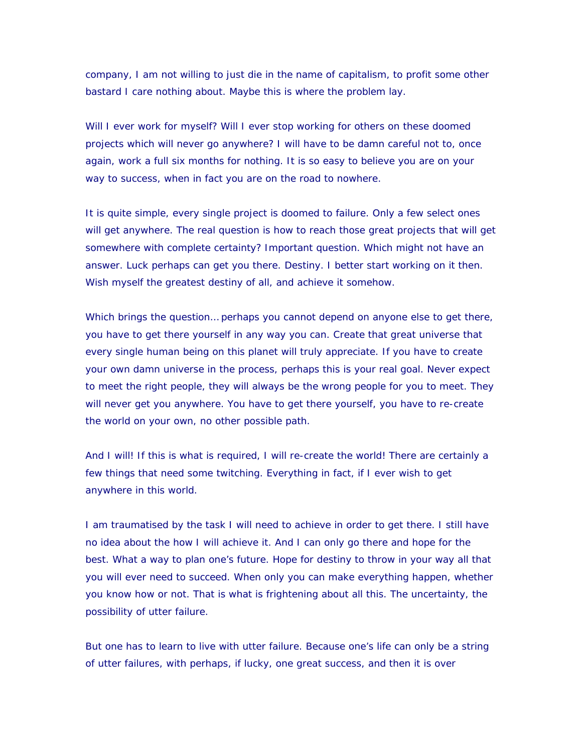company, I am not willing to just die in the name of capitalism, to profit some other bastard I care nothing about. Maybe this is where the problem lay.

Will I ever work for myself? Will I ever stop working for others on these doomed projects which will never go anywhere? I will have to be damn careful not to, once again, work a full six months for nothing. It is so easy to believe you are on your way to success, when in fact you are on the road to nowhere.

It is quite simple, every single project is doomed to failure. Only a few select ones will get anywhere. The real question is how to reach those great projects that will get somewhere with complete certainty? Important question. Which might not have an answer. Luck perhaps can get you there. Destiny. I better start working on it then. Wish myself the greatest destiny of all, and achieve it somehow.

Which brings the question... perhaps you cannot depend on anyone else to get there, you have to get there yourself in any way you can. Create that great universe that every single human being on this planet will truly appreciate. If you have to create your own damn universe in the process, perhaps this is your real goal. Never expect to meet the right people, they will always be the wrong people for you to meet. They will never get you anywhere. You have to get there yourself, you have to re-create the world on your own, no other possible path.

And I will! If this is what is required, I will re-create the world! There are certainly a few things that need some twitching. Everything in fact, if I ever wish to get anywhere in this world.

I am traumatised by the task I will need to achieve in order to get there. I still have no idea about the how I will achieve it. And I can only go there and hope for the best. What a way to plan one's future. Hope for destiny to throw in your way all that you will ever need to succeed. When only you can make everything happen, whether you know how or not. That is what is frightening about all this. The uncertainty, the possibility of utter failure.

But one has to learn to live with utter failure. Because one's life can only be a string of utter failures, with perhaps, if lucky, one great success, and then it is over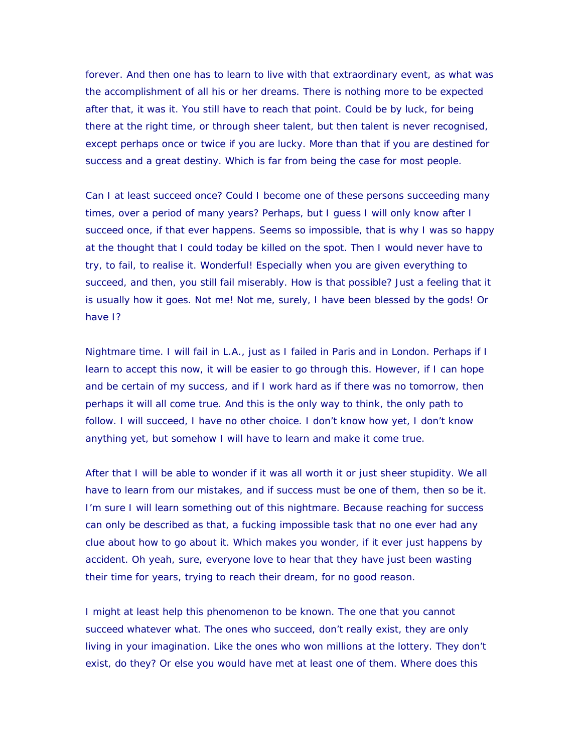forever. And then one has to learn to live with that extraordinary event, as what was the accomplishment of all his or her dreams. There is nothing more to be expected after that, it was it. You still have to reach that point. Could be by luck, for being there at the right time, or through sheer talent, but then talent is never recognised, except perhaps once or twice if you are lucky. More than that if you are destined for success and a great destiny. Which is far from being the case for most people.

Can I at least succeed once? Could I become one of these persons succeeding many times, over a period of many years? Perhaps, but I guess I will only know after I succeed once, if that ever happens. Seems so impossible, that is why I was so happy at the thought that I could today be killed on the spot. Then I would never have to try, to fail, to realise it. Wonderful! Especially when you are given everything to succeed, and then, you still fail miserably. How is that possible? Just a feeling that it is usually how it goes. Not me! Not me, surely, I have been blessed by the gods! Or have I?

Nightmare time. I will fail in L.A., just as I failed in Paris and in London. Perhaps if I learn to accept this now, it will be easier to go through this. However, if I can hope and be certain of my success, and if I work hard as if there was no tomorrow, then perhaps it will all come true. And this is the only way to think, the only path to follow. I will succeed, I have no other choice. I don't know how yet, I don't know anything yet, but somehow I will have to learn and make it come true.

After that I will be able to wonder if it was all worth it or just sheer stupidity. We all have to learn from our mistakes, and if success must be one of them, then so be it. I'm sure I will learn something out of this nightmare. Because reaching for success can only be described as that, a fucking impossible task that no one ever had any clue about how to go about it. Which makes you wonder, if it ever just happens by accident. Oh yeah, sure, everyone love to hear that they have just been wasting their time for years, trying to reach their dream, for no good reason.

I might at least help this phenomenon to be known. The one that you cannot succeed whatever what. The ones who succeed, don't really exist, they are only living in your imagination. Like the ones who won millions at the lottery. They don't exist, do they? Or else you would have met at least one of them. Where does this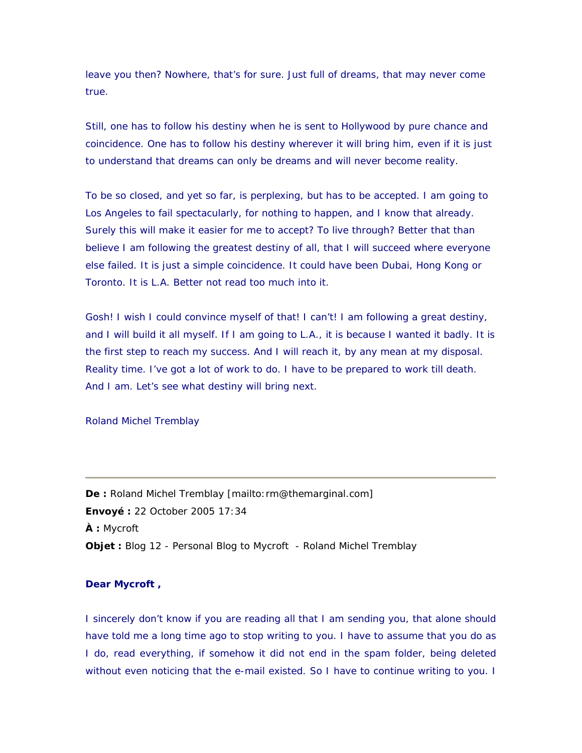leave you then? Nowhere, that's for sure. Just full of dreams, that may never come true.

Still, one has to follow his destiny when he is sent to Hollywood by pure chance and coincidence. One has to follow his destiny wherever it will bring him, even if it is just to understand that dreams can only be dreams and will never become reality.

To be so closed, and yet so far, is perplexing, but has to be accepted. I am going to Los Angeles to fail spectacularly, for nothing to happen, and I know that already. Surely this will make it easier for me to accept? To live through? Better that than believe I am following the greatest destiny of all, that I will succeed where everyone else failed. It is just a simple coincidence. It could have been Dubai, Hong Kong or Toronto. It is L.A. Better not read too much into it.

Gosh! I wish I could convince myself of that! I can't! I am following a great destiny, and I will build it all myself. If I am going to L.A., it is because I wanted it badly. It is the first step to reach my success. And I will reach it, by any mean at my disposal. Reality time. I've got a lot of work to do. I have to be prepared to work till death. And I am. Let's see what destiny will bring next.

Roland Michel Tremblay

**De :** Roland Michel Tremblay [mailto:rm@themarginal.com] **Envoyé :** 22 October 2005 17:34 **À :** Mycroft **Objet :** Blog 12 - Personal Blog to Mycroft - Roland Michel Tremblay

## **Dear Mycroft ,**

I sincerely don't know if you are reading all that I am sending you, that alone should have told me a long time ago to stop writing to you. I have to assume that you do as I do, read everything, if somehow it did not end in the spam folder, being deleted without even noticing that the e-mail existed. So I have to continue writing to you. I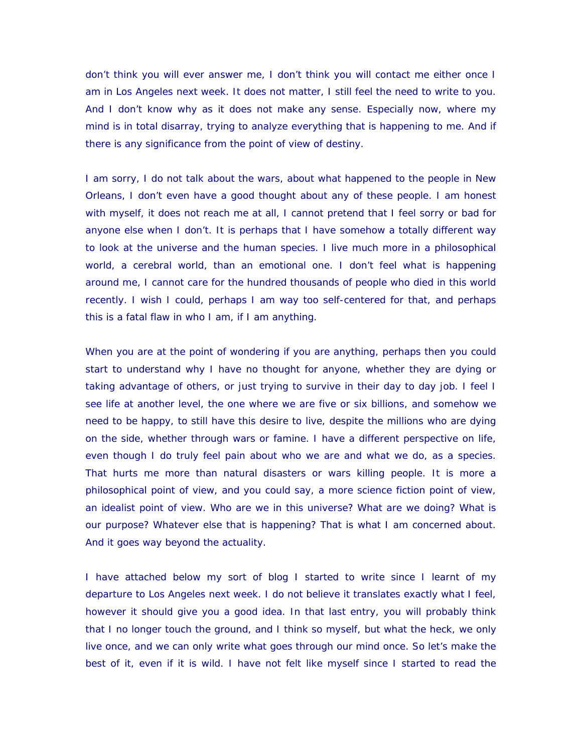don't think you will ever answer me, I don't think you will contact me either once I am in Los Angeles next week. It does not matter, I still feel the need to write to you. And I don't know why as it does not make any sense. Especially now, where my mind is in total disarray, trying to analyze everything that is happening to me. And if there is any significance from the point of view of destiny.

I am sorry, I do not talk about the wars, about what happened to the people in New Orleans, I don't even have a good thought about any of these people. I am honest with myself, it does not reach me at all, I cannot pretend that I feel sorry or bad for anyone else when I don't. It is perhaps that I have somehow a totally different way to look at the universe and the human species. I live much more in a philosophical world, a cerebral world, than an emotional one. I don't feel what is happening around me, I cannot care for the hundred thousands of people who died in this world recently. I wish I could, perhaps I am way too self-centered for that, and perhaps this is a fatal flaw in who I am, if I am anything.

When you are at the point of wondering if you are anything, perhaps then you could start to understand why I have no thought for anyone, whether they are dying or taking advantage of others, or just trying to survive in their day to day job. I feel I see life at another level, the one where we are five or six billions, and somehow we need to be happy, to still have this desire to live, despite the millions who are dying on the side, whether through wars or famine. I have a different perspective on life, even though I do truly feel pain about who we are and what we do, as a species. That hurts me more than natural disasters or wars killing people. It is more a philosophical point of view, and you could say, a more science fiction point of view, an idealist point of view. Who are we in this universe? What are we doing? What is our purpose? Whatever else that is happening? That is what I am concerned about. And it goes way beyond the actuality.

I have attached below my sort of blog I started to write since I learnt of my departure to Los Angeles next week. I do not believe it translates exactly what I feel, however it should give you a good idea. In that last entry, you will probably think that I no longer touch the ground, and I think so myself, but what the heck, we only live once, and we can only write what goes through our mind once. So let's make the best of it, even if it is wild. I have not felt like myself since I started to read the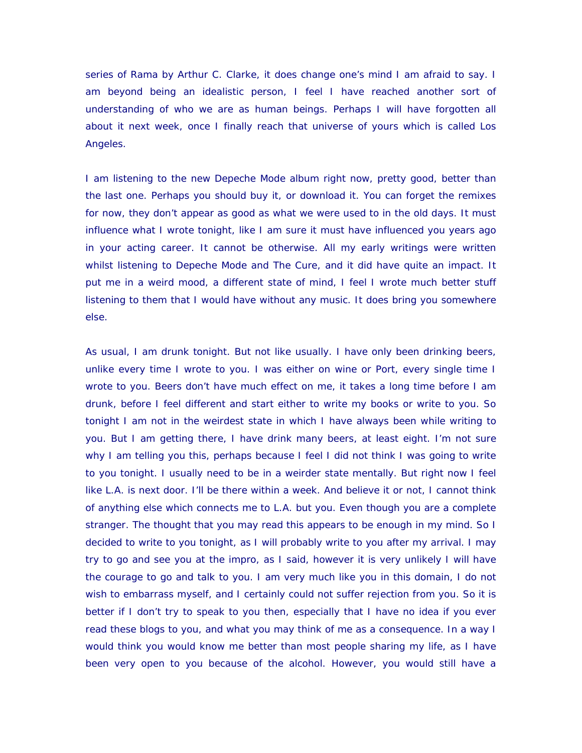series of Rama by Arthur C. Clarke, it does change one's mind I am afraid to say. I am beyond being an idealistic person, I feel I have reached another sort of understanding of who we are as human beings. Perhaps I will have forgotten all about it next week, once I finally reach that universe of yours which is called Los Angeles.

I am listening to the new Depeche Mode album right now, pretty good, better than the last one. Perhaps you should buy it, or download it. You can forget the remixes for now, they don't appear as good as what we were used to in the old days. It must influence what I wrote tonight, like I am sure it must have influenced you years ago in your acting career. It cannot be otherwise. All my early writings were written whilst listening to Depeche Mode and The Cure, and it did have quite an impact. It put me in a weird mood, a different state of mind, I feel I wrote much better stuff listening to them that I would have without any music. It does bring you somewhere else.

As usual, I am drunk tonight. But not like usually. I have only been drinking beers, unlike every time I wrote to you. I was either on wine or Port, every single time I wrote to you. Beers don't have much effect on me, it takes a long time before I am drunk, before I feel different and start either to write my books or write to you. So tonight I am not in the weirdest state in which I have always been while writing to you. But I am getting there, I have drink many beers, at least eight. I'm not sure why I am telling you this, perhaps because I feel I did not think I was going to write to you tonight. I usually need to be in a weirder state mentally. But right now I feel like L.A. is next door. I'll be there within a week. And believe it or not, I cannot think of anything else which connects me to L.A. but you. Even though you are a complete stranger. The thought that you may read this appears to be enough in my mind. So I decided to write to you tonight, as I will probably write to you after my arrival. I may try to go and see you at the impro, as I said, however it is very unlikely I will have the courage to go and talk to you. I am very much like you in this domain, I do not wish to embarrass myself, and I certainly could not suffer rejection from you. So it is better if I don't try to speak to you then, especially that I have no idea if you ever read these blogs to you, and what you may think of me as a consequence. In a way I would think you would know me better than most people sharing my life, as I have been very open to you because of the alcohol. However, you would still have a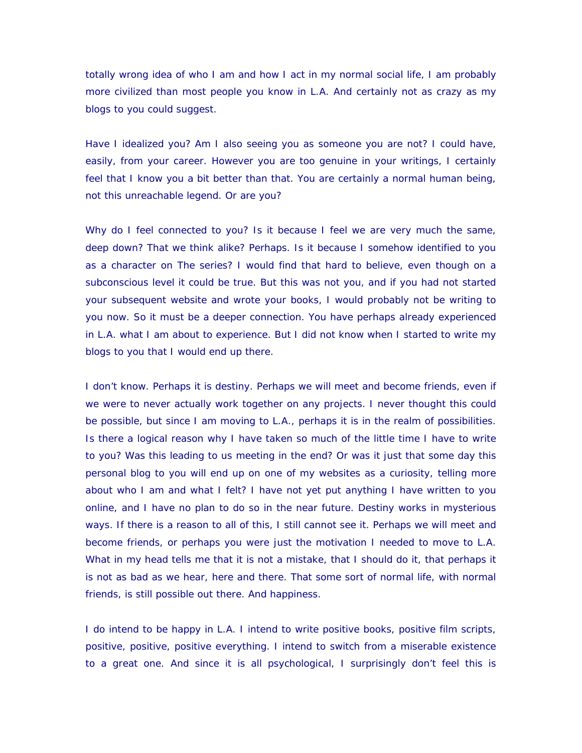totally wrong idea of who I am and how I act in my normal social life, I am probably more civilized than most people you know in L.A. And certainly not as crazy as my blogs to you could suggest.

Have I idealized you? Am I also seeing you as someone you are not? I could have, easily, from your career. However you are too genuine in your writings, I certainly feel that I know you a bit better than that. You are certainly a normal human being, not this unreachable legend. Or are you?

Why do I feel connected to you? Is it because I feel we are very much the same, deep down? That we think alike? Perhaps. Is it because I somehow identified to you as a character on The series? I would find that hard to believe, even though on a subconscious level it could be true. But this was not you, and if you had not started your subsequent website and wrote your books, I would probably not be writing to you now. So it must be a deeper connection. You have perhaps already experienced in L.A. what I am about to experience. But I did not know when I started to write my blogs to you that I would end up there.

I don't know. Perhaps it is destiny. Perhaps we will meet and become friends, even if we were to never actually work together on any projects. I never thought this could be possible, but since I am moving to L.A., perhaps it is in the realm of possibilities. Is there a logical reason why I have taken so much of the little time I have to write to you? Was this leading to us meeting in the end? Or was it just that some day this personal blog to you will end up on one of my websites as a curiosity, telling more about who I am and what I felt? I have not yet put anything I have written to you online, and I have no plan to do so in the near future. Destiny works in mysterious ways. If there is a reason to all of this, I still cannot see it. Perhaps we will meet and become friends, or perhaps you were just the motivation I needed to move to L.A. What in my head tells me that it is not a mistake, that I should do it, that perhaps it is not as bad as we hear, here and there. That some sort of normal life, with normal friends, is still possible out there. And happiness.

I do intend to be happy in L.A. I intend to write positive books, positive film scripts, positive, positive, positive everything. I intend to switch from a miserable existence to a great one. And since it is all psychological, I surprisingly don't feel this is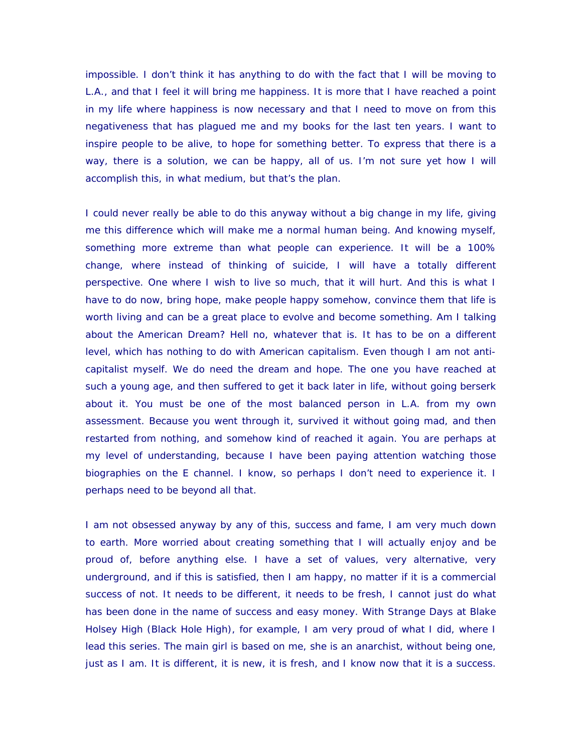impossible. I don't think it has anything to do with the fact that I will be moving to L.A., and that I feel it will bring me happiness. It is more that I have reached a point in my life where happiness is now necessary and that I need to move on from this negativeness that has plagued me and my books for the last ten years. I want to inspire people to be alive, to hope for something better. To express that there is a way, there is a solution, we can be happy, all of us. I'm not sure yet how I will accomplish this, in what medium, but that's the plan.

I could never really be able to do this anyway without a big change in my life, giving me this difference which will make me a normal human being. And knowing myself, something more extreme than what people can experience. It will be a 100% change, where instead of thinking of suicide, I will have a totally different perspective. One where I wish to live so much, that it will hurt. And this is what I have to do now, bring hope, make people happy somehow, convince them that life is worth living and can be a great place to evolve and become something. Am I talking about the American Dream? Hell no, whatever that is. It has to be on a different level, which has nothing to do with American capitalism. Even though I am not anticapitalist myself. We do need the dream and hope. The one you have reached at such a young age, and then suffered to get it back later in life, without going berserk about it. You must be one of the most balanced person in L.A. from my own assessment. Because you went through it, survived it without going mad, and then restarted from nothing, and somehow kind of reached it again. You are perhaps at my level of understanding, because I have been paying attention watching those biographies on the E channel. I know, so perhaps I don't need to experience it. I perhaps need to be beyond all that.

I am not obsessed anyway by any of this, success and fame, I am very much down to earth. More worried about creating something that I will actually enjoy and be proud of, before anything else. I have a set of values, very alternative, very underground, and if this is satisfied, then I am happy, no matter if it is a commercial success of not. It needs to be different, it needs to be fresh, I cannot just do what has been done in the name of success and easy money. With Strange Days at Blake Holsey High (Black Hole High), for example, I am very proud of what I did, where I lead this series. The main girl is based on me, she is an anarchist, without being one, just as I am. It is different, it is new, it is fresh, and I know now that it is a success.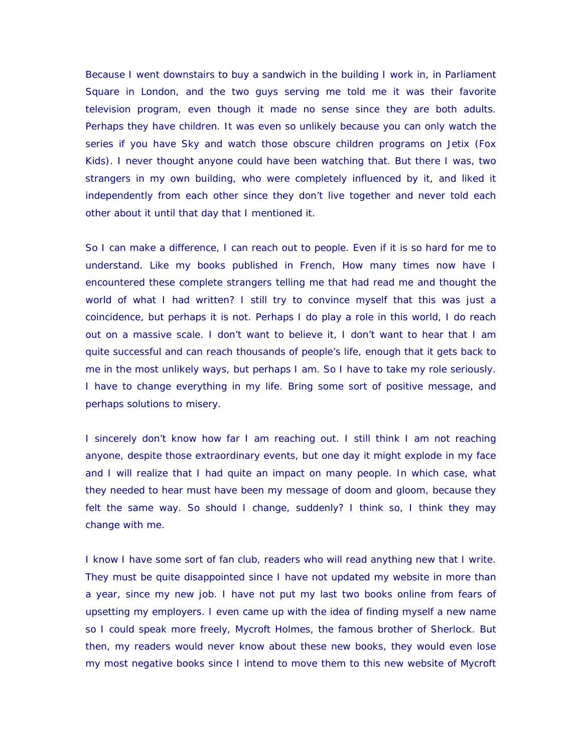Because I went downstairs to buy a sandwich in the building I work in, in Parliament Square in London, and the two guys serving me told me it was their favorite television program, even though it made no sense since they are both adults. Perhaps they have children. It was even so unlikely because you can only watch the series if you have Sky and watch those obscure children programs on Jetix (Fox Kids). I never thought anyone could have been watching that. But there I was, two strangers in my own building, who were completely influenced by it, and liked it independently from each other since they don't live together and never told each other about it until that day that I mentioned it.

So I can make a difference, I can reach out to people. Even if it is so hard for me to understand. Like my books published in French, How many times now have I encountered these complete strangers telling me that had read me and thought the world of what I had written? I still try to convince myself that this was just a coincidence, but perhaps it is not. Perhaps I do play a role in this world, I do reach out on a massive scale. I don't want to believe it, I don't want to hear that I am quite successful and can reach thousands of people's life, enough that it gets back to me in the most unlikely ways, but perhaps I am. So I have to take my role seriously. I have to change everything in my life. Bring some sort of positive message, and perhaps solutions to misery.

I sincerely don't know how far I am reaching out. I still think I am not reaching anyone, despite those extraordinary events, but one day it might explode in my face and I will realize that I had quite an impact on many people. In which case, what they needed to hear must have been my message of doom and gloom, because they felt the same way. So should I change, suddenly? I think so, I think they may change with me.

I know I have some sort of fan club, readers who will read anything new that I write. They must be quite disappointed since I have not updated my website in more than a year, since my new job. I have not put my last two books online from fears of upsetting my employers. I even came up with the idea of finding myself a new name so I could speak more freely, Mycroft Holmes, the famous brother of Sherlock. But then, my readers would never know about these new books, they would even lose my most negative books since I intend to move them to this new website of Mycroft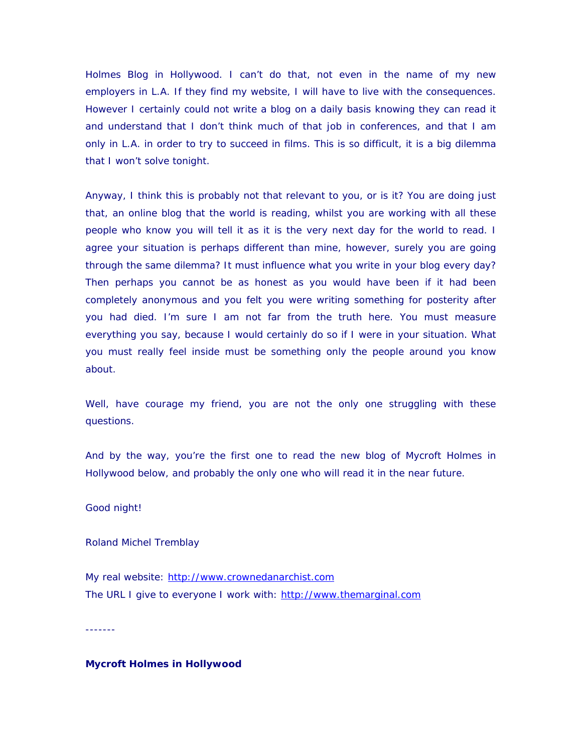Holmes Blog in Hollywood. I can't do that, not even in the name of my new employers in L.A. If they find my website, I will have to live with the consequences. However I certainly could not write a blog on a daily basis knowing they can read it and understand that I don't think much of that job in conferences, and that I am only in L.A. in order to try to succeed in films. This is so difficult, it is a big dilemma that I won't solve tonight.

Anyway, I think this is probably not that relevant to you, or is it? You are doing just that, an online blog that the world is reading, whilst you are working with all these people who know you will tell it as it is the very next day for the world to read. I agree your situation is perhaps different than mine, however, surely you are going through the same dilemma? It must influence what you write in your blog every day? Then perhaps you cannot be as honest as you would have been if it had been completely anonymous and you felt you were writing something for posterity after you had died. I'm sure I am not far from the truth here. You must measure everything you say, because I would certainly do so if I were in your situation. What you must really feel inside must be something only the people around you know about.

Well, have courage my friend, you are not the only one struggling with these questions.

And by the way, you're the first one to read the new blog of Mycroft Holmes in Hollywood below, and probably the only one who will read it in the near future.

Good night!

Roland Michel Tremblay

My real website: [http://www.crownedanarchist.com](http://www.crownedanarchist.com/) The URL I give to everyone I work with: [http://www.themarginal.com](http://www.themarginal.com/)

-------

**Mycroft Holmes in Hollywood**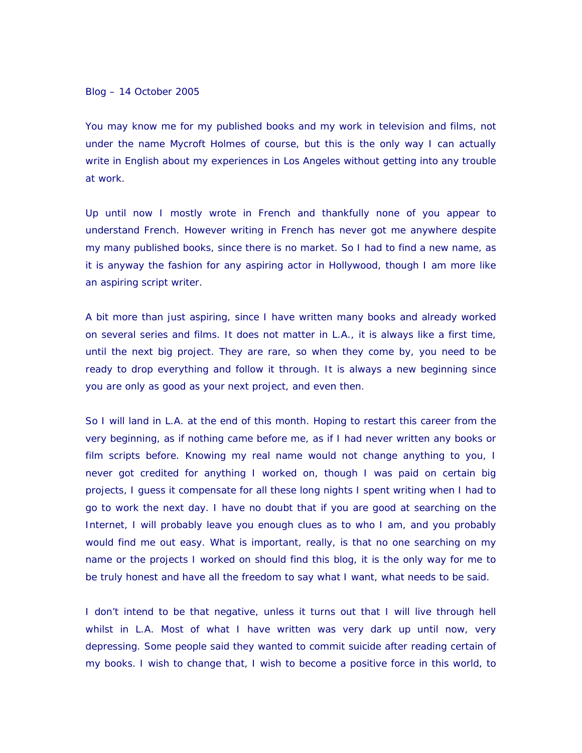Blog – 14 October 2005

You may know me for my published books and my work in television and films, not under the name Mycroft Holmes of course, but this is the only way I can actually write in English about my experiences in Los Angeles without getting into any trouble at work.

Up until now I mostly wrote in French and thankfully none of you appear to understand French. However writing in French has never got me anywhere despite my many published books, since there is no market. So I had to find a new name, as it is anyway the fashion for any aspiring actor in Hollywood, though I am more like an aspiring script writer.

A bit more than just aspiring, since I have written many books and already worked on several series and films. It does not matter in L.A., it is always like a first time, until the next big project. They are rare, so when they come by, you need to be ready to drop everything and follow it through. It is always a new beginning since you are only as good as your next project, and even then.

So I will land in L.A. at the end of this month. Hoping to restart this career from the very beginning, as if nothing came before me, as if I had never written any books or film scripts before. Knowing my real name would not change anything to you, I never got credited for anything I worked on, though I was paid on certain big projects, I guess it compensate for all these long nights I spent writing when I had to go to work the next day. I have no doubt that if you are good at searching on the Internet, I will probably leave you enough clues as to who I am, and you probably would find me out easy. What is important, really, is that no one searching on my name or the projects I worked on should find this blog, it is the only way for me to be truly honest and have all the freedom to say what I want, what needs to be said.

I don't intend to be that negative, unless it turns out that I will live through hell whilst in L.A. Most of what I have written was very dark up until now, very depressing. Some people said they wanted to commit suicide after reading certain of my books. I wish to change that, I wish to become a positive force in this world, to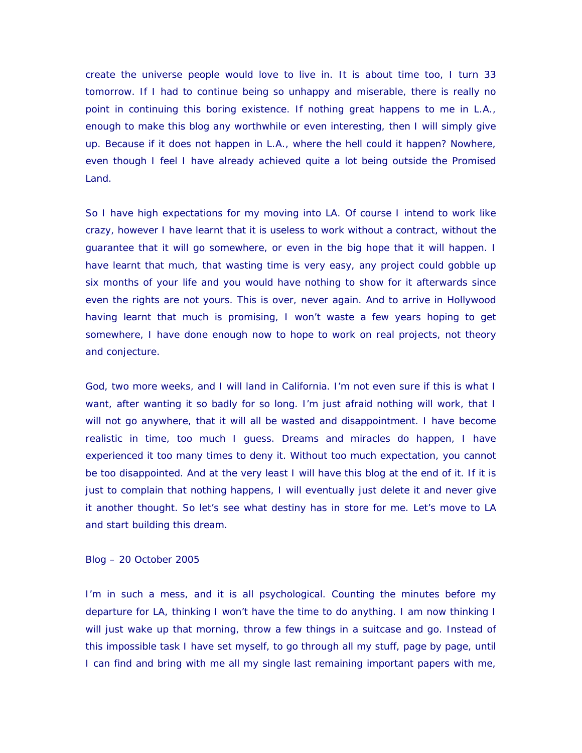create the universe people would love to live in. It is about time too, I turn 33 tomorrow. If I had to continue being so unhappy and miserable, there is really no point in continuing this boring existence. If nothing great happens to me in L.A., enough to make this blog any worthwhile or even interesting, then I will simply give up. Because if it does not happen in L.A., where the hell could it happen? Nowhere, even though I feel I have already achieved quite a lot being outside the Promised Land.

So I have high expectations for my moving into LA. Of course I intend to work like crazy, however I have learnt that it is useless to work without a contract, without the guarantee that it will go somewhere, or even in the big hope that it will happen. I have learnt that much, that wasting time is very easy, any project could gobble up six months of your life and you would have nothing to show for it afterwards since even the rights are not yours. This is over, never again. And to arrive in Hollywood having learnt that much is promising, I won't waste a few years hoping to get somewhere, I have done enough now to hope to work on real projects, not theory and conjecture.

God, two more weeks, and I will land in California. I'm not even sure if this is what I want, after wanting it so badly for so long. I'm just afraid nothing will work, that I will not go anywhere, that it will all be wasted and disappointment. I have become realistic in time, too much I guess. Dreams and miracles do happen, I have experienced it too many times to deny it. Without too much expectation, you cannot be too disappointed. And at the very least I will have this blog at the end of it. If it is just to complain that nothing happens, I will eventually just delete it and never give it another thought. So let's see what destiny has in store for me. Let's move to LA and start building this dream.

Blog – 20 October 2005

I'm in such a mess, and it is all psychological. Counting the minutes before my departure for LA, thinking I won't have the time to do anything. I am now thinking I will just wake up that morning, throw a few things in a suitcase and go. Instead of this impossible task I have set myself, to go through all my stuff, page by page, until I can find and bring with me all my single last remaining important papers with me,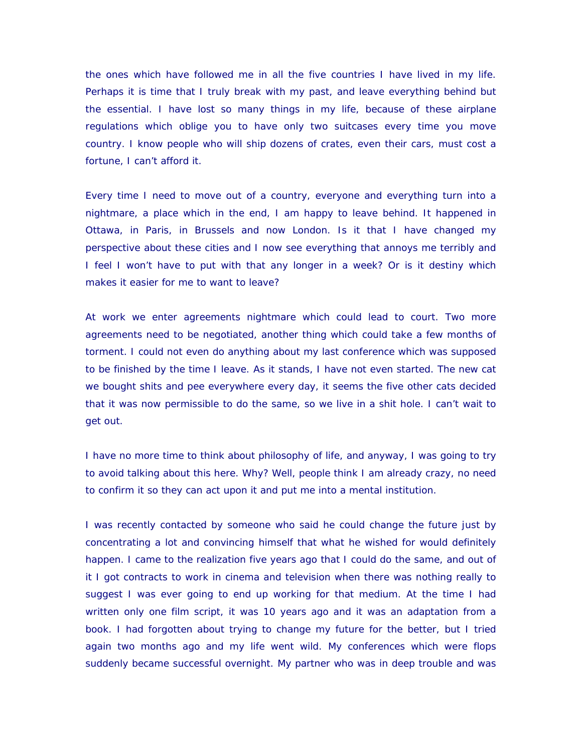the ones which have followed me in all the five countries I have lived in my life. Perhaps it is time that I truly break with my past, and leave everything behind but the essential. I have lost so many things in my life, because of these airplane regulations which oblige you to have only two suitcases every time you move country. I know people who will ship dozens of crates, even their cars, must cost a fortune, I can't afford it.

Every time I need to move out of a country, everyone and everything turn into a nightmare, a place which in the end, I am happy to leave behind. It happened in Ottawa, in Paris, in Brussels and now London. Is it that I have changed my perspective about these cities and I now see everything that annoys me terribly and I feel I won't have to put with that any longer in a week? Or is it destiny which makes it easier for me to want to leave?

At work we enter agreements nightmare which could lead to court. Two more agreements need to be negotiated, another thing which could take a few months of torment. I could not even do anything about my last conference which was supposed to be finished by the time I leave. As it stands, I have not even started. The new cat we bought shits and pee everywhere every day, it seems the five other cats decided that it was now permissible to do the same, so we live in a shit hole. I can't wait to get out.

I have no more time to think about philosophy of life, and anyway, I was going to try to avoid talking about this here. Why? Well, people think I am already crazy, no need to confirm it so they can act upon it and put me into a mental institution.

I was recently contacted by someone who said he could change the future just by concentrating a lot and convincing himself that what he wished for would definitely happen. I came to the realization five years ago that I could do the same, and out of it I got contracts to work in cinema and television when there was nothing really to suggest I was ever going to end up working for that medium. At the time I had written only one film script, it was 10 years ago and it was an adaptation from a book. I had forgotten about trying to change my future for the better, but I tried again two months ago and my life went wild. My conferences which were flops suddenly became successful overnight. My partner who was in deep trouble and was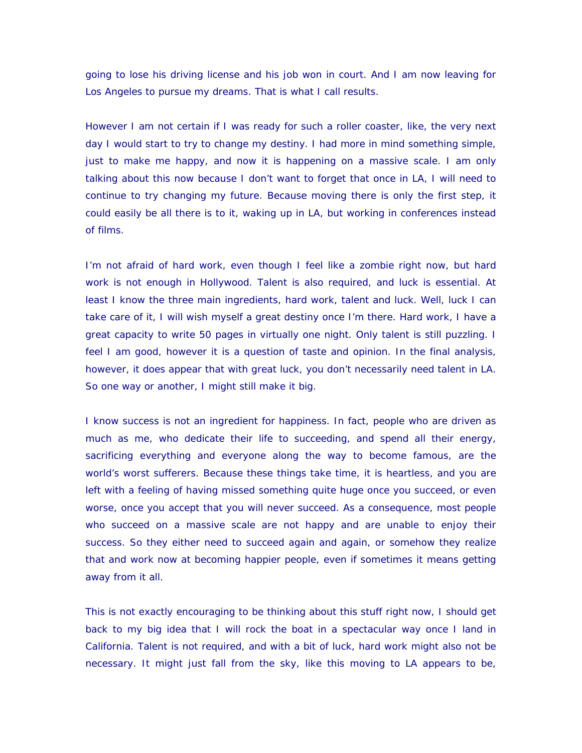going to lose his driving license and his job won in court. And I am now leaving for Los Angeles to pursue my dreams. That is what I call results.

However I am not certain if I was ready for such a roller coaster, like, the very next day I would start to try to change my destiny. I had more in mind something simple, just to make me happy, and now it is happening on a massive scale. I am only talking about this now because I don't want to forget that once in LA, I will need to continue to try changing my future. Because moving there is only the first step, it could easily be all there is to it, waking up in LA, but working in conferences instead of films.

I'm not afraid of hard work, even though I feel like a zombie right now, but hard work is not enough in Hollywood. Talent is also required, and luck is essential. At least I know the three main ingredients, hard work, talent and luck. Well, luck I can take care of it, I will wish myself a great destiny once I'm there. Hard work, I have a great capacity to write 50 pages in virtually one night. Only talent is still puzzling. I feel I am good, however it is a question of taste and opinion. In the final analysis, however, it does appear that with great luck, you don't necessarily need talent in LA. So one way or another, I might still make it big.

I know success is not an ingredient for happiness. In fact, people who are driven as much as me, who dedicate their life to succeeding, and spend all their energy, sacrificing everything and everyone along the way to become famous, are the world's worst sufferers. Because these things take time, it is heartless, and you are left with a feeling of having missed something quite huge once you succeed, or even worse, once you accept that you will never succeed. As a consequence, most people who succeed on a massive scale are not happy and are unable to enjoy their success. So they either need to succeed again and again, or somehow they realize that and work now at becoming happier people, even if sometimes it means getting away from it all.

This is not exactly encouraging to be thinking about this stuff right now, I should get back to my big idea that I will rock the boat in a spectacular way once I land in California. Talent is not required, and with a bit of luck, hard work might also not be necessary. It might just fall from the sky, like this moving to LA appears to be,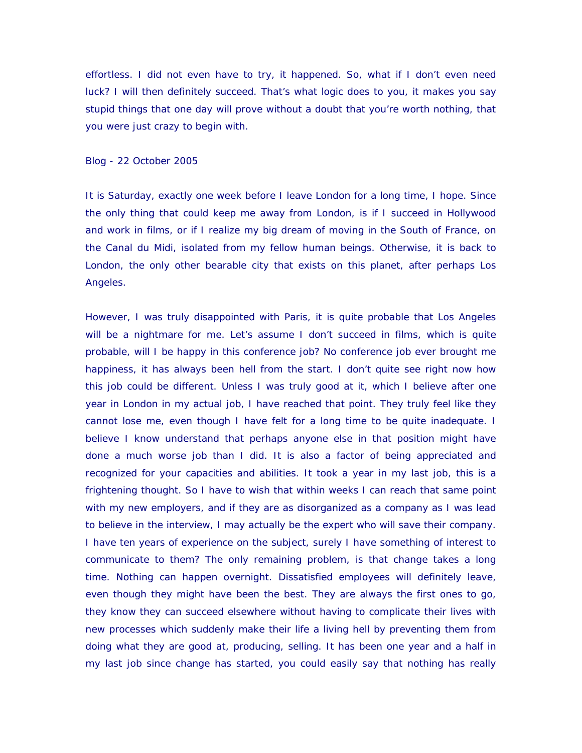effortless. I did not even have to try, it happened. So, what if I don't even need luck? I will then definitely succeed. That's what logic does to you, it makes you say stupid things that one day will prove without a doubt that you're worth nothing, that you were just crazy to begin with.

### Blog - 22 October 2005

It is Saturday, exactly one week before I leave London for a long time, I hope. Since the only thing that could keep me away from London, is if I succeed in Hollywood and work in films, or if I realize my big dream of moving in the South of France, on the Canal du Midi, isolated from my fellow human beings. Otherwise, it is back to London, the only other bearable city that exists on this planet, after perhaps Los Angeles.

However, I was truly disappointed with Paris, it is quite probable that Los Angeles will be a nightmare for me. Let's assume I don't succeed in films, which is quite probable, will I be happy in this conference job? No conference job ever brought me happiness, it has always been hell from the start. I don't quite see right now how this job could be different. Unless I was truly good at it, which I believe after one year in London in my actual job, I have reached that point. They truly feel like they cannot lose me, even though I have felt for a long time to be quite inadequate. I believe I know understand that perhaps anyone else in that position might have done a much worse job than I did. It is also a factor of being appreciated and recognized for your capacities and abilities. It took a year in my last job, this is a frightening thought. So I have to wish that within weeks I can reach that same point with my new employers, and if they are as disorganized as a company as I was lead to believe in the interview, I may actually be the expert who will save their company. I have ten years of experience on the subject, surely I have something of interest to communicate to them? The only remaining problem, is that change takes a long time. Nothing can happen overnight. Dissatisfied employees will definitely leave, even though they might have been the best. They are always the first ones to go, they know they can succeed elsewhere without having to complicate their lives with new processes which suddenly make their life a living hell by preventing them from doing what they are good at, producing, selling. It has been one year and a half in my last job since change has started, you could easily say that nothing has really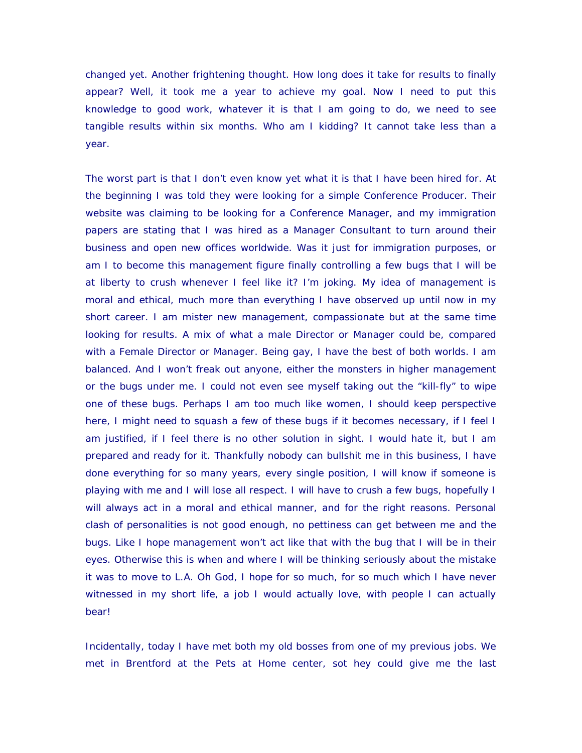changed yet. Another frightening thought. How long does it take for results to finally appear? Well, it took me a year to achieve my goal. Now I need to put this knowledge to good work, whatever it is that I am going to do, we need to see tangible results within six months. Who am I kidding? It cannot take less than a year.

The worst part is that I don't even know yet what it is that I have been hired for. At the beginning I was told they were looking for a simple Conference Producer. Their website was claiming to be looking for a Conference Manager, and my immigration papers are stating that I was hired as a Manager Consultant to turn around their business and open new offices worldwide. Was it just for immigration purposes, or am I to become this management figure finally controlling a few bugs that I will be at liberty to crush whenever I feel like it? I'm joking. My idea of management is moral and ethical, much more than everything I have observed up until now in my short career. I am mister new management, compassionate but at the same time looking for results. A mix of what a male Director or Manager could be, compared with a Female Director or Manager. Being gay, I have the best of both worlds. I am balanced. And I won't freak out anyone, either the monsters in higher management or the bugs under me. I could not even see myself taking out the "kill-fly" to wipe one of these bugs. Perhaps I am too much like women, I should keep perspective here, I might need to squash a few of these bugs if it becomes necessary, if I feel I am justified, if I feel there is no other solution in sight. I would hate it, but I am prepared and ready for it. Thankfully nobody can bullshit me in this business, I have done everything for so many years, every single position, I will know if someone is playing with me and I will lose all respect. I will have to crush a few bugs, hopefully I will always act in a moral and ethical manner, and for the right reasons. Personal clash of personalities is not good enough, no pettiness can get between me and the bugs. Like I hope management won't act like that with the bug that I will be in their eyes. Otherwise this is when and where I will be thinking seriously about the mistake it was to move to L.A. Oh God, I hope for so much, for so much which I have never witnessed in my short life, a job I would actually love, with people I can actually bear!

Incidentally, today I have met both my old bosses from one of my previous jobs. We met in Brentford at the Pets at Home center, sot hey could give me the last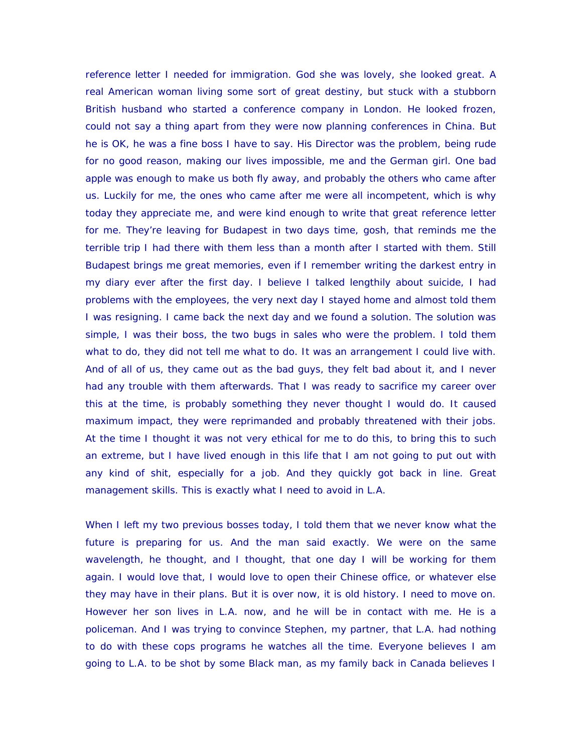reference letter I needed for immigration. God she was lovely, she looked great. A real American woman living some sort of great destiny, but stuck with a stubborn British husband who started a conference company in London. He looked frozen, could not say a thing apart from they were now planning conferences in China. But he is OK, he was a fine boss I have to say. His Director was the problem, being rude for no good reason, making our lives impossible, me and the German girl. One bad apple was enough to make us both fly away, and probably the others who came after us. Luckily for me, the ones who came after me were all incompetent, which is why today they appreciate me, and were kind enough to write that great reference letter for me. They're leaving for Budapest in two days time, gosh, that reminds me the terrible trip I had there with them less than a month after I started with them. Still Budapest brings me great memories, even if I remember writing the darkest entry in my diary ever after the first day. I believe I talked lengthily about suicide, I had problems with the employees, the very next day I stayed home and almost told them I was resigning. I came back the next day and we found a solution. The solution was simple, I was their boss, the two bugs in sales who were the problem. I told them what to do, they did not tell me what to do. It was an arrangement I could live with. And of all of us, they came out as the bad guys, they felt bad about it, and I never had any trouble with them afterwards. That I was ready to sacrifice my career over this at the time, is probably something they never thought I would do. It caused maximum impact, they were reprimanded and probably threatened with their jobs. At the time I thought it was not very ethical for me to do this, to bring this to such an extreme, but I have lived enough in this life that I am not going to put out with any kind of shit, especially for a job. And they quickly got back in line. Great management skills. This is exactly what I need to avoid in L.A.

When I left my two previous bosses today, I told them that we never know what the future is preparing for us. And the man said exactly. We were on the same wavelength, he thought, and I thought, that one day I will be working for them again. I would love that, I would love to open their Chinese office, or whatever else they may have in their plans. But it is over now, it is old history. I need to move on. However her son lives in L.A. now, and he will be in contact with me. He is a policeman. And I was trying to convince Stephen, my partner, that L.A. had nothing to do with these cops programs he watches all the time. Everyone believes I am going to L.A. to be shot by some Black man, as my family back in Canada believes I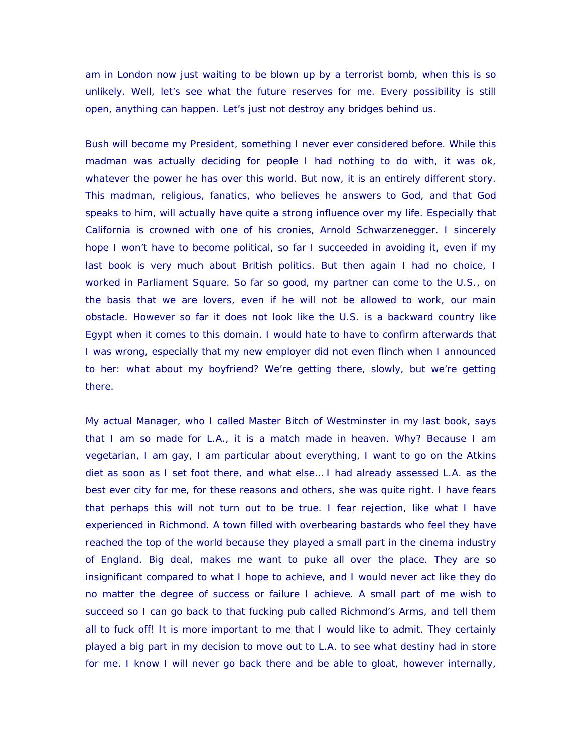am in London now just waiting to be blown up by a terrorist bomb, when this is so unlikely. Well, let's see what the future reserves for me. Every possibility is still open, anything can happen. Let's just not destroy any bridges behind us.

Bush will become my President, something I never ever considered before. While this madman was actually deciding for people I had nothing to do with, it was ok, whatever the power he has over this world. But now, it is an entirely different story. This madman, religious, fanatics, who believes he answers to God, and that God speaks to him, will actually have quite a strong influence over my life. Especially that California is crowned with one of his cronies, Arnold Schwarzenegger. I sincerely hope I won't have to become political, so far I succeeded in avoiding it, even if my last book is very much about British politics. But then again I had no choice, I worked in Parliament Square. So far so good, my partner can come to the U.S., on the basis that we are lovers, even if he will not be allowed to work, our main obstacle. However so far it does not look like the U.S. is a backward country like Egypt when it comes to this domain. I would hate to have to confirm afterwards that I was wrong, especially that my new employer did not even flinch when I announced to her: what about my boyfriend? We're getting there, slowly, but we're getting there.

My actual Manager, who I called Master Bitch of Westminster in my last book, says that I am so made for L.A., it is a match made in heaven. Why? Because I am vegetarian, I am gay, I am particular about everything, I want to go on the Atkins diet as soon as I set foot there, and what else… I had already assessed L.A. as the best ever city for me, for these reasons and others, she was quite right. I have fears that perhaps this will not turn out to be true. I fear rejection, like what I have experienced in Richmond. A town filled with overbearing bastards who feel they have reached the top of the world because they played a small part in the cinema industry of England. Big deal, makes me want to puke all over the place. They are so insignificant compared to what I hope to achieve, and I would never act like they do no matter the degree of success or failure I achieve. A small part of me wish to succeed so I can go back to that fucking pub called Richmond's Arms, and tell them all to fuck off! It is more important to me that I would like to admit. They certainly played a big part in my decision to move out to L.A. to see what destiny had in store for me. I know I will never go back there and be able to gloat, however internally,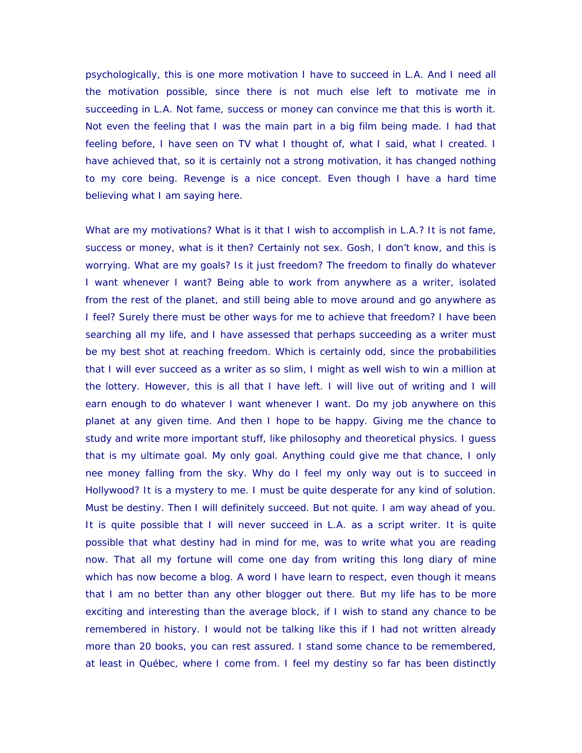psychologically, this is one more motivation I have to succeed in L.A. And I need all the motivation possible, since there is not much else left to motivate me in succeeding in L.A. Not fame, success or money can convince me that this is worth it. Not even the feeling that I was the main part in a big film being made. I had that feeling before, I have seen on TV what I thought of, what I said, what I created. I have achieved that, so it is certainly not a strong motivation, it has changed nothing to my core being. Revenge is a nice concept. Even though I have a hard time believing what I am saying here.

What are my motivations? What is it that I wish to accomplish in L.A.? It is not fame, success or money, what is it then? Certainly not sex. Gosh, I don't know, and this is worrying. What are my goals? Is it just freedom? The freedom to finally do whatever I want whenever I want? Being able to work from anywhere as a writer, isolated from the rest of the planet, and still being able to move around and go anywhere as I feel? Surely there must be other ways for me to achieve that freedom? I have been searching all my life, and I have assessed that perhaps succeeding as a writer must be my best shot at reaching freedom. Which is certainly odd, since the probabilities that I will ever succeed as a writer as so slim, I might as well wish to win a million at the lottery. However, this is all that I have left. I will live out of writing and I will earn enough to do whatever I want whenever I want. Do my job anywhere on this planet at any given time. And then I hope to be happy. Giving me the chance to study and write more important stuff, like philosophy and theoretical physics. I guess that is my ultimate goal. My only goal. Anything could give me that chance, I only nee money falling from the sky. Why do I feel my only way out is to succeed in Hollywood? It is a mystery to me. I must be quite desperate for any kind of solution. Must be destiny. Then I will definitely succeed. But not quite. I am way ahead of you. It is quite possible that I will never succeed in L.A. as a script writer. It is quite possible that what destiny had in mind for me, was to write what you are reading now. That all my fortune will come one day from writing this long diary of mine which has now become a blog. A word I have learn to respect, even though it means that I am no better than any other blogger out there. But my life has to be more exciting and interesting than the average block, if I wish to stand any chance to be remembered in history. I would not be talking like this if I had not written already more than 20 books, you can rest assured. I stand some chance to be remembered, at least in Québec, where I come from. I feel my destiny so far has been distinctly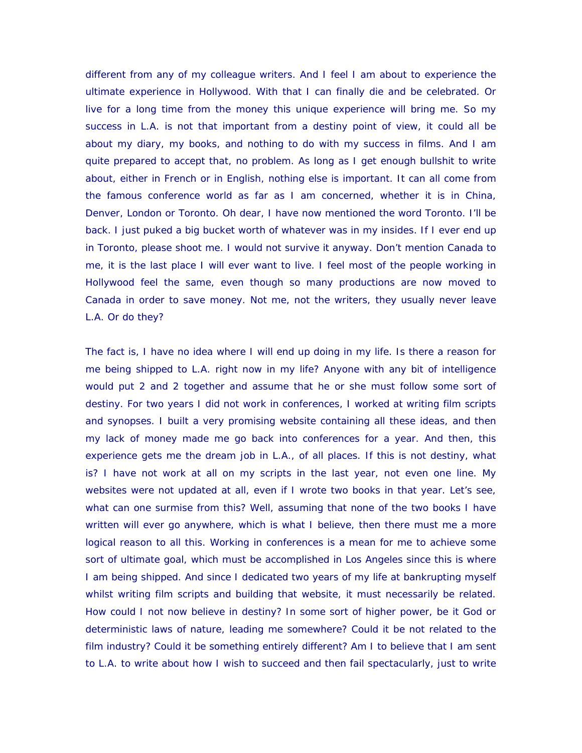different from any of my colleague writers. And I feel I am about to experience the ultimate experience in Hollywood. With that I can finally die and be celebrated. Or live for a long time from the money this unique experience will bring me. So my success in L.A. is not that important from a destiny point of view, it could all be about my diary, my books, and nothing to do with my success in films. And I am quite prepared to accept that, no problem. As long as I get enough bullshit to write about, either in French or in English, nothing else is important. It can all come from the famous conference world as far as I am concerned, whether it is in China, Denver, London or Toronto. Oh dear, I have now mentioned the word Toronto. I'll be back. I just puked a big bucket worth of whatever was in my insides. If I ever end up in Toronto, please shoot me. I would not survive it anyway. Don't mention Canada to me, it is the last place I will ever want to live. I feel most of the people working in Hollywood feel the same, even though so many productions are now moved to Canada in order to save money. Not me, not the writers, they usually never leave L.A. Or do they?

The fact is, I have no idea where I will end up doing in my life. Is there a reason for me being shipped to L.A. right now in my life? Anyone with any bit of intelligence would put 2 and 2 together and assume that he or she must follow some sort of destiny. For two years I did not work in conferences, I worked at writing film scripts and synopses. I built a very promising website containing all these ideas, and then my lack of money made me go back into conferences for a year. And then, this experience gets me the dream job in L.A., of all places. If this is not destiny, what is? I have not work at all on my scripts in the last year, not even one line. My websites were not updated at all, even if I wrote two books in that year. Let's see, what can one surmise from this? Well, assuming that none of the two books I have written will ever go anywhere, which is what I believe, then there must me a more logical reason to all this. Working in conferences is a mean for me to achieve some sort of ultimate goal, which must be accomplished in Los Angeles since this is where I am being shipped. And since I dedicated two years of my life at bankrupting myself whilst writing film scripts and building that website, it must necessarily be related. How could I not now believe in destiny? In some sort of higher power, be it God or deterministic laws of nature, leading me somewhere? Could it be not related to the film industry? Could it be something entirely different? Am I to believe that I am sent to L.A. to write about how I wish to succeed and then fail spectacularly, just to write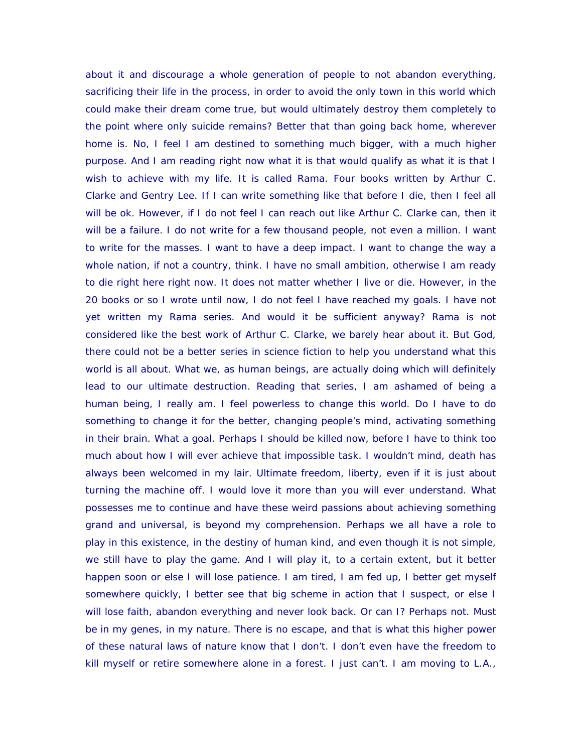about it and discourage a whole generation of people to not abandon everything, sacrificing their life in the process, in order to avoid the only town in this world which could make their dream come true, but would ultimately destroy them completely to the point where only suicide remains? Better that than going back home, wherever home is. No, I feel I am destined to something much bigger, with a much higher purpose. And I am reading right now what it is that would qualify as what it is that I wish to achieve with my life. It is called Rama. Four books written by Arthur C. Clarke and Gentry Lee. If I can write something like that before I die, then I feel all will be ok. However, if I do not feel I can reach out like Arthur C. Clarke can, then it will be a failure. I do not write for a few thousand people, not even a million. I want to write for the masses. I want to have a deep impact. I want to change the way a whole nation, if not a country, think. I have no small ambition, otherwise I am ready to die right here right now. It does not matter whether I live or die. However, in the 20 books or so I wrote until now, I do not feel I have reached my goals. I have not yet written my Rama series. And would it be sufficient anyway? Rama is not considered like the best work of Arthur C. Clarke, we barely hear about it. But God, there could not be a better series in science fiction to help you understand what this world is all about. What we, as human beings, are actually doing which will definitely lead to our ultimate destruction. Reading that series, I am ashamed of being a human being, I really am. I feel powerless to change this world. Do I have to do something to change it for the better, changing people's mind, activating something in their brain. What a goal. Perhaps I should be killed now, before I have to think too much about how I will ever achieve that impossible task. I wouldn't mind, death has always been welcomed in my lair. Ultimate freedom, liberty, even if it is just about turning the machine off. I would love it more than you will ever understand. What possesses me to continue and have these weird passions about achieving something grand and universal, is beyond my comprehension. Perhaps we all have a role to play in this existence, in the destiny of human kind, and even though it is not simple, we still have to play the game. And I will play it, to a certain extent, but it better happen soon or else I will lose patience. I am tired, I am fed up, I better get myself somewhere quickly, I better see that big scheme in action that I suspect, or else I will lose faith, abandon everything and never look back. Or can I? Perhaps not. Must be in my genes, in my nature. There is no escape, and that is what this higher power of these natural laws of nature know that I don't. I don't even have the freedom to kill myself or retire somewhere alone in a forest. I just can't. I am moving to L.A.,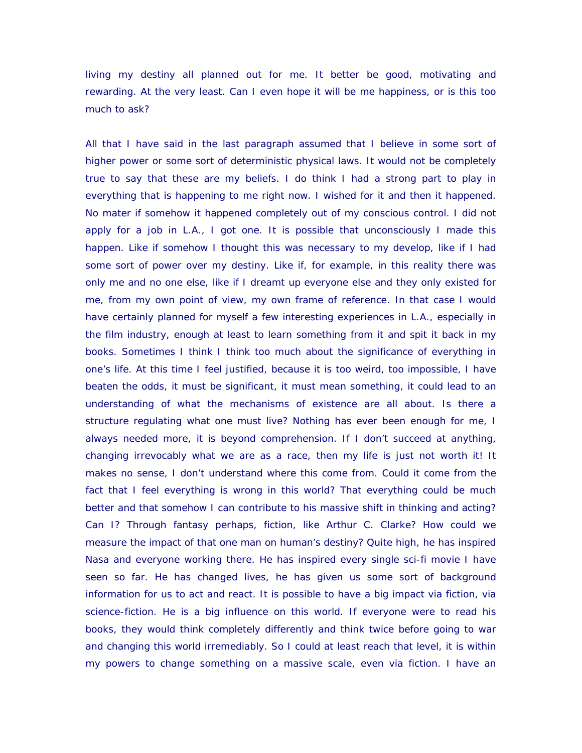living my destiny all planned out for me. It better be good, motivating and rewarding. At the very least. Can I even hope it will be me happiness, or is this too much to ask?

All that I have said in the last paragraph assumed that I believe in some sort of higher power or some sort of deterministic physical laws. It would not be completely true to say that these are my beliefs. I do think I had a strong part to play in everything that is happening to me right now. I wished for it and then it happened. No mater if somehow it happened completely out of my conscious control. I did not apply for a job in L.A., I got one. It is possible that unconsciously I made this happen. Like if somehow I thought this was necessary to my develop, like if I had some sort of power over my destiny. Like if, for example, in this reality there was only me and no one else, like if I dreamt up everyone else and they only existed for me, from my own point of view, my own frame of reference. In that case I would have certainly planned for myself a few interesting experiences in L.A., especially in the film industry, enough at least to learn something from it and spit it back in my books. Sometimes I think I think too much about the significance of everything in one's life. At this time I feel justified, because it is too weird, too impossible, I have beaten the odds, it must be significant, it must mean something, it could lead to an understanding of what the mechanisms of existence are all about. Is there a structure regulating what one must live? Nothing has ever been enough for me, I always needed more, it is beyond comprehension. If I don't succeed at anything, changing irrevocably what we are as a race, then my life is just not worth it! It makes no sense, I don't understand where this come from. Could it come from the fact that I feel everything is wrong in this world? That everything could be much better and that somehow I can contribute to his massive shift in thinking and acting? Can I? Through fantasy perhaps, fiction, like Arthur C. Clarke? How could we measure the impact of that one man on human's destiny? Quite high, he has inspired Nasa and everyone working there. He has inspired every single sci-fi movie I have seen so far. He has changed lives, he has given us some sort of background information for us to act and react. It is possible to have a big impact via fiction, via science-fiction. He is a big influence on this world. If everyone were to read his books, they would think completely differently and think twice before going to war and changing this world irremediably. So I could at least reach that level, it is within my powers to change something on a massive scale, even via fiction. I have an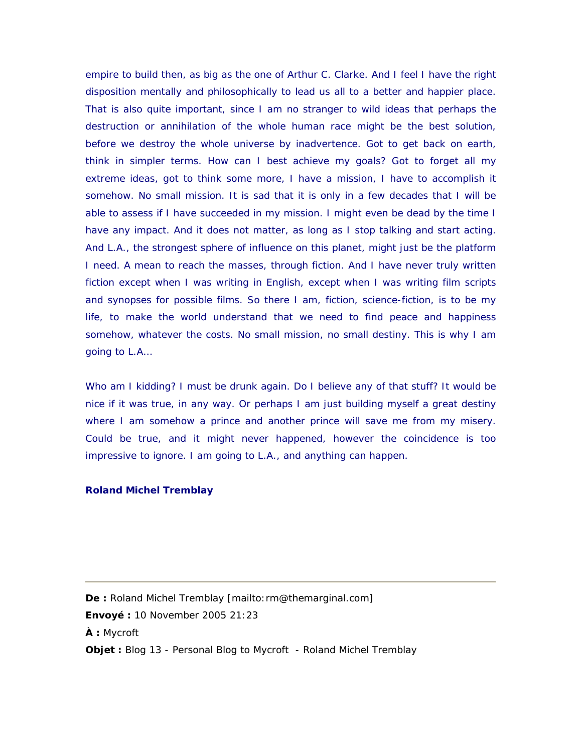empire to build then, as big as the one of Arthur C. Clarke. And I feel I have the right disposition mentally and philosophically to lead us all to a better and happier place. That is also quite important, since I am no stranger to wild ideas that perhaps the destruction or annihilation of the whole human race might be the best solution, before we destroy the whole universe by inadvertence. Got to get back on earth, think in simpler terms. How can I best achieve my goals? Got to forget all my extreme ideas, got to think some more, I have a mission, I have to accomplish it somehow. No small mission. It is sad that it is only in a few decades that I will be able to assess if I have succeeded in my mission. I might even be dead by the time I have any impact. And it does not matter, as long as I stop talking and start acting. And L.A., the strongest sphere of influence on this planet, might just be the platform I need. A mean to reach the masses, through fiction. And I have never truly written fiction except when I was writing in English, except when I was writing film scripts and synopses for possible films. So there I am, fiction, science-fiction, is to be my life, to make the world understand that we need to find peace and happiness somehow, whatever the costs. No small mission, no small destiny. This is why I am going to L.A…

Who am I kidding? I must be drunk again. Do I believe any of that stuff? It would be nice if it was true, in any way. Or perhaps I am just building myself a great destiny where I am somehow a prince and another prince will save me from my misery. Could be true, and it might never happened, however the coincidence is too impressive to ignore. I am going to L.A., and anything can happen.

#### **Roland Michel Tremblay**

**De :** Roland Michel Tremblay [mailto:rm@themarginal.com] **Envoyé :** 10 November 2005 21:23 **À :** Mycroft **Objet :** Blog 13 - Personal Blog to Mycroft - Roland Michel Tremblay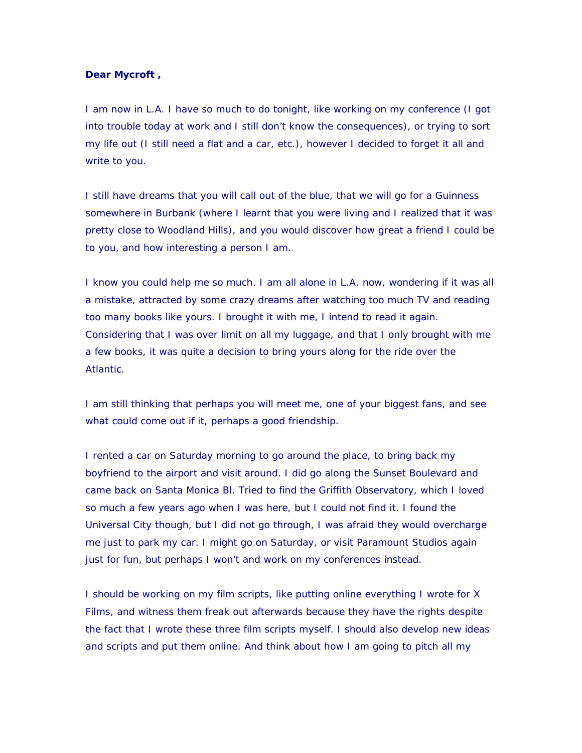### **Dear Mycroft ,**

I am now in L.A. I have so much to do tonight, like working on my conference (I got into trouble today at work and I still don't know the consequences), or trying to sort my life out (I still need a flat and a car, etc.), however I decided to forget it all and write to you.

I still have dreams that you will call out of the blue, that we will go for a Guinness somewhere in Burbank (where I learnt that you were living and I realized that it was pretty close to Woodland Hills), and you would discover how great a friend I could be to you, and how interesting a person I am.

I know you could help me so much. I am all alone in L.A. now, wondering if it was all a mistake, attracted by some crazy dreams after watching too much TV and reading too many books like yours. I brought it with me, I intend to read it again. Considering that I was over limit on all my luggage, and that I only brought with me a few books, it was quite a decision to bring yours along for the ride over the **Atlantic** 

I am still thinking that perhaps you will meet me, one of your biggest fans, and see what could come out if it, perhaps a good friendship.

I rented a car on Saturday morning to go around the place, to bring back my boyfriend to the airport and visit around. I did go along the Sunset Boulevard and came back on Santa Monica Bl. Tried to find the Griffith Observatory, which I loved so much a few years ago when I was here, but I could not find it. I found the Universal City though, but I did not go through, I was afraid they would overcharge me just to park my car. I might go on Saturday, or visit Paramount Studios again just for fun, but perhaps I won't and work on my conferences instead.

I should be working on my film scripts, like putting online everything I wrote for X Films, and witness them freak out afterwards because they have the rights despite the fact that I wrote these three film scripts myself. I should also develop new ideas and scripts and put them online. And think about how I am going to pitch all my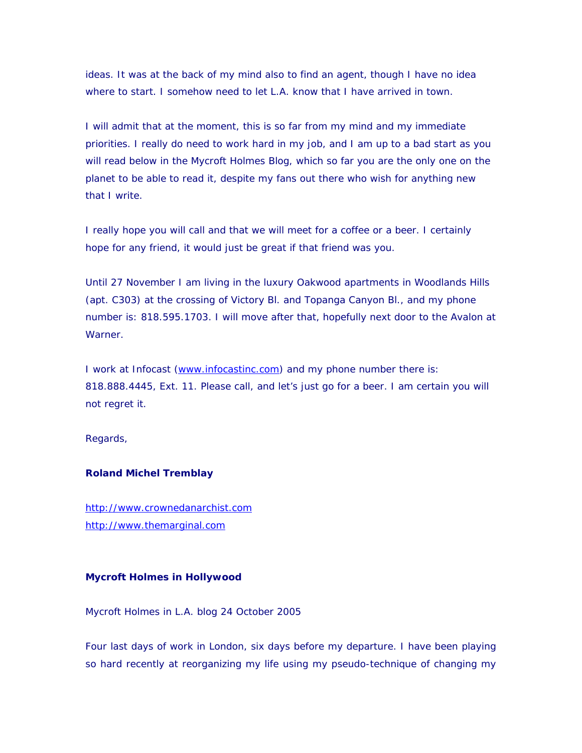ideas. It was at the back of my mind also to find an agent, though I have no idea where to start. I somehow need to let L.A. know that I have arrived in town.

I will admit that at the moment, this is so far from my mind and my immediate priorities. I really do need to work hard in my job, and I am up to a bad start as you will read below in the Mycroft Holmes Blog, which so far you are the only one on the planet to be able to read it, despite my fans out there who wish for anything new that I write.

I really hope you will call and that we will meet for a coffee or a beer. I certainly hope for any friend, it would just be great if that friend was you.

Until 27 November I am living in the luxury Oakwood apartments in Woodlands Hills (apt. C303) at the crossing of Victory Bl. and Topanga Canyon Bl., and my phone number is: 818.595.1703. I will move after that, hopefully next door to the Avalon at Warner.

I work at Infocast ([www.infocastinc.com\)](http://www.infocastinc.com/) and my phone number there is: 818.888.4445, Ext. 11. Please call, and let's just go for a beer. I am certain you will not regret it.

Regards,

# **Roland Michel Tremblay**

[http://www.crownedanarchist.com](http://www.crownedanarchist.com/) [http://www.themarginal.com](http://www.themarginal.com/)

# **Mycroft Holmes in Hollywood**

Mycroft Holmes in L.A. blog 24 October 2005

Four last days of work in London, six days before my departure. I have been playing so hard recently at reorganizing my life using my pseudo-technique of changing my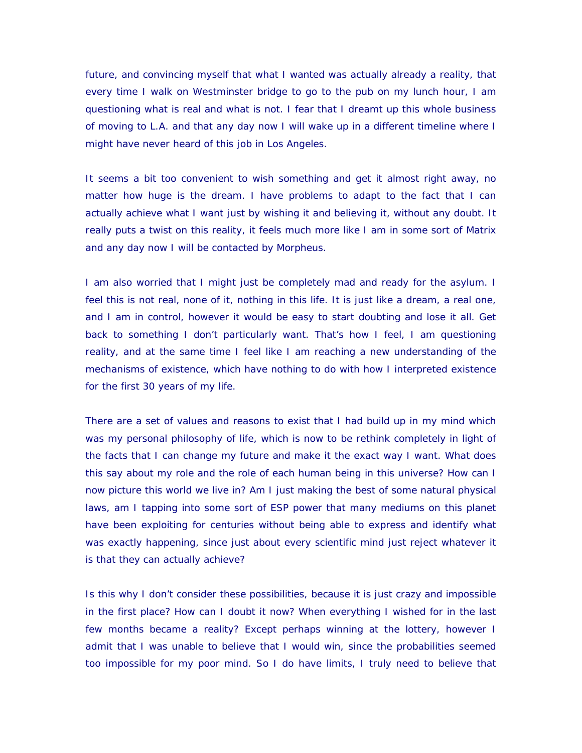future, and convincing myself that what I wanted was actually already a reality, that every time I walk on Westminster bridge to go to the pub on my lunch hour, I am questioning what is real and what is not. I fear that I dreamt up this whole business of moving to L.A. and that any day now I will wake up in a different timeline where I might have never heard of this job in Los Angeles.

It seems a bit too convenient to wish something and get it almost right away, no matter how huge is the dream. I have problems to adapt to the fact that I can actually achieve what I want just by wishing it and believing it, without any doubt. It really puts a twist on this reality, it feels much more like I am in some sort of Matrix and any day now I will be contacted by Morpheus.

I am also worried that I might just be completely mad and ready for the asylum. I feel this is not real, none of it, nothing in this life. It is just like a dream, a real one, and I am in control, however it would be easy to start doubting and lose it all. Get back to something I don't particularly want. That's how I feel, I am questioning reality, and at the same time I feel like I am reaching a new understanding of the mechanisms of existence, which have nothing to do with how I interpreted existence for the first 30 years of my life.

There are a set of values and reasons to exist that I had build up in my mind which was my personal philosophy of life, which is now to be rethink completely in light of the facts that I can change my future and make it the exact way I want. What does this say about my role and the role of each human being in this universe? How can I now picture this world we live in? Am I just making the best of some natural physical laws, am I tapping into some sort of ESP power that many mediums on this planet have been exploiting for centuries without being able to express and identify what was exactly happening, since just about every scientific mind just reject whatever it is that they can actually achieve?

Is this why I don't consider these possibilities, because it is just crazy and impossible in the first place? How can I doubt it now? When everything I wished for in the last few months became a reality? Except perhaps winning at the lottery, however I admit that I was unable to believe that I would win, since the probabilities seemed too impossible for my poor mind. So I do have limits, I truly need to believe that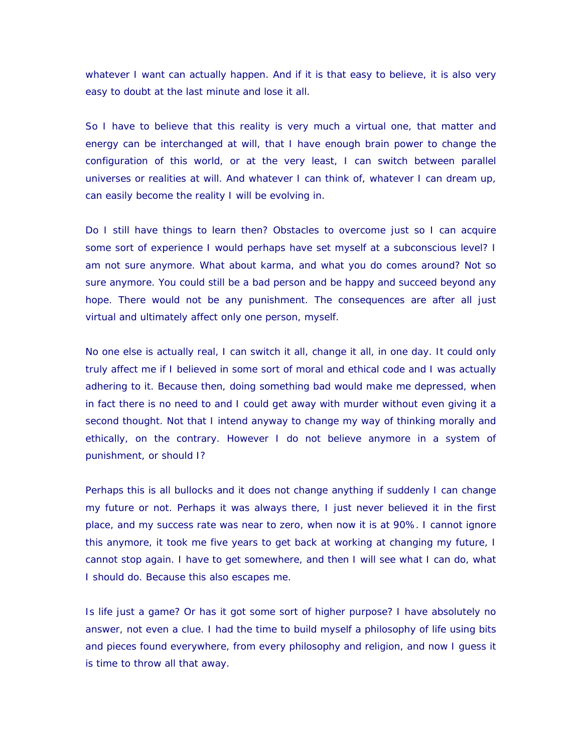whatever I want can actually happen. And if it is that easy to believe, it is also very easy to doubt at the last minute and lose it all.

So I have to believe that this reality is very much a virtual one, that matter and energy can be interchanged at will, that I have enough brain power to change the configuration of this world, or at the very least, I can switch between parallel universes or realities at will. And whatever I can think of, whatever I can dream up, can easily become the reality I will be evolving in.

Do I still have things to learn then? Obstacles to overcome just so I can acquire some sort of experience I would perhaps have set myself at a subconscious level? I am not sure anymore. What about karma, and what you do comes around? Not so sure anymore. You could still be a bad person and be happy and succeed beyond any hope. There would not be any punishment. The consequences are after all just virtual and ultimately affect only one person, myself.

No one else is actually real, I can switch it all, change it all, in one day. It could only truly affect me if I believed in some sort of moral and ethical code and I was actually adhering to it. Because then, doing something bad would make me depressed, when in fact there is no need to and I could get away with murder without even giving it a second thought. Not that I intend anyway to change my way of thinking morally and ethically, on the contrary. However I do not believe anymore in a system of punishment, or should I?

Perhaps this is all bullocks and it does not change anything if suddenly I can change my future or not. Perhaps it was always there, I just never believed it in the first place, and my success rate was near to zero, when now it is at 90%. I cannot ignore this anymore, it took me five years to get back at working at changing my future, I cannot stop again. I have to get somewhere, and then I will see what I can do, what I should do. Because this also escapes me.

Is life just a game? Or has it got some sort of higher purpose? I have absolutely no answer, not even a clue. I had the time to build myself a philosophy of life using bits and pieces found everywhere, from every philosophy and religion, and now I guess it is time to throw all that away.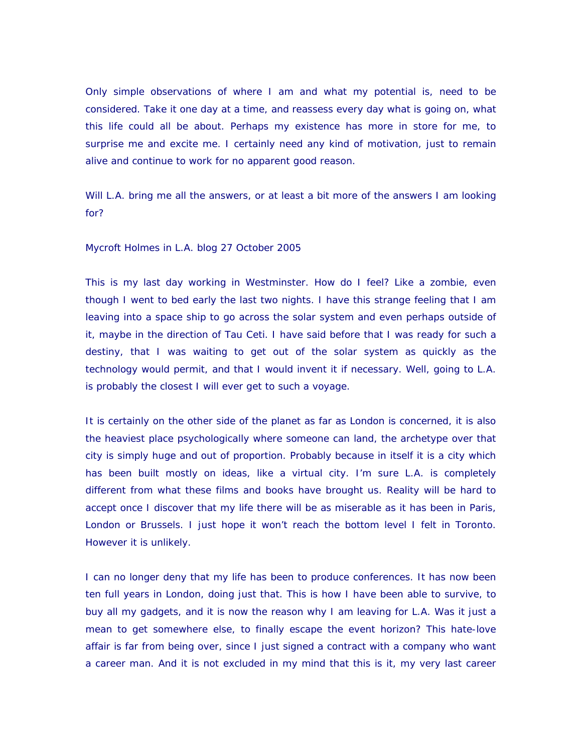Only simple observations of where I am and what my potential is, need to be considered. Take it one day at a time, and reassess every day what is going on, what this life could all be about. Perhaps my existence has more in store for me, to surprise me and excite me. I certainly need any kind of motivation, just to remain alive and continue to work for no apparent good reason.

Will L.A. bring me all the answers, or at least a bit more of the answers I am looking for?

Mycroft Holmes in L.A. blog 27 October 2005

This is my last day working in Westminster. How do I feel? Like a zombie, even though I went to bed early the last two nights. I have this strange feeling that I am leaving into a space ship to go across the solar system and even perhaps outside of it, maybe in the direction of Tau Ceti. I have said before that I was ready for such a destiny, that I was waiting to get out of the solar system as quickly as the technology would permit, and that I would invent it if necessary. Well, going to L.A. is probably the closest I will ever get to such a voyage.

It is certainly on the other side of the planet as far as London is concerned, it is also the heaviest place psychologically where someone can land, the archetype over that city is simply huge and out of proportion. Probably because in itself it is a city which has been built mostly on ideas, like a virtual city. I'm sure L.A. is completely different from what these films and books have brought us. Reality will be hard to accept once I discover that my life there will be as miserable as it has been in Paris, London or Brussels. I just hope it won't reach the bottom level I felt in Toronto. However it is unlikely.

I can no longer deny that my life has been to produce conferences. It has now been ten full years in London, doing just that. This is how I have been able to survive, to buy all my gadgets, and it is now the reason why I am leaving for L.A. Was it just a mean to get somewhere else, to finally escape the event horizon? This hate-love affair is far from being over, since I just signed a contract with a company who want a career man. And it is not excluded in my mind that this is it, my very last career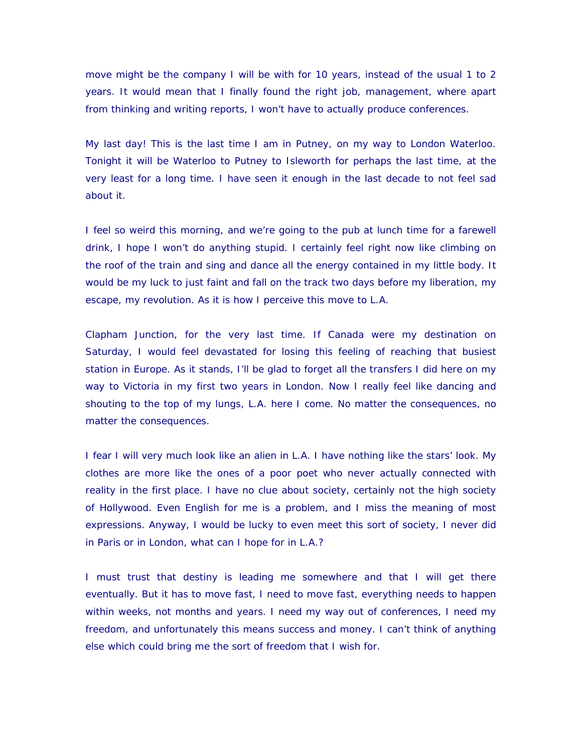move might be the company I will be with for 10 years, instead of the usual 1 to 2 years. It would mean that I finally found the right job, management, where apart from thinking and writing reports, I won't have to actually produce conferences.

My last day! This is the last time I am in Putney, on my way to London Waterloo. Tonight it will be Waterloo to Putney to Isleworth for perhaps the last time, at the very least for a long time. I have seen it enough in the last decade to not feel sad about it.

I feel so weird this morning, and we're going to the pub at lunch time for a farewell drink, I hope I won't do anything stupid. I certainly feel right now like climbing on the roof of the train and sing and dance all the energy contained in my little body. It would be my luck to just faint and fall on the track two days before my liberation, my escape, my revolution. As it is how I perceive this move to L.A.

Clapham Junction, for the very last time. If Canada were my destination on Saturday, I would feel devastated for losing this feeling of reaching that busiest station in Europe. As it stands, I'll be glad to forget all the transfers I did here on my way to Victoria in my first two years in London. Now I really feel like dancing and shouting to the top of my lungs, L.A. here I come. No matter the consequences, no matter the consequences.

I fear I will very much look like an alien in L.A. I have nothing like the stars' look. My clothes are more like the ones of a poor poet who never actually connected with reality in the first place. I have no clue about society, certainly not the high society of Hollywood. Even English for me is a problem, and I miss the meaning of most expressions. Anyway, I would be lucky to even meet this sort of society, I never did in Paris or in London, what can I hope for in L.A.?

I must trust that destiny is leading me somewhere and that I will get there eventually. But it has to move fast, I need to move fast, everything needs to happen within weeks, not months and years. I need my way out of conferences, I need my freedom, and unfortunately this means success and money. I can't think of anything else which could bring me the sort of freedom that I wish for.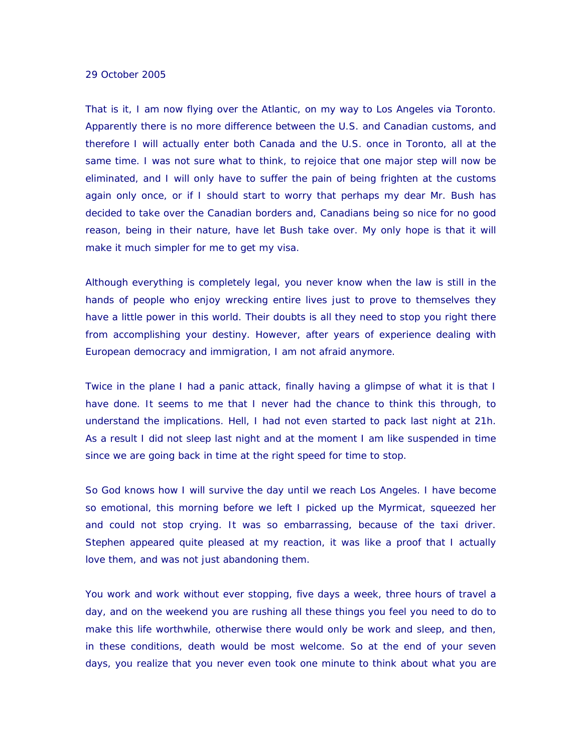#### 29 October 2005

That is it, I am now flying over the Atlantic, on my way to Los Angeles via Toronto. Apparently there is no more difference between the U.S. and Canadian customs, and therefore I will actually enter both Canada and the U.S. once in Toronto, all at the same time. I was not sure what to think, to rejoice that one major step will now be eliminated, and I will only have to suffer the pain of being frighten at the customs again only once, or if I should start to worry that perhaps my dear Mr. Bush has decided to take over the Canadian borders and, Canadians being so nice for no good reason, being in their nature, have let Bush take over. My only hope is that it will make it much simpler for me to get my visa.

Although everything is completely legal, you never know when the law is still in the hands of people who enjoy wrecking entire lives just to prove to themselves they have a little power in this world. Their doubts is all they need to stop you right there from accomplishing your destiny. However, after years of experience dealing with European democracy and immigration, I am not afraid anymore.

Twice in the plane I had a panic attack, finally having a glimpse of what it is that I have done. It seems to me that I never had the chance to think this through, to understand the implications. Hell, I had not even started to pack last night at 21h. As a result I did not sleep last night and at the moment I am like suspended in time since we are going back in time at the right speed for time to stop.

So God knows how I will survive the day until we reach Los Angeles. I have become so emotional, this morning before we left I picked up the Myrmicat, squeezed her and could not stop crying. It was so embarrassing, because of the taxi driver. Stephen appeared quite pleased at my reaction, it was like a proof that I actually love them, and was not just abandoning them.

You work and work without ever stopping, five days a week, three hours of travel a day, and on the weekend you are rushing all these things you feel you need to do to make this life worthwhile, otherwise there would only be work and sleep, and then, in these conditions, death would be most welcome. So at the end of your seven days, you realize that you never even took one minute to think about what you are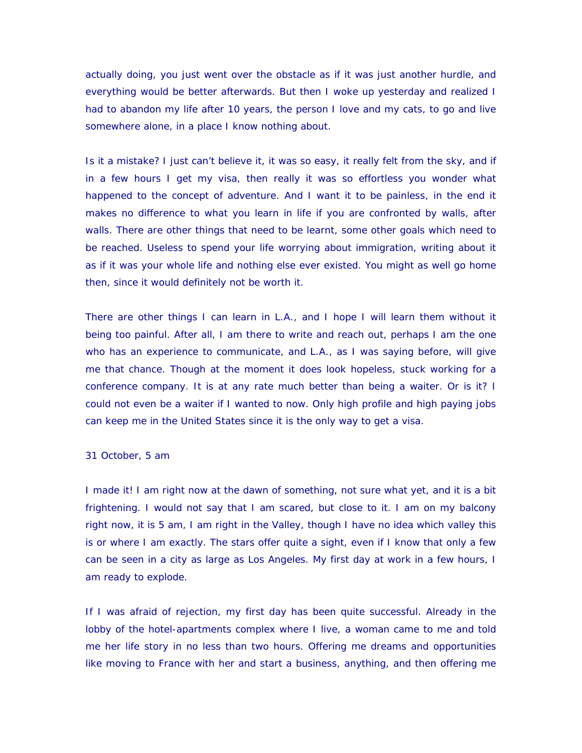actually doing, you just went over the obstacle as if it was just another hurdle, and everything would be better afterwards. But then I woke up yesterday and realized I had to abandon my life after 10 years, the person I love and my cats, to go and live somewhere alone, in a place I know nothing about.

Is it a mistake? I just can't believe it, it was so easy, it really felt from the sky, and if in a few hours I get my visa, then really it was so effortless you wonder what happened to the concept of adventure. And I want it to be painless, in the end it makes no difference to what you learn in life if you are confronted by walls, after walls. There are other things that need to be learnt, some other goals which need to be reached. Useless to spend your life worrying about immigration, writing about it as if it was your whole life and nothing else ever existed. You might as well go home then, since it would definitely not be worth it.

There are other things I can learn in L.A., and I hope I will learn them without it being too painful. After all, I am there to write and reach out, perhaps I am the one who has an experience to communicate, and L.A., as I was saying before, will give me that chance. Though at the moment it does look hopeless, stuck working for a conference company. It is at any rate much better than being a waiter. Or is it? I could not even be a waiter if I wanted to now. Only high profile and high paying jobs can keep me in the United States since it is the only way to get a visa.

31 October, 5 am

I made it! I am right now at the dawn of something, not sure what yet, and it is a bit frightening. I would not say that I am scared, but close to it. I am on my balcony right now, it is 5 am, I am right in the Valley, though I have no idea which valley this is or where I am exactly. The stars offer quite a sight, even if I know that only a few can be seen in a city as large as Los Angeles. My first day at work in a few hours, I am ready to explode.

If I was afraid of rejection, my first day has been quite successful. Already in the lobby of the hotel-apartments complex where I live, a woman came to me and told me her life story in no less than two hours. Offering me dreams and opportunities like moving to France with her and start a business, anything, and then offering me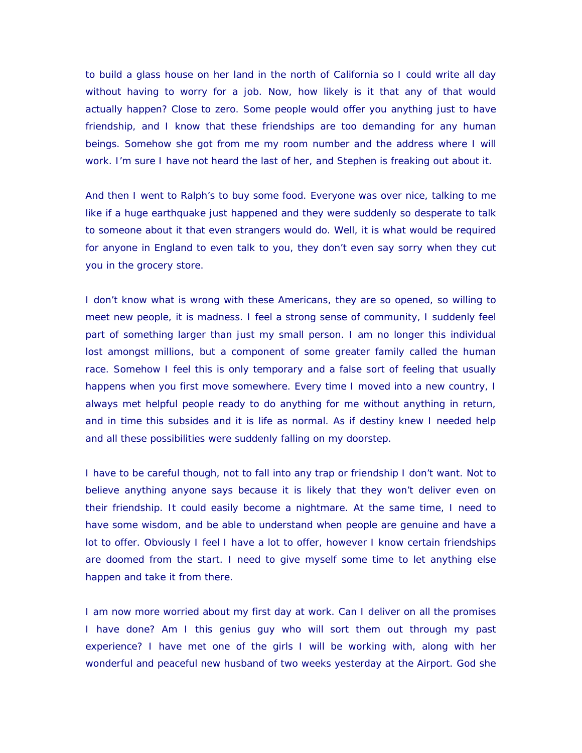to build a glass house on her land in the north of California so I could write all day without having to worry for a job. Now, how likely is it that any of that would actually happen? Close to zero. Some people would offer you anything just to have friendship, and I know that these friendships are too demanding for any human beings. Somehow she got from me my room number and the address where I will work. I'm sure I have not heard the last of her, and Stephen is freaking out about it.

And then I went to Ralph's to buy some food. Everyone was over nice, talking to me like if a huge earthquake just happened and they were suddenly so desperate to talk to someone about it that even strangers would do. Well, it is what would be required for anyone in England to even talk to you, they don't even say sorry when they cut you in the grocery store.

I don't know what is wrong with these Americans, they are so opened, so willing to meet new people, it is madness. I feel a strong sense of community, I suddenly feel part of something larger than just my small person. I am no longer this individual lost amongst millions, but a component of some greater family called the human race. Somehow I feel this is only temporary and a false sort of feeling that usually happens when you first move somewhere. Every time I moved into a new country, I always met helpful people ready to do anything for me without anything in return, and in time this subsides and it is life as normal. As if destiny knew I needed help and all these possibilities were suddenly falling on my doorstep.

I have to be careful though, not to fall into any trap or friendship I don't want. Not to believe anything anyone says because it is likely that they won't deliver even on their friendship. It could easily become a nightmare. At the same time, I need to have some wisdom, and be able to understand when people are genuine and have a lot to offer. Obviously I feel I have a lot to offer, however I know certain friendships are doomed from the start. I need to give myself some time to let anything else happen and take it from there.

I am now more worried about my first day at work. Can I deliver on all the promises I have done? Am I this genius guy who will sort them out through my past experience? I have met one of the girls I will be working with, along with her wonderful and peaceful new husband of two weeks yesterday at the Airport. God she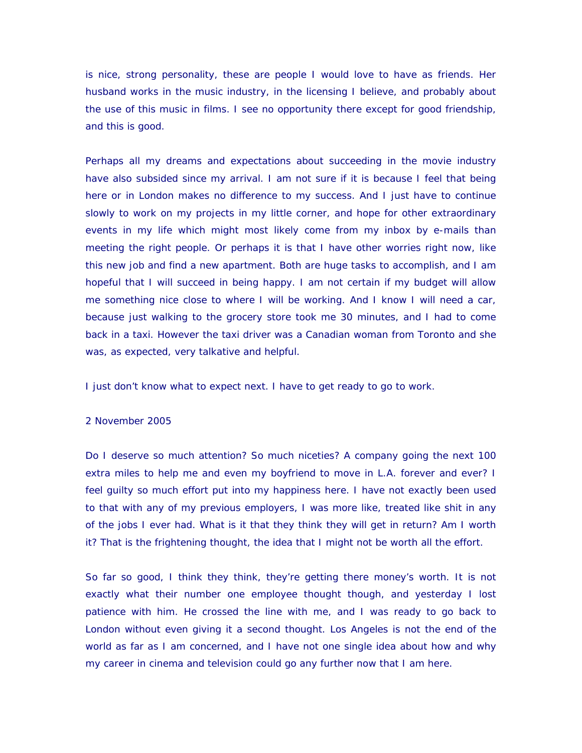is nice, strong personality, these are people I would love to have as friends. Her husband works in the music industry, in the licensing I believe, and probably about the use of this music in films. I see no opportunity there except for good friendship, and this is good.

Perhaps all my dreams and expectations about succeeding in the movie industry have also subsided since my arrival. I am not sure if it is because I feel that being here or in London makes no difference to my success. And I just have to continue slowly to work on my projects in my little corner, and hope for other extraordinary events in my life which might most likely come from my inbox by e-mails than meeting the right people. Or perhaps it is that I have other worries right now, like this new job and find a new apartment. Both are huge tasks to accomplish, and I am hopeful that I will succeed in being happy. I am not certain if my budget will allow me something nice close to where I will be working. And I know I will need a car, because just walking to the grocery store took me 30 minutes, and I had to come back in a taxi. However the taxi driver was a Canadian woman from Toronto and she was, as expected, very talkative and helpful.

I just don't know what to expect next. I have to get ready to go to work.

### 2 November 2005

Do I deserve so much attention? So much niceties? A company going the next 100 extra miles to help me and even my boyfriend to move in L.A. forever and ever? I feel guilty so much effort put into my happiness here. I have not exactly been used to that with any of my previous employers, I was more like, treated like shit in any of the jobs I ever had. What is it that they think they will get in return? Am I worth it? That is the frightening thought, the idea that I might not be worth all the effort.

So far so good, I think they think, they're getting there money's worth. It is not exactly what their number one employee thought though, and yesterday I lost patience with him. He crossed the line with me, and I was ready to go back to London without even giving it a second thought. Los Angeles is not the end of the world as far as I am concerned, and I have not one single idea about how and why my career in cinema and television could go any further now that I am here.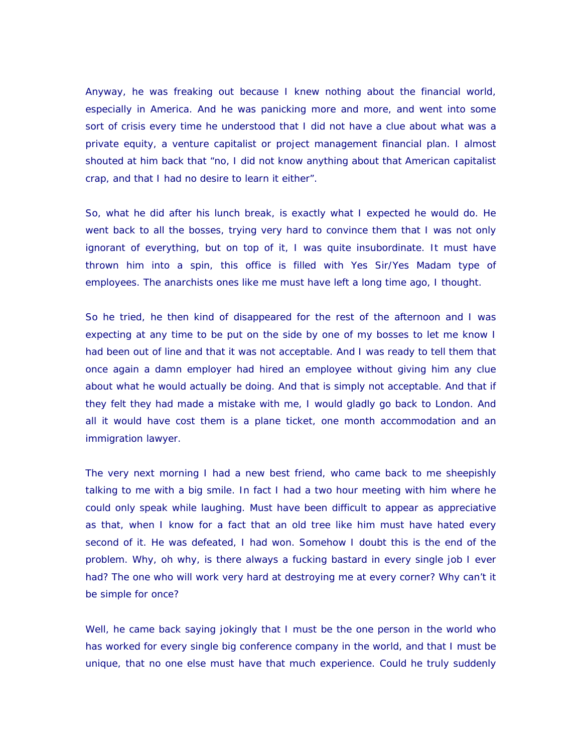Anyway, he was freaking out because I knew nothing about the financial world, especially in America. And he was panicking more and more, and went into some sort of crisis every time he understood that I did not have a clue about what was a private equity, a venture capitalist or project management financial plan. I almost shouted at him back that "no, I did not know anything about that American capitalist crap, and that I had no desire to learn it either".

So, what he did after his lunch break, is exactly what I expected he would do. He went back to all the bosses, trying very hard to convince them that I was not only ignorant of everything, but on top of it, I was quite insubordinate. It must have thrown him into a spin, this office is filled with Yes Sir/Yes Madam type of employees. The anarchists ones like me must have left a long time ago, I thought.

So he tried, he then kind of disappeared for the rest of the afternoon and I was expecting at any time to be put on the side by one of my bosses to let me know I had been out of line and that it was not acceptable. And I was ready to tell them that once again a damn employer had hired an employee without giving him any clue about what he would actually be doing. And that is simply not acceptable. And that if they felt they had made a mistake with me, I would gladly go back to London. And all it would have cost them is a plane ticket, one month accommodation and an immigration lawyer.

The very next morning I had a new best friend, who came back to me sheepishly talking to me with a big smile. In fact I had a two hour meeting with him where he could only speak while laughing. Must have been difficult to appear as appreciative as that, when I know for a fact that an old tree like him must have hated every second of it. He was defeated, I had won. Somehow I doubt this is the end of the problem. Why, oh why, is there always a fucking bastard in every single job I ever had? The one who will work very hard at destroying me at every corner? Why can't it be simple for once?

Well, he came back saying jokingly that I must be the one person in the world who has worked for every single big conference company in the world, and that I must be unique, that no one else must have that much experience. Could he truly suddenly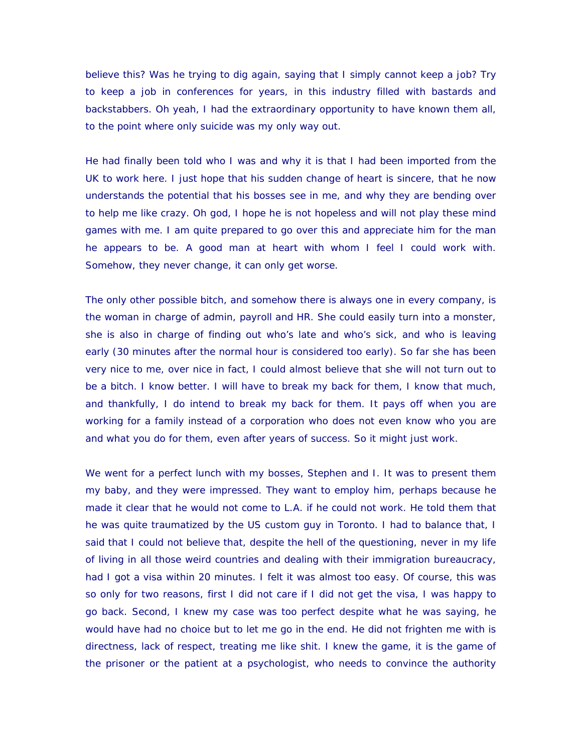believe this? Was he trying to dig again, saying that I simply cannot keep a job? Try to keep a job in conferences for years, in this industry filled with bastards and backstabbers. Oh yeah, I had the extraordinary opportunity to have known them all, to the point where only suicide was my only way out.

He had finally been told who I was and why it is that I had been imported from the UK to work here. I just hope that his sudden change of heart is sincere, that he now understands the potential that his bosses see in me, and why they are bending over to help me like crazy. Oh god, I hope he is not hopeless and will not play these mind games with me. I am quite prepared to go over this and appreciate him for the man he appears to be. A good man at heart with whom I feel I could work with. Somehow, they never change, it can only get worse.

The only other possible bitch, and somehow there is always one in every company, is the woman in charge of admin, payroll and HR. She could easily turn into a monster, she is also in charge of finding out who's late and who's sick, and who is leaving early (30 minutes after the normal hour is considered too early). So far she has been very nice to me, over nice in fact, I could almost believe that she will not turn out to be a bitch. I know better. I will have to break my back for them, I know that much, and thankfully, I do intend to break my back for them. It pays off when you are working for a family instead of a corporation who does not even know who you are and what you do for them, even after years of success. So it might just work.

We went for a perfect lunch with my bosses, Stephen and I. It was to present them my baby, and they were impressed. They want to employ him, perhaps because he made it clear that he would not come to L.A. if he could not work. He told them that he was quite traumatized by the US custom guy in Toronto. I had to balance that, I said that I could not believe that, despite the hell of the questioning, never in my life of living in all those weird countries and dealing with their immigration bureaucracy, had I got a visa within 20 minutes. I felt it was almost too easy. Of course, this was so only for two reasons, first I did not care if I did not get the visa, I was happy to go back. Second, I knew my case was too perfect despite what he was saying, he would have had no choice but to let me go in the end. He did not frighten me with is directness, lack of respect, treating me like shit. I knew the game, it is the game of the prisoner or the patient at a psychologist, who needs to convince the authority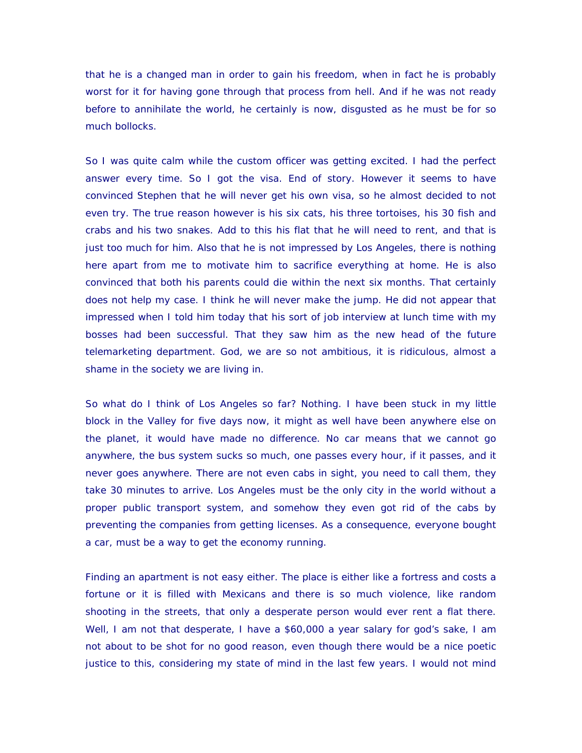that he is a changed man in order to gain his freedom, when in fact he is probably worst for it for having gone through that process from hell. And if he was not ready before to annihilate the world, he certainly is now, disgusted as he must be for so much bollocks.

So I was quite calm while the custom officer was getting excited. I had the perfect answer every time. So I got the visa. End of story. However it seems to have convinced Stephen that he will never get his own visa, so he almost decided to not even try. The true reason however is his six cats, his three tortoises, his 30 fish and crabs and his two snakes. Add to this his flat that he will need to rent, and that is just too much for him. Also that he is not impressed by Los Angeles, there is nothing here apart from me to motivate him to sacrifice everything at home. He is also convinced that both his parents could die within the next six months. That certainly does not help my case. I think he will never make the jump. He did not appear that impressed when I told him today that his sort of job interview at lunch time with my bosses had been successful. That they saw him as the new head of the future telemarketing department. God, we are so not ambitious, it is ridiculous, almost a shame in the society we are living in.

So what do I think of Los Angeles so far? Nothing. I have been stuck in my little block in the Valley for five days now, it might as well have been anywhere else on the planet, it would have made no difference. No car means that we cannot go anywhere, the bus system sucks so much, one passes every hour, if it passes, and it never goes anywhere. There are not even cabs in sight, you need to call them, they take 30 minutes to arrive. Los Angeles must be the only city in the world without a proper public transport system, and somehow they even got rid of the cabs by preventing the companies from getting licenses. As a consequence, everyone bought a car, must be a way to get the economy running.

Finding an apartment is not easy either. The place is either like a fortress and costs a fortune or it is filled with Mexicans and there is so much violence, like random shooting in the streets, that only a desperate person would ever rent a flat there. Well, I am not that desperate, I have a \$60,000 a year salary for god's sake, I am not about to be shot for no good reason, even though there would be a nice poetic justice to this, considering my state of mind in the last few years. I would not mind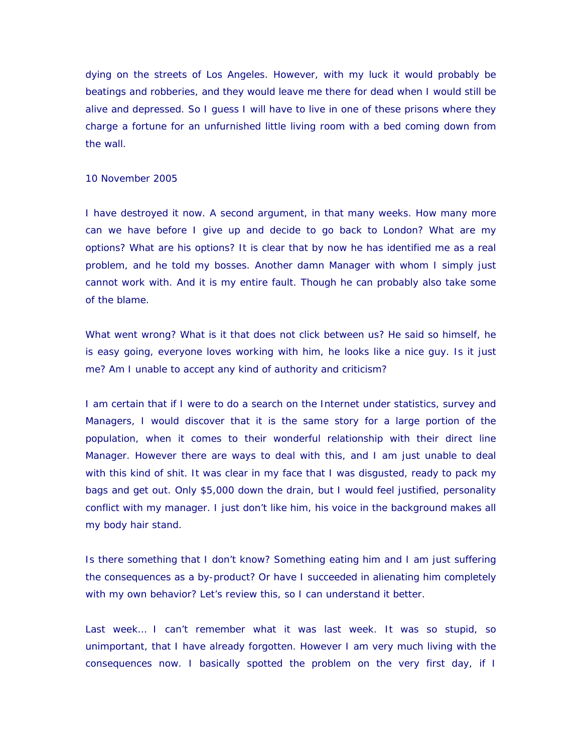dying on the streets of Los Angeles. However, with my luck it would probably be beatings and robberies, and they would leave me there for dead when I would still be alive and depressed. So I guess I will have to live in one of these prisons where they charge a fortune for an unfurnished little living room with a bed coming down from the wall.

#### 10 November 2005

I have destroyed it now. A second argument, in that many weeks. How many more can we have before I give up and decide to go back to London? What are my options? What are his options? It is clear that by now he has identified me as a real problem, and he told my bosses. Another damn Manager with whom I simply just cannot work with. And it is my entire fault. Though he can probably also take some of the blame.

What went wrong? What is it that does not click between us? He said so himself, he is easy going, everyone loves working with him, he looks like a nice guy. Is it just me? Am I unable to accept any kind of authority and criticism?

I am certain that if I were to do a search on the Internet under statistics, survey and Managers, I would discover that it is the same story for a large portion of the population, when it comes to their wonderful relationship with their direct line Manager. However there are ways to deal with this, and I am just unable to deal with this kind of shit. It was clear in my face that I was disgusted, ready to pack my bags and get out. Only \$5,000 down the drain, but I would feel justified, personality conflict with my manager. I just don't like him, his voice in the background makes all my body hair stand.

Is there something that I don't know? Something eating him and I am just suffering the consequences as a by-product? Or have I succeeded in alienating him completely with my own behavior? Let's review this, so I can understand it better.

Last week… I can't remember what it was last week. It was so stupid, so unimportant, that I have already forgotten. However I am very much living with the consequences now. I basically spotted the problem on the very first day, if I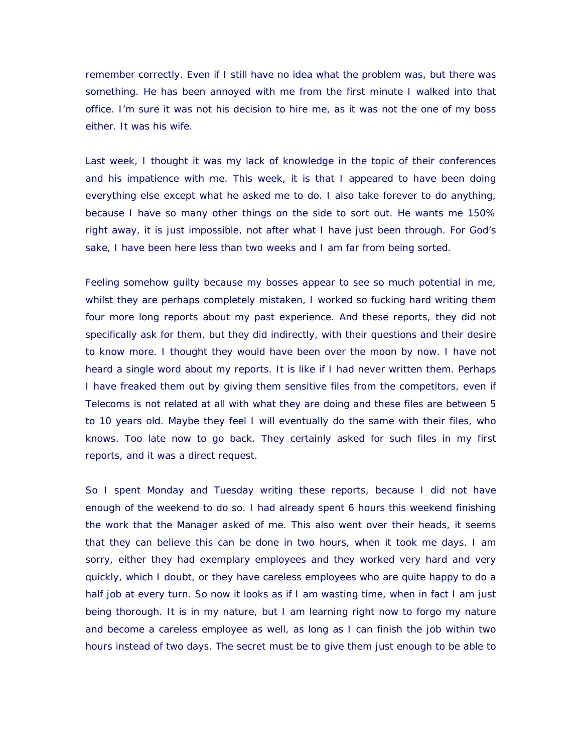remember correctly. Even if I still have no idea what the problem was, but there was something. He has been annoyed with me from the first minute I walked into that office. I'm sure it was not his decision to hire me, as it was not the one of my boss either. It was his wife.

Last week, I thought it was my lack of knowledge in the topic of their conferences and his impatience with me. This week, it is that I appeared to have been doing everything else except what he asked me to do. I also take forever to do anything, because I have so many other things on the side to sort out. He wants me 150% right away, it is just impossible, not after what I have just been through. For God's sake, I have been here less than two weeks and I am far from being sorted.

Feeling somehow guilty because my bosses appear to see so much potential in me, whilst they are perhaps completely mistaken, I worked so fucking hard writing them four more long reports about my past experience. And these reports, they did not specifically ask for them, but they did indirectly, with their questions and their desire to know more. I thought they would have been over the moon by now. I have not heard a single word about my reports. It is like if I had never written them. Perhaps I have freaked them out by giving them sensitive files from the competitors, even if Telecoms is not related at all with what they are doing and these files are between 5 to 10 years old. Maybe they feel I will eventually do the same with their files, who knows. Too late now to go back. They certainly asked for such files in my first reports, and it was a direct request.

So I spent Monday and Tuesday writing these reports, because I did not have enough of the weekend to do so. I had already spent 6 hours this weekend finishing the work that the Manager asked of me. This also went over their heads, it seems that they can believe this can be done in two hours, when it took me days. I am sorry, either they had exemplary employees and they worked very hard and very quickly, which I doubt, or they have careless employees who are quite happy to do a half job at every turn. So now it looks as if I am wasting time, when in fact I am just being thorough. It is in my nature, but I am learning right now to forgo my nature and become a careless employee as well, as long as I can finish the job within two hours instead of two days. The secret must be to give them just enough to be able to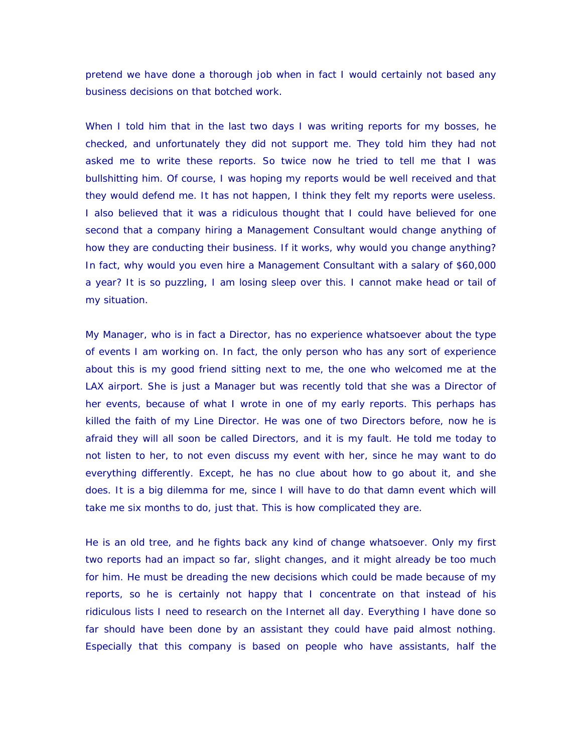pretend we have done a thorough job when in fact I would certainly not based any business decisions on that botched work.

When I told him that in the last two days I was writing reports for my bosses, he checked, and unfortunately they did not support me. They told him they had not asked me to write these reports. So twice now he tried to tell me that I was bullshitting him. Of course, I was hoping my reports would be well received and that they would defend me. It has not happen, I think they felt my reports were useless. I also believed that it was a ridiculous thought that I could have believed for one second that a company hiring a Management Consultant would change anything of how they are conducting their business. If it works, why would you change anything? In fact, why would you even hire a Management Consultant with a salary of \$60,000 a year? It is so puzzling, I am losing sleep over this. I cannot make head or tail of my situation.

My Manager, who is in fact a Director, has no experience whatsoever about the type of events I am working on. In fact, the only person who has any sort of experience about this is my good friend sitting next to me, the one who welcomed me at the LAX airport. She is just a Manager but was recently told that she was a Director of her events, because of what I wrote in one of my early reports. This perhaps has killed the faith of my Line Director. He was one of two Directors before, now he is afraid they will all soon be called Directors, and it is my fault. He told me today to not listen to her, to not even discuss my event with her, since he may want to do everything differently. Except, he has no clue about how to go about it, and she does. It is a big dilemma for me, since I will have to do that damn event which will take me six months to do, just that. This is how complicated they are.

He is an old tree, and he fights back any kind of change whatsoever. Only my first two reports had an impact so far, slight changes, and it might already be too much for him. He must be dreading the new decisions which could be made because of my reports, so he is certainly not happy that I concentrate on that instead of his ridiculous lists I need to research on the Internet all day. Everything I have done so far should have been done by an assistant they could have paid almost nothing. Especially that this company is based on people who have assistants, half the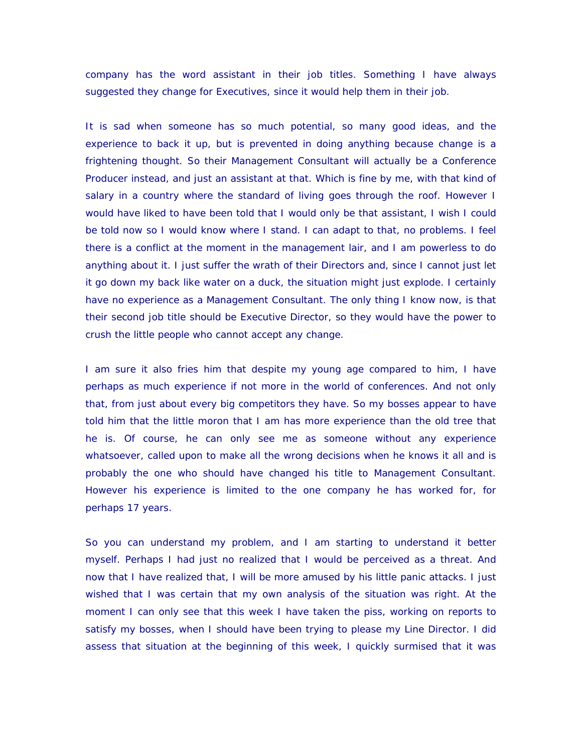company has the word assistant in their job titles. Something I have always suggested they change for Executives, since it would help them in their job.

It is sad when someone has so much potential, so many good ideas, and the experience to back it up, but is prevented in doing anything because change is a frightening thought. So their Management Consultant will actually be a Conference Producer instead, and just an assistant at that. Which is fine by me, with that kind of salary in a country where the standard of living goes through the roof. However I would have liked to have been told that I would only be that assistant, I wish I could be told now so I would know where I stand. I can adapt to that, no problems. I feel there is a conflict at the moment in the management lair, and I am powerless to do anything about it. I just suffer the wrath of their Directors and, since I cannot just let it go down my back like water on a duck, the situation might just explode. I certainly have no experience as a Management Consultant. The only thing I know now, is that their second job title should be Executive Director, so they would have the power to crush the little people who cannot accept any change.

I am sure it also fries him that despite my young age compared to him, I have perhaps as much experience if not more in the world of conferences. And not only that, from just about every big competitors they have. So my bosses appear to have told him that the little moron that I am has more experience than the old tree that he is. Of course, he can only see me as someone without any experience whatsoever, called upon to make all the wrong decisions when he knows it all and is probably the one who should have changed his title to Management Consultant. However his experience is limited to the one company he has worked for, for perhaps 17 years.

So you can understand my problem, and I am starting to understand it better myself. Perhaps I had just no realized that I would be perceived as a threat. And now that I have realized that, I will be more amused by his little panic attacks. I just wished that I was certain that my own analysis of the situation was right. At the moment I can only see that this week I have taken the piss, working on reports to satisfy my bosses, when I should have been trying to please my Line Director. I did assess that situation at the beginning of this week, I quickly surmised that it was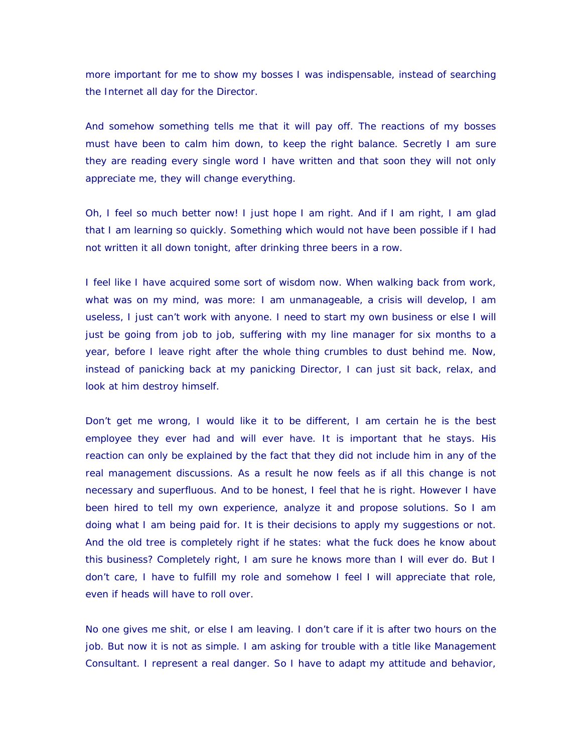more important for me to show my bosses I was indispensable, instead of searching the Internet all day for the Director.

And somehow something tells me that it will pay off. The reactions of my bosses must have been to calm him down, to keep the right balance. Secretly I am sure they are reading every single word I have written and that soon they will not only appreciate me, they will change everything.

Oh, I feel so much better now! I just hope I am right. And if I am right, I am glad that I am learning so quickly. Something which would not have been possible if I had not written it all down tonight, after drinking three beers in a row.

I feel like I have acquired some sort of wisdom now. When walking back from work, what was on my mind, was more: I am unmanageable, a crisis will develop, I am useless, I just can't work with anyone. I need to start my own business or else I will just be going from job to job, suffering with my line manager for six months to a year, before I leave right after the whole thing crumbles to dust behind me. Now, instead of panicking back at my panicking Director, I can just sit back, relax, and look at him destroy himself.

Don't get me wrong, I would like it to be different, I am certain he is the best employee they ever had and will ever have. It is important that he stays. His reaction can only be explained by the fact that they did not include him in any of the real management discussions. As a result he now feels as if all this change is not necessary and superfluous. And to be honest, I feel that he is right. However I have been hired to tell my own experience, analyze it and propose solutions. So I am doing what I am being paid for. It is their decisions to apply my suggestions or not. And the old tree is completely right if he states: what the fuck does he know about this business? Completely right, I am sure he knows more than I will ever do. But I don't care, I have to fulfill my role and somehow I feel I will appreciate that role, even if heads will have to roll over.

No one gives me shit, or else I am leaving. I don't care if it is after two hours on the job. But now it is not as simple. I am asking for trouble with a title like Management Consultant. I represent a real danger. So I have to adapt my attitude and behavior,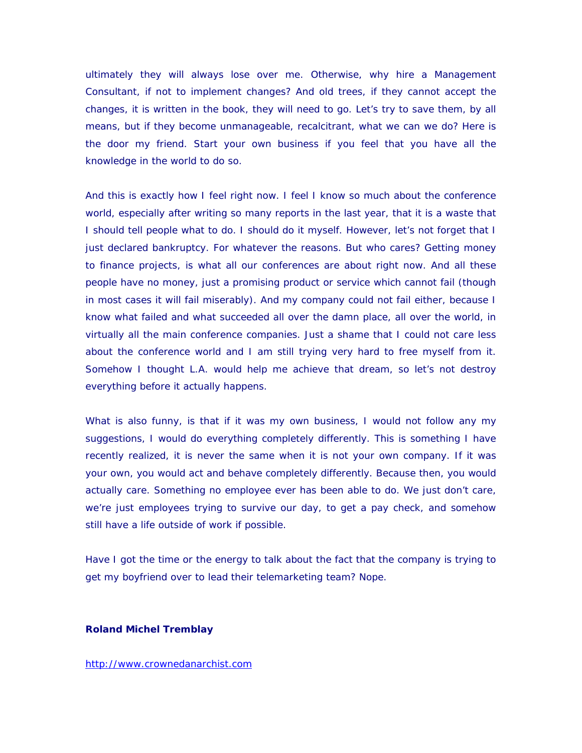ultimately they will always lose over me. Otherwise, why hire a Management Consultant, if not to implement changes? And old trees, if they cannot accept the changes, it is written in the book, they will need to go. Let's try to save them, by all means, but if they become unmanageable, recalcitrant, what we can we do? Here is the door my friend. Start your own business if you feel that you have all the knowledge in the world to do so.

And this is exactly how I feel right now. I feel I know so much about the conference world, especially after writing so many reports in the last year, that it is a waste that I should tell people what to do. I should do it myself. However, let's not forget that I just declared bankruptcy. For whatever the reasons. But who cares? Getting money to finance projects, is what all our conferences are about right now. And all these people have no money, just a promising product or service which cannot fail (though in most cases it will fail miserably). And my company could not fail either, because I know what failed and what succeeded all over the damn place, all over the world, in virtually all the main conference companies. Just a shame that I could not care less about the conference world and I am still trying very hard to free myself from it. Somehow I thought L.A. would help me achieve that dream, so let's not destroy everything before it actually happens.

What is also funny, is that if it was my own business, I would not follow any my suggestions, I would do everything completely differently. This is something I have recently realized, it is never the same when it is not your own company. If it was your own, you would act and behave completely differently. Because then, you would actually care. Something no employee ever has been able to do. We just don't care, we're just employees trying to survive our day, to get a pay check, and somehow still have a life outside of work if possible.

Have I got the time or the energy to talk about the fact that the company is trying to get my boyfriend over to lead their telemarketing team? Nope.

#### **Roland Michel Tremblay**

# [http://www.crownedanarchist.com](http://www.crownedanarchist.com/)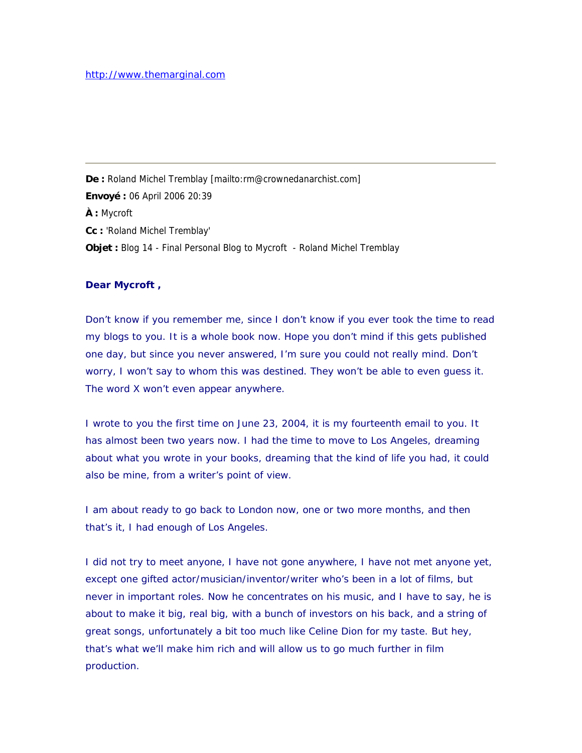**De :** Roland Michel Tremblay [mailto:rm@crownedanarchist.com] **Envoyé :** 06 April 2006 20:39 **À :** Mycroft **Cc :** 'Roland Michel Tremblay' **Objet :** Blog 14 - Final Personal Blog to Mycroft - Roland Michel Tremblay

# **Dear Mycroft ,**

Don't know if you remember me, since I don't know if you ever took the time to read my blogs to you. It is a whole book now. Hope you don't mind if this gets published one day, but since you never answered, I'm sure you could not really mind. Don't worry, I won't say to whom this was destined. They won't be able to even guess it. The word X won't even appear anywhere.

I wrote to you the first time on June 23, 2004, it is my fourteenth email to you. It has almost been two years now. I had the time to move to Los Angeles, dreaming about what you wrote in your books, dreaming that the kind of life you had, it could also be mine, from a writer's point of view.

I am about ready to go back to London now, one or two more months, and then that's it, I had enough of Los Angeles.

I did not try to meet anyone, I have not gone anywhere, I have not met anyone yet, except one gifted actor/musician/inventor/writer who's been in a lot of films, but never in important roles. Now he concentrates on his music, and I have to say, he is about to make it big, real big, with a bunch of investors on his back, and a string of great songs, unfortunately a bit too much like Celine Dion for my taste. But hey, that's what we'll make him rich and will allow us to go much further in film production.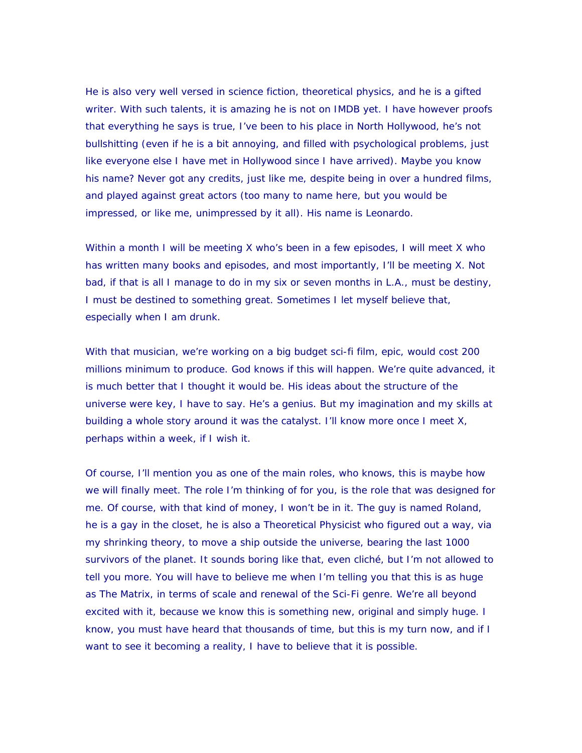He is also very well versed in science fiction, theoretical physics, and he is a gifted writer. With such talents, it is amazing he is not on IMDB yet. I have however proofs that everything he says is true, I've been to his place in North Hollywood, he's not bullshitting (even if he is a bit annoying, and filled with psychological problems, just like everyone else I have met in Hollywood since I have arrived). Maybe you know his name? Never got any credits, just like me, despite being in over a hundred films, and played against great actors (too many to name here, but you would be impressed, or like me, unimpressed by it all). His name is Leonardo.

Within a month I will be meeting X who's been in a few episodes, I will meet X who has written many books and episodes, and most importantly, I'll be meeting X. Not bad, if that is all I manage to do in my six or seven months in L.A., must be destiny, I must be destined to something great. Sometimes I let myself believe that, especially when I am drunk.

With that musician, we're working on a big budget sci-fi film, epic, would cost 200 millions minimum to produce. God knows if this will happen. We're quite advanced, it is much better that I thought it would be. His ideas about the structure of the universe were key, I have to say. He's a genius. But my imagination and my skills at building a whole story around it was the catalyst. I'll know more once I meet X, perhaps within a week, if I wish it.

Of course, I'll mention you as one of the main roles, who knows, this is maybe how we will finally meet. The role I'm thinking of for you, is the role that was designed for me. Of course, with that kind of money, I won't be in it. The guy is named Roland, he is a gay in the closet, he is also a Theoretical Physicist who figured out a way, via my shrinking theory, to move a ship outside the universe, bearing the last 1000 survivors of the planet. It sounds boring like that, even cliché, but I'm not allowed to tell you more. You will have to believe me when I'm telling you that this is as huge as The Matrix, in terms of scale and renewal of the Sci-Fi genre. We're all beyond excited with it, because we know this is something new, original and simply huge. I know, you must have heard that thousands of time, but this is my turn now, and if I want to see it becoming a reality, I have to believe that it is possible.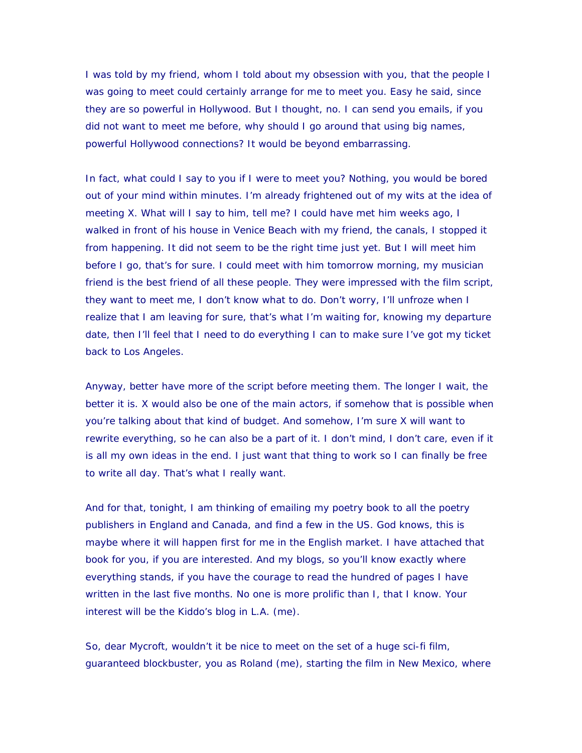I was told by my friend, whom I told about my obsession with you, that the people I was going to meet could certainly arrange for me to meet you. Easy he said, since they are so powerful in Hollywood. But I thought, no. I can send you emails, if you did not want to meet me before, why should I go around that using big names, powerful Hollywood connections? It would be beyond embarrassing.

In fact, what could I say to you if I were to meet you? Nothing, you would be bored out of your mind within minutes. I'm already frightened out of my wits at the idea of meeting X. What will I say to him, tell me? I could have met him weeks ago, I walked in front of his house in Venice Beach with my friend, the canals, I stopped it from happening. It did not seem to be the right time just yet. But I will meet him before I go, that's for sure. I could meet with him tomorrow morning, my musician friend is the best friend of all these people. They were impressed with the film script, they want to meet me, I don't know what to do. Don't worry, I'll unfroze when I realize that I am leaving for sure, that's what I'm waiting for, knowing my departure date, then I'll feel that I need to do everything I can to make sure I've got my ticket back to Los Angeles.

Anyway, better have more of the script before meeting them. The longer I wait, the better it is. X would also be one of the main actors, if somehow that is possible when you're talking about that kind of budget. And somehow, I'm sure X will want to rewrite everything, so he can also be a part of it. I don't mind, I don't care, even if it is all my own ideas in the end. I just want that thing to work so I can finally be free to write all day. That's what I really want.

And for that, tonight, I am thinking of emailing my poetry book to all the poetry publishers in England and Canada, and find a few in the US. God knows, this is maybe where it will happen first for me in the English market. I have attached that book for you, if you are interested. And my blogs, so you'll know exactly where everything stands, if you have the courage to read the hundred of pages I have written in the last five months. No one is more prolific than I, that I know. Your interest will be the Kiddo's blog in L.A. (me).

So, dear Mycroft, wouldn't it be nice to meet on the set of a huge sci-fi film, guaranteed blockbuster, you as Roland (me), starting the film in New Mexico, where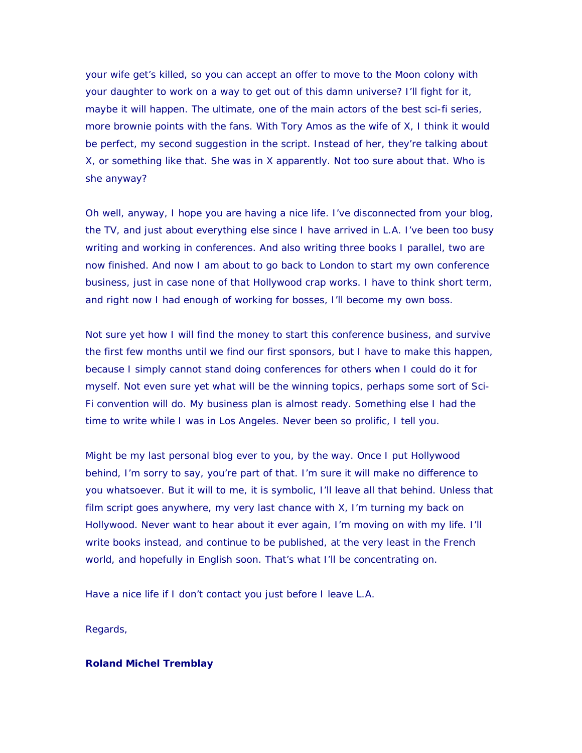your wife get's killed, so you can accept an offer to move to the Moon colony with your daughter to work on a way to get out of this damn universe? I'll fight for it, maybe it will happen. The ultimate, one of the main actors of the best sci-fi series, more brownie points with the fans. With Tory Amos as the wife of X, I think it would be perfect, my second suggestion in the script. Instead of her, they're talking about X, or something like that. She was in X apparently. Not too sure about that. Who is she anyway?

Oh well, anyway, I hope you are having a nice life. I've disconnected from your blog, the TV, and just about everything else since I have arrived in L.A. I've been too busy writing and working in conferences. And also writing three books I parallel, two are now finished. And now I am about to go back to London to start my own conference business, just in case none of that Hollywood crap works. I have to think short term, and right now I had enough of working for bosses, I'll become my own boss.

Not sure yet how I will find the money to start this conference business, and survive the first few months until we find our first sponsors, but I have to make this happen, because I simply cannot stand doing conferences for others when I could do it for myself. Not even sure yet what will be the winning topics, perhaps some sort of Sci-Fi convention will do. My business plan is almost ready. Something else I had the time to write while I was in Los Angeles. Never been so prolific, I tell you.

Might be my last personal blog ever to you, by the way. Once I put Hollywood behind, I'm sorry to say, you're part of that. I'm sure it will make no difference to you whatsoever. But it will to me, it is symbolic, I'll leave all that behind. Unless that film script goes anywhere, my very last chance with X, I'm turning my back on Hollywood. Never want to hear about it ever again, I'm moving on with my life. I'll write books instead, and continue to be published, at the very least in the French world, and hopefully in English soon. That's what I'll be concentrating on.

Have a nice life if I don't contact you just before I leave L.A.

Regards,

### **Roland Michel Tremblay**